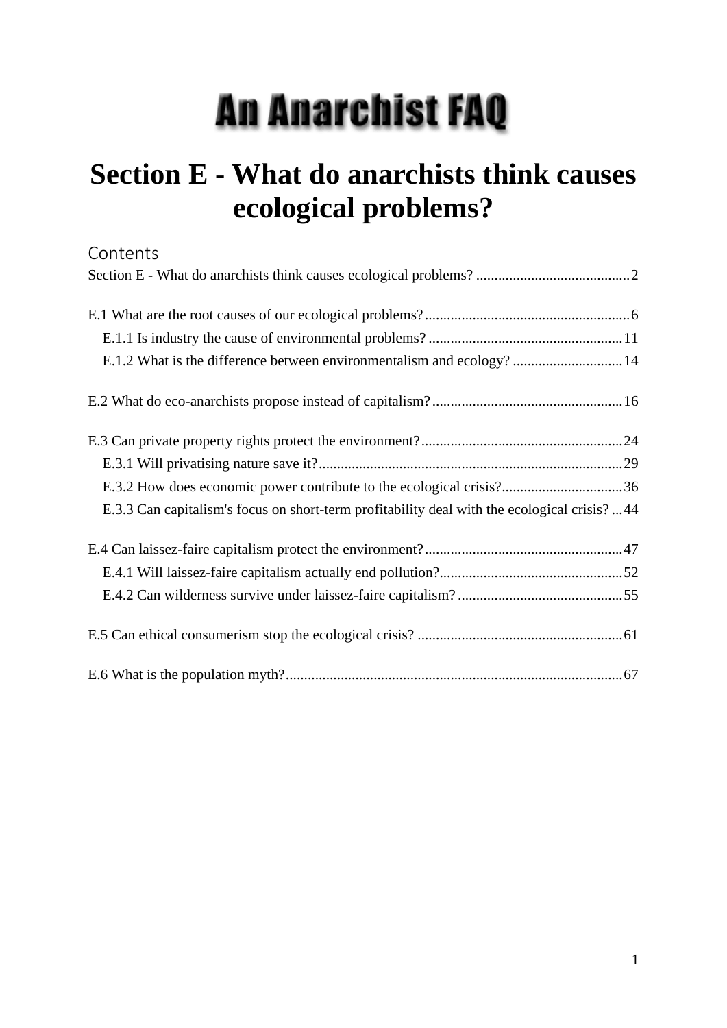# **An Anarchist FAQ**

# **Section E - What do anarchists think causes ecological problems?**

### Contents

| E.1.2 What is the difference between environmentalism and ecology?  14                      |
|---------------------------------------------------------------------------------------------|
|                                                                                             |
|                                                                                             |
|                                                                                             |
|                                                                                             |
| E.3.3 Can capitalism's focus on short-term profitability deal with the ecological crisis?44 |
|                                                                                             |
|                                                                                             |
|                                                                                             |
|                                                                                             |
|                                                                                             |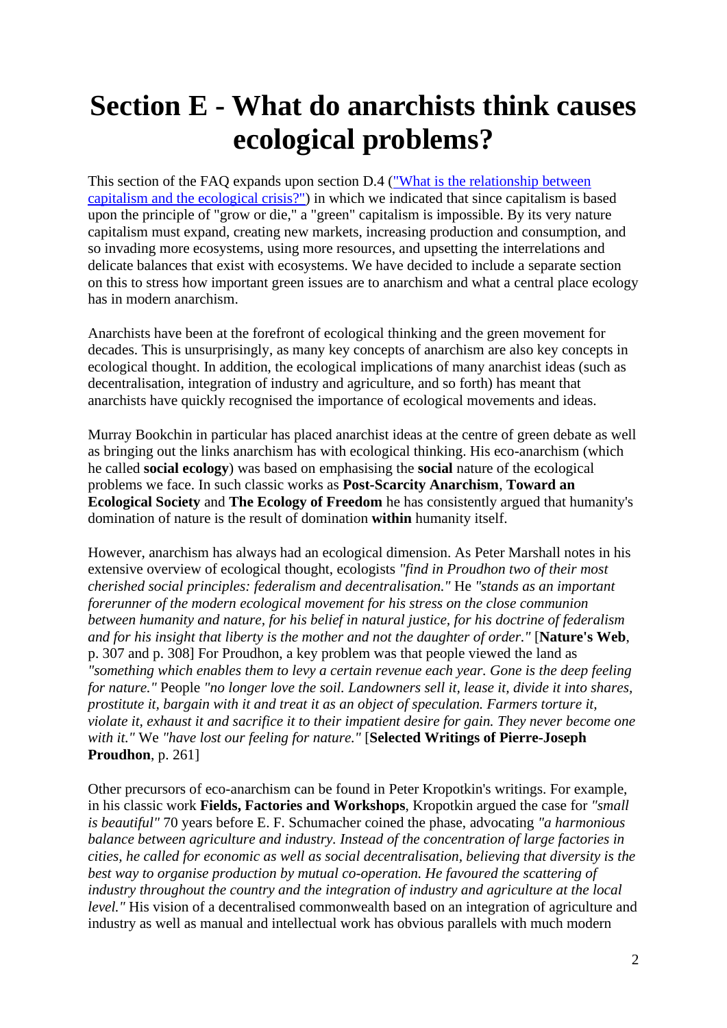# <span id="page-1-0"></span>**Section E - What do anarchists think causes ecological problems?**

This section of the FAQ expands upon section D.4 [\("What is the relationship between](sectionD.html#secd4)  [capitalism and the ecological crisis?"\)](sectionD.html#secd4) in which we indicated that since capitalism is based upon the principle of "grow or die," a "green" capitalism is impossible. By its very nature capitalism must expand, creating new markets, increasing production and consumption, and so invading more ecosystems, using more resources, and upsetting the interrelations and delicate balances that exist with ecosystems. We have decided to include a separate section on this to stress how important green issues are to anarchism and what a central place ecology has in modern anarchism.

Anarchists have been at the forefront of ecological thinking and the green movement for decades. This is unsurprisingly, as many key concepts of anarchism are also key concepts in ecological thought. In addition, the ecological implications of many anarchist ideas (such as decentralisation, integration of industry and agriculture, and so forth) has meant that anarchists have quickly recognised the importance of ecological movements and ideas.

Murray Bookchin in particular has placed anarchist ideas at the centre of green debate as well as bringing out the links anarchism has with ecological thinking. His eco-anarchism (which he called **social ecology**) was based on emphasising the **social** nature of the ecological problems we face. In such classic works as **Post-Scarcity Anarchism**, **Toward an Ecological Society** and **The Ecology of Freedom** he has consistently argued that humanity's domination of nature is the result of domination **within** humanity itself.

However, anarchism has always had an ecological dimension. As Peter Marshall notes in his extensive overview of ecological thought, ecologists *"find in Proudhon two of their most cherished social principles: federalism and decentralisation."* He *"stands as an important forerunner of the modern ecological movement for his stress on the close communion between humanity and nature, for his belief in natural justice, for his doctrine of federalism and for his insight that liberty is the mother and not the daughter of order."* [**Nature's Web**, p. 307 and p. 308] For Proudhon, a key problem was that people viewed the land as *"something which enables them to levy a certain revenue each year. Gone is the deep feeling for nature."* People *"no longer love the soil. Landowners sell it, lease it, divide it into shares, prostitute it, bargain with it and treat it as an object of speculation. Farmers torture it, violate it, exhaust it and sacrifice it to their impatient desire for gain. They never become one with it."* We *"have lost our feeling for nature."* [**Selected Writings of Pierre-Joseph Proudhon**, p. 261]

Other precursors of eco-anarchism can be found in Peter Kropotkin's writings. For example, in his classic work **Fields, Factories and Workshops**, Kropotkin argued the case for *"small is beautiful"* 70 years before E. F. Schumacher coined the phase, advocating *"a harmonious balance between agriculture and industry. Instead of the concentration of large factories in cities, he called for economic as well as social decentralisation, believing that diversity is the best way to organise production by mutual co-operation. He favoured the scattering of industry throughout the country and the integration of industry and agriculture at the local level."* His vision of a decentralised commonwealth based on an integration of agriculture and industry as well as manual and intellectual work has obvious parallels with much modern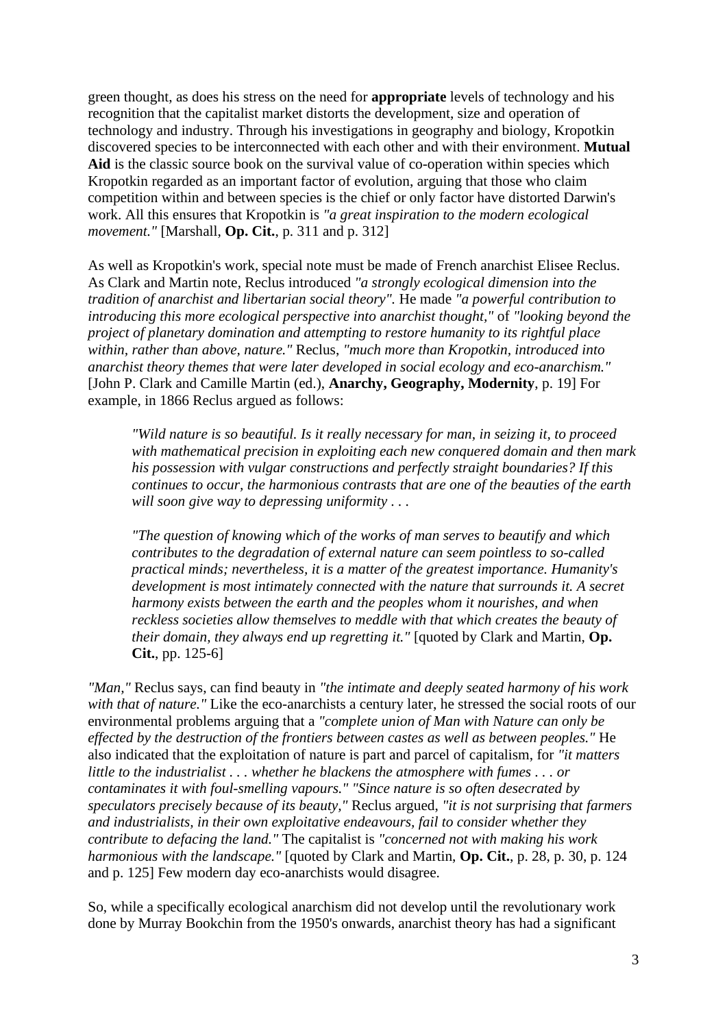green thought, as does his stress on the need for **appropriate** levels of technology and his recognition that the capitalist market distorts the development, size and operation of technology and industry. Through his investigations in geography and biology, Kropotkin discovered species to be interconnected with each other and with their environment. **Mutual**  Aid is the classic source book on the survival value of co-operation within species which Kropotkin regarded as an important factor of evolution, arguing that those who claim competition within and between species is the chief or only factor have distorted Darwin's work. All this ensures that Kropotkin is *"a great inspiration to the modern ecological movement."* [Marshall, **Op. Cit.**, p. 311 and p. 312]

As well as Kropotkin's work, special note must be made of French anarchist Elisee Reclus. As Clark and Martin note, Reclus introduced *"a strongly ecological dimension into the tradition of anarchist and libertarian social theory".* He made *"a powerful contribution to introducing this more ecological perspective into anarchist thought,"* of *"looking beyond the project of planetary domination and attempting to restore humanity to its rightful place within, rather than above, nature."* Reclus, *"much more than Kropotkin, introduced into anarchist theory themes that were later developed in social ecology and eco-anarchism."* [John P. Clark and Camille Martin (ed.), **Anarchy, Geography, Modernity**, p. 19] For example, in 1866 Reclus argued as follows:

*"Wild nature is so beautiful. Is it really necessary for man, in seizing it, to proceed with mathematical precision in exploiting each new conquered domain and then mark his possession with vulgar constructions and perfectly straight boundaries? If this continues to occur, the harmonious contrasts that are one of the beauties of the earth will soon give way to depressing uniformity . . .*

*"The question of knowing which of the works of man serves to beautify and which contributes to the degradation of external nature can seem pointless to so-called practical minds; nevertheless, it is a matter of the greatest importance. Humanity's development is most intimately connected with the nature that surrounds it. A secret harmony exists between the earth and the peoples whom it nourishes, and when reckless societies allow themselves to meddle with that which creates the beauty of their domain, they always end up regretting it."* [quoted by Clark and Martin, **Op. Cit.**, pp. 125-6]

*"Man,"* Reclus says, can find beauty in *"the intimate and deeply seated harmony of his work with that of nature."* Like the eco-anarchists a century later, he stressed the social roots of our environmental problems arguing that a *"complete union of Man with Nature can only be effected by the destruction of the frontiers between castes as well as between peoples."* He also indicated that the exploitation of nature is part and parcel of capitalism, for *"it matters little to the industrialist . . . whether he blackens the atmosphere with fumes . . . or contaminates it with foul-smelling vapours." "Since nature is so often desecrated by speculators precisely because of its beauty,"* Reclus argued, *"it is not surprising that farmers and industrialists, in their own exploitative endeavours, fail to consider whether they contribute to defacing the land."* The capitalist is *"concerned not with making his work harmonious with the landscape."* [quoted by Clark and Martin, **Op. Cit.**, p. 28, p. 30, p. 124 and p. 125] Few modern day eco-anarchists would disagree.

So, while a specifically ecological anarchism did not develop until the revolutionary work done by Murray Bookchin from the 1950's onwards, anarchist theory has had a significant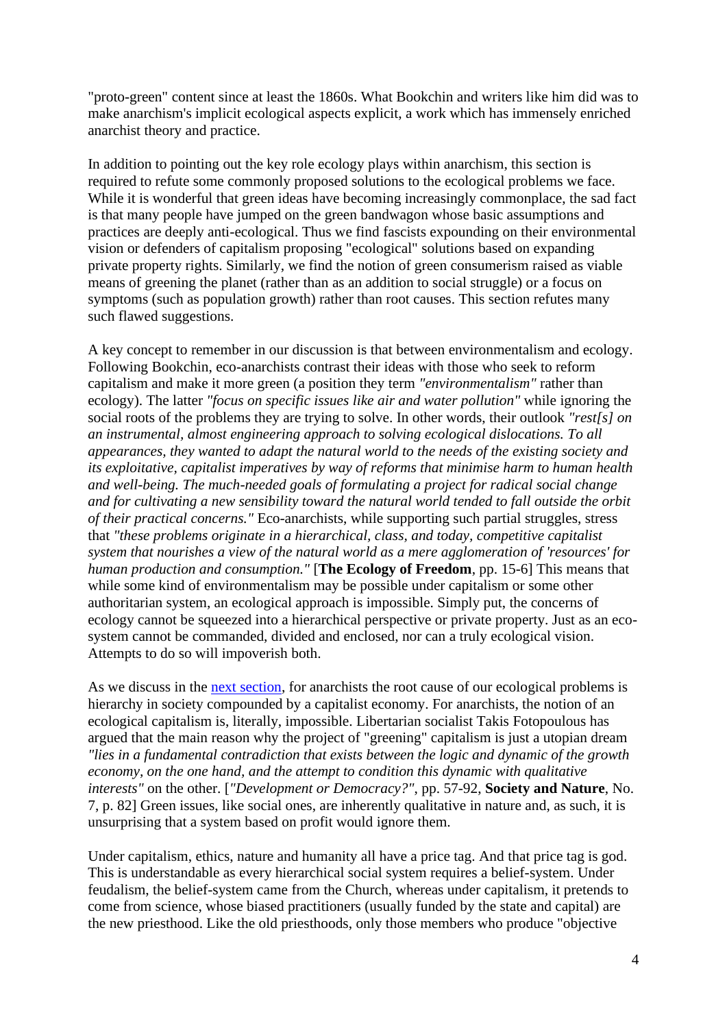"proto-green" content since at least the 1860s. What Bookchin and writers like him did was to make anarchism's implicit ecological aspects explicit, a work which has immensely enriched anarchist theory and practice.

In addition to pointing out the key role ecology plays within anarchism, this section is required to refute some commonly proposed solutions to the ecological problems we face. While it is wonderful that green ideas have becoming increasingly commonplace, the sad fact is that many people have jumped on the green bandwagon whose basic assumptions and practices are deeply anti-ecological. Thus we find fascists expounding on their environmental vision or defenders of capitalism proposing "ecological" solutions based on expanding private property rights. Similarly, we find the notion of green consumerism raised as viable means of greening the planet (rather than as an addition to social struggle) or a focus on symptoms (such as population growth) rather than root causes. This section refutes many such flawed suggestions.

A key concept to remember in our discussion is that between environmentalism and ecology. Following Bookchin, eco-anarchists contrast their ideas with those who seek to reform capitalism and make it more green (a position they term *"environmentalism"* rather than ecology). The latter *"focus on specific issues like air and water pollution"* while ignoring the social roots of the problems they are trying to solve. In other words, their outlook *"rest[s] on an instrumental, almost engineering approach to solving ecological dislocations. To all appearances, they wanted to adapt the natural world to the needs of the existing society and its exploitative, capitalist imperatives by way of reforms that minimise harm to human health and well-being. The much-needed goals of formulating a project for radical social change and for cultivating a new sensibility toward the natural world tended to fall outside the orbit of their practical concerns."* Eco-anarchists, while supporting such partial struggles, stress that *"these problems originate in a hierarchical, class, and today, competitive capitalist system that nourishes a view of the natural world as a mere agglomeration of 'resources' for human production and consumption."* [**The Ecology of Freedom**, pp. 15-6] This means that while some kind of environmentalism may be possible under capitalism or some other authoritarian system, an ecological approach is impossible. Simply put, the concerns of ecology cannot be squeezed into a hierarchical perspective or private property. Just as an ecosystem cannot be commanded, divided and enclosed, nor can a truly ecological vision. Attempts to do so will impoverish both.

As we discuss in the [next section,](sectionE.html#sece1) for anarchists the root cause of our ecological problems is hierarchy in society compounded by a capitalist economy. For anarchists, the notion of an ecological capitalism is, literally, impossible. Libertarian socialist Takis Fotopoulous has argued that the main reason why the project of "greening" capitalism is just a utopian dream *"lies in a fundamental contradiction that exists between the logic and dynamic of the growth economy, on the one hand, and the attempt to condition this dynamic with qualitative interests"* on the other. [*"Development or Democracy?"*, pp. 57-92, **Society and Nature**, No. 7, p. 82] Green issues, like social ones, are inherently qualitative in nature and, as such, it is unsurprising that a system based on profit would ignore them.

Under capitalism, ethics, nature and humanity all have a price tag. And that price tag is god. This is understandable as every hierarchical social system requires a belief-system. Under feudalism, the belief-system came from the Church, whereas under capitalism, it pretends to come from science, whose biased practitioners (usually funded by the state and capital) are the new priesthood. Like the old priesthoods, only those members who produce "objective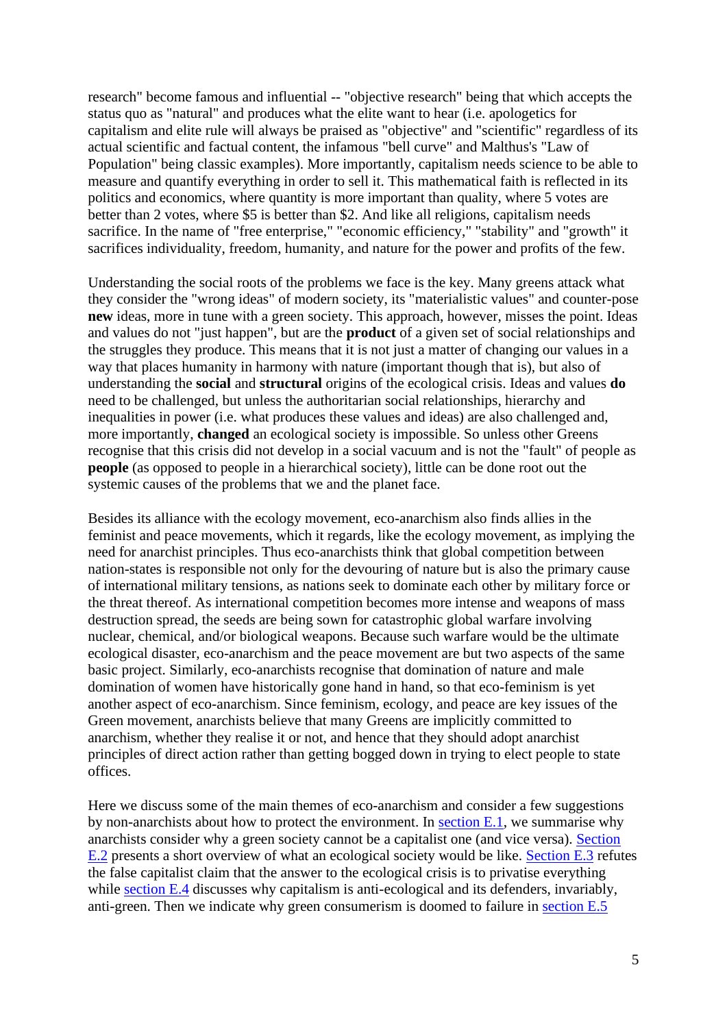research" become famous and influential -- "objective research" being that which accepts the status quo as "natural" and produces what the elite want to hear (i.e. apologetics for capitalism and elite rule will always be praised as "objective" and "scientific" regardless of its actual scientific and factual content, the infamous "bell curve" and Malthus's "Law of Population" being classic examples). More importantly, capitalism needs science to be able to measure and quantify everything in order to sell it. This mathematical faith is reflected in its politics and economics, where quantity is more important than quality, where 5 votes are better than 2 votes, where \$5 is better than \$2. And like all religions, capitalism needs sacrifice. In the name of "free enterprise," "economic efficiency," "stability" and "growth" it sacrifices individuality, freedom, humanity, and nature for the power and profits of the few.

Understanding the social roots of the problems we face is the key. Many greens attack what they consider the "wrong ideas" of modern society, its "materialistic values" and counter-pose **new** ideas, more in tune with a green society. This approach, however, misses the point. Ideas and values do not "just happen", but are the **product** of a given set of social relationships and the struggles they produce. This means that it is not just a matter of changing our values in a way that places humanity in harmony with nature (important though that is), but also of understanding the **social** and **structural** origins of the ecological crisis. Ideas and values **do** need to be challenged, but unless the authoritarian social relationships, hierarchy and inequalities in power (i.e. what produces these values and ideas) are also challenged and, more importantly, **changed** an ecological society is impossible. So unless other Greens recognise that this crisis did not develop in a social vacuum and is not the "fault" of people as **people** (as opposed to people in a hierarchical society), little can be done root out the systemic causes of the problems that we and the planet face.

Besides its alliance with the ecology movement, eco-anarchism also finds allies in the feminist and peace movements, which it regards, like the ecology movement, as implying the need for anarchist principles. Thus eco-anarchists think that global competition between nation-states is responsible not only for the devouring of nature but is also the primary cause of international military tensions, as nations seek to dominate each other by military force or the threat thereof. As international competition becomes more intense and weapons of mass destruction spread, the seeds are being sown for catastrophic global warfare involving nuclear, chemical, and/or biological weapons. Because such warfare would be the ultimate ecological disaster, eco-anarchism and the peace movement are but two aspects of the same basic project. Similarly, eco-anarchists recognise that domination of nature and male domination of women have historically gone hand in hand, so that eco-feminism is yet another aspect of eco-anarchism. Since feminism, ecology, and peace are key issues of the Green movement, anarchists believe that many Greens are implicitly committed to anarchism, whether they realise it or not, and hence that they should adopt anarchist principles of direct action rather than getting bogged down in trying to elect people to state offices.

Here we discuss some of the main themes of eco-anarchism and consider a few suggestions by non-anarchists about how to protect the environment. In [section E.1,](sectionE.html#sece1) we summarise why anarchists consider why a green society cannot be a capitalist one (and vice versa). [Section](sectionE.html#sece2)  [E.2](sectionE.html#sece2) presents a short overview of what an ecological society would be like. [Section E.3](sectionE.html#sece3) refutes the false capitalist claim that the answer to the ecological crisis is to privatise everything while [section E.4](sectionE.html#sece4) discusses why capitalism is anti-ecological and its defenders, invariably, anti-green. Then we indicate why green consumerism is doomed to failure in [section E.5](sectionE.html#sece5)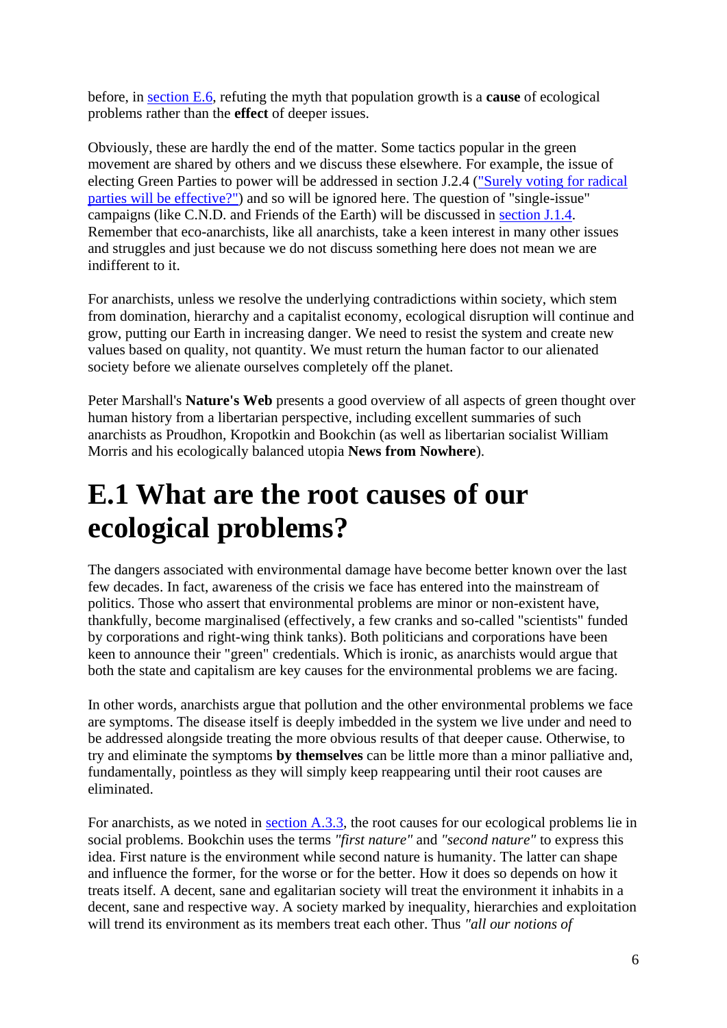before, in [section E.6,](sectionE.html#sece6) refuting the myth that population growth is a **cause** of ecological problems rather than the **effect** of deeper issues.

Obviously, these are hardly the end of the matter. Some tactics popular in the green movement are shared by others and we discuss these elsewhere. For example, the issue of electing Green Parties to power will be addressed in section J.2.4 [\("Surely voting for radical](sectionJ.html#secj24)  [parties will be effective?"\)](sectionJ.html#secj24) and so will be ignored here. The question of "single-issue" campaigns (like C.N.D. and Friends of the Earth) will be discussed in [section J.1.4.](sectionJ.html#secj14) Remember that eco-anarchists, like all anarchists, take a keen interest in many other issues and struggles and just because we do not discuss something here does not mean we are indifferent to it.

For anarchists, unless we resolve the underlying contradictions within society, which stem from domination, hierarchy and a capitalist economy, ecological disruption will continue and grow, putting our Earth in increasing danger. We need to resist the system and create new values based on quality, not quantity. We must return the human factor to our alienated society before we alienate ourselves completely off the planet.

Peter Marshall's **Nature's Web** presents a good overview of all aspects of green thought over human history from a libertarian perspective, including excellent summaries of such anarchists as Proudhon, Kropotkin and Bookchin (as well as libertarian socialist William Morris and his ecologically balanced utopia **News from Nowhere**).

# <span id="page-5-0"></span>**E.1 What are the root causes of our ecological problems?**

The dangers associated with environmental damage have become better known over the last few decades. In fact, awareness of the crisis we face has entered into the mainstream of politics. Those who assert that environmental problems are minor or non-existent have, thankfully, become marginalised (effectively, a few cranks and so-called "scientists" funded by corporations and right-wing think tanks). Both politicians and corporations have been keen to announce their "green" credentials. Which is ironic, as anarchists would argue that both the state and capitalism are key causes for the environmental problems we are facing.

In other words, anarchists argue that pollution and the other environmental problems we face are symptoms. The disease itself is deeply imbedded in the system we live under and need to be addressed alongside treating the more obvious results of that deeper cause. Otherwise, to try and eliminate the symptoms **by themselves** can be little more than a minor palliative and, fundamentally, pointless as they will simply keep reappearing until their root causes are eliminated.

For anarchists, as we noted in [section A.3.3,](sectionA.html#seca33) the root causes for our ecological problems lie in social problems. Bookchin uses the terms *"first nature"* and *"second nature"* to express this idea. First nature is the environment while second nature is humanity. The latter can shape and influence the former, for the worse or for the better. How it does so depends on how it treats itself. A decent, sane and egalitarian society will treat the environment it inhabits in a decent, sane and respective way. A society marked by inequality, hierarchies and exploitation will trend its environment as its members treat each other. Thus *"all our notions of*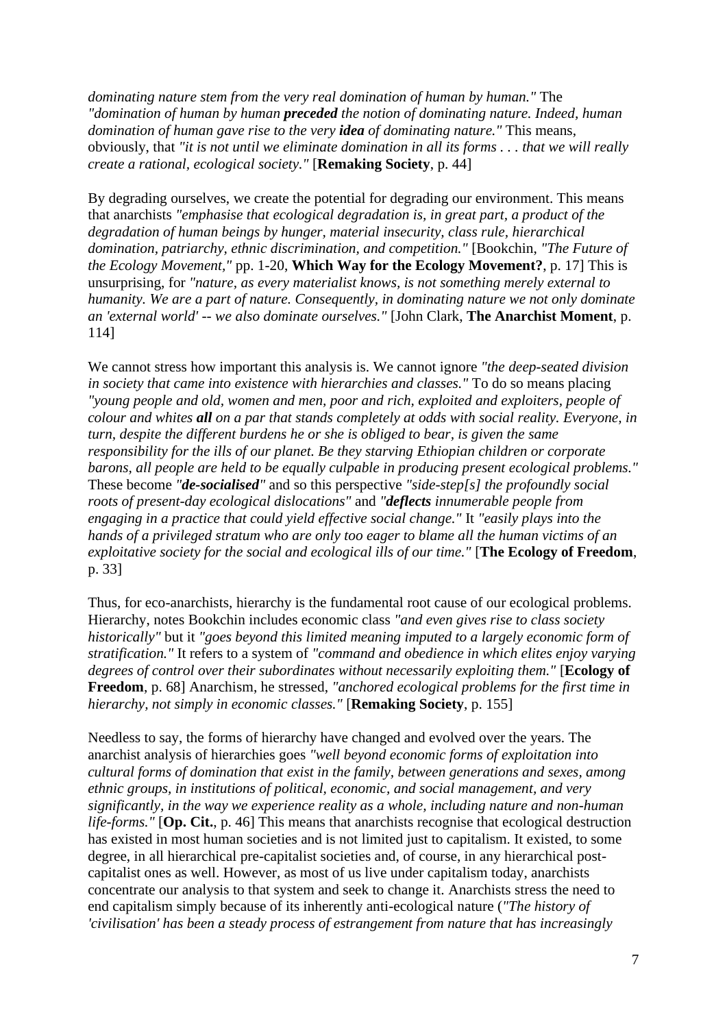*dominating nature stem from the very real domination of human by human."* The *"domination of human by human preceded the notion of dominating nature. Indeed, human domination of human gave rise to the very idea of dominating nature."* This means, obviously, that *"it is not until we eliminate domination in all its forms . . . that we will really create a rational, ecological society."* [**Remaking Society**, p. 44]

By degrading ourselves, we create the potential for degrading our environment. This means that anarchists *"emphasise that ecological degradation is, in great part, a product of the degradation of human beings by hunger, material insecurity, class rule, hierarchical domination, patriarchy, ethnic discrimination, and competition."* [Bookchin, *"The Future of the Ecology Movement,"* pp. 1-20, **Which Way for the Ecology Movement?**, p. 17] This is unsurprising, for *"nature, as every materialist knows, is not something merely external to humanity. We are a part of nature. Consequently, in dominating nature we not only dominate an 'external world' -- we also dominate ourselves."* [John Clark, **The Anarchist Moment**, p. 114]

We cannot stress how important this analysis is. We cannot ignore *"the deep-seated division in society that came into existence with hierarchies and classes."* To do so means placing *"young people and old, women and men, poor and rich, exploited and exploiters, people of colour and whites all on a par that stands completely at odds with social reality. Everyone, in turn, despite the different burdens he or she is obliged to bear, is given the same responsibility for the ills of our planet. Be they starving Ethiopian children or corporate barons, all people are held to be equally culpable in producing present ecological problems."* These become *"de-socialised"* and so this perspective *"side-step[s] the profoundly social roots of present-day ecological dislocations"* and *"deflects innumerable people from engaging in a practice that could yield effective social change."* It *"easily plays into the hands of a privileged stratum who are only too eager to blame all the human victims of an exploitative society for the social and ecological ills of our time."* [**The Ecology of Freedom**, p. 33]

Thus, for eco-anarchists, hierarchy is the fundamental root cause of our ecological problems. Hierarchy, notes Bookchin includes economic class *"and even gives rise to class society historically"* but it *"goes beyond this limited meaning imputed to a largely economic form of stratification."* It refers to a system of *"command and obedience in which elites enjoy varying degrees of control over their subordinates without necessarily exploiting them."* [**Ecology of Freedom**, p. 68] Anarchism, he stressed, *"anchored ecological problems for the first time in hierarchy, not simply in economic classes."* [**Remaking Society**, p. 155]

Needless to say, the forms of hierarchy have changed and evolved over the years. The anarchist analysis of hierarchies goes *"well beyond economic forms of exploitation into cultural forms of domination that exist in the family, between generations and sexes, among ethnic groups, in institutions of political, economic, and social management, and very significantly, in the way we experience reality as a whole, including nature and non-human life-forms."* [**Op. Cit.**, p. 46] This means that anarchists recognise that ecological destruction has existed in most human societies and is not limited just to capitalism. It existed, to some degree, in all hierarchical pre-capitalist societies and, of course, in any hierarchical postcapitalist ones as well. However, as most of us live under capitalism today, anarchists concentrate our analysis to that system and seek to change it. Anarchists stress the need to end capitalism simply because of its inherently anti-ecological nature (*"The history of 'civilisation' has been a steady process of estrangement from nature that has increasingly*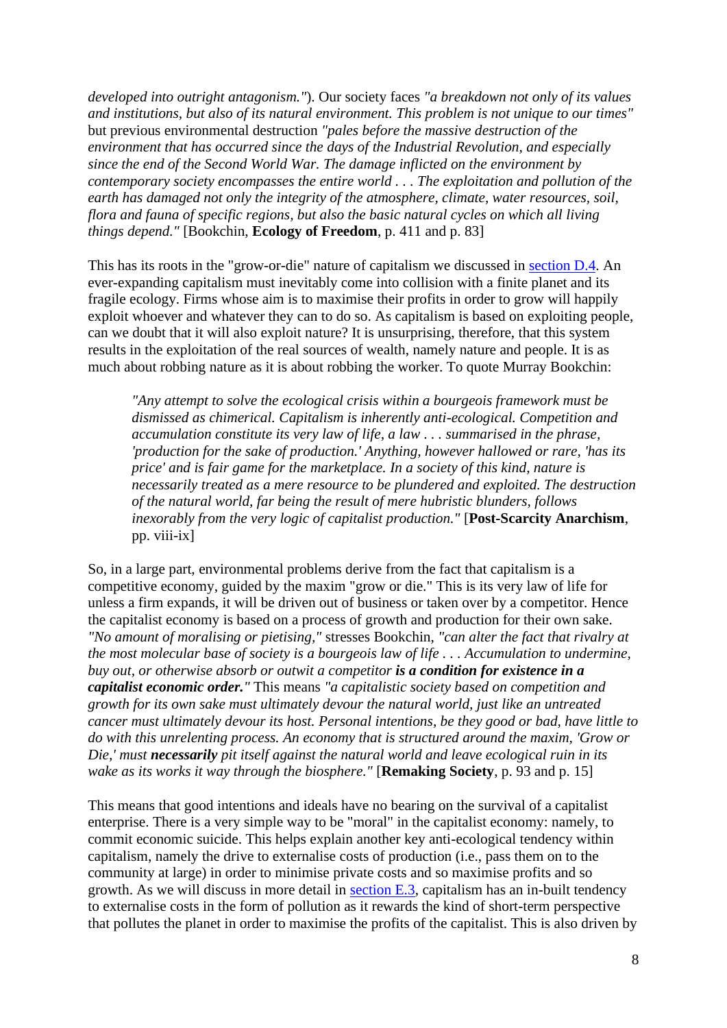*developed into outright antagonism."*). Our society faces *"a breakdown not only of its values and institutions, but also of its natural environment. This problem is not unique to our times"* but previous environmental destruction *"pales before the massive destruction of the environment that has occurred since the days of the Industrial Revolution, and especially since the end of the Second World War. The damage inflicted on the environment by contemporary society encompasses the entire world . . . The exploitation and pollution of the earth has damaged not only the integrity of the atmosphere, climate, water resources, soil, flora and fauna of specific regions, but also the basic natural cycles on which all living things depend."* [Bookchin, **Ecology of Freedom**, p. 411 and p. 83]

This has its roots in the "grow-or-die" nature of capitalism we discussed in [section D.4.](sectionD.html#secd4) An ever-expanding capitalism must inevitably come into collision with a finite planet and its fragile ecology. Firms whose aim is to maximise their profits in order to grow will happily exploit whoever and whatever they can to do so. As capitalism is based on exploiting people, can we doubt that it will also exploit nature? It is unsurprising, therefore, that this system results in the exploitation of the real sources of wealth, namely nature and people. It is as much about robbing nature as it is about robbing the worker. To quote Murray Bookchin:

*"Any attempt to solve the ecological crisis within a bourgeois framework must be dismissed as chimerical. Capitalism is inherently anti-ecological. Competition and accumulation constitute its very law of life, a law . . . summarised in the phrase, 'production for the sake of production.' Anything, however hallowed or rare, 'has its price' and is fair game for the marketplace. In a society of this kind, nature is necessarily treated as a mere resource to be plundered and exploited. The destruction of the natural world, far being the result of mere hubristic blunders, follows inexorably from the very logic of capitalist production."* [**Post-Scarcity Anarchism**, pp. viii-ix]

So, in a large part, environmental problems derive from the fact that capitalism is a competitive economy, guided by the maxim "grow or die." This is its very law of life for unless a firm expands, it will be driven out of business or taken over by a competitor. Hence the capitalist economy is based on a process of growth and production for their own sake. *"No amount of moralising or pietising,"* stresses Bookchin, *"can alter the fact that rivalry at the most molecular base of society is a bourgeois law of life . . . Accumulation to undermine, buy out, or otherwise absorb or outwit a competitor is a condition for existence in a capitalist economic order."* This means *"a capitalistic society based on competition and growth for its own sake must ultimately devour the natural world, just like an untreated cancer must ultimately devour its host. Personal intentions, be they good or bad, have little to do with this unrelenting process. An economy that is structured around the maxim, 'Grow or Die,' must necessarily pit itself against the natural world and leave ecological ruin in its wake as its works it way through the biosphere."* [**Remaking Society**, p. 93 and p. 15]

This means that good intentions and ideals have no bearing on the survival of a capitalist enterprise. There is a very simple way to be "moral" in the capitalist economy: namely, to commit economic suicide. This helps explain another key anti-ecological tendency within capitalism, namely the drive to externalise costs of production (i.e., pass them on to the community at large) in order to minimise private costs and so maximise profits and so growth. As we will discuss in more detail in [section E.3,](sectionE.html#sece3) capitalism has an in-built tendency to externalise costs in the form of pollution as it rewards the kind of short-term perspective that pollutes the planet in order to maximise the profits of the capitalist. This is also driven by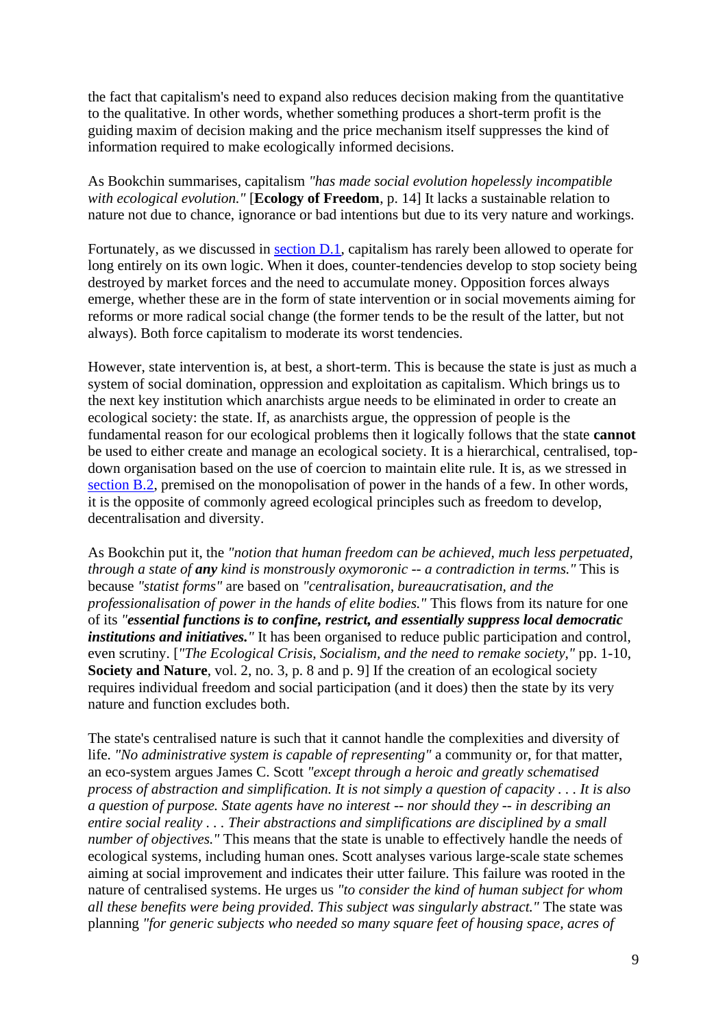the fact that capitalism's need to expand also reduces decision making from the quantitative to the qualitative. In other words, whether something produces a short-term profit is the guiding maxim of decision making and the price mechanism itself suppresses the kind of information required to make ecologically informed decisions.

As Bookchin summarises, capitalism *"has made social evolution hopelessly incompatible with ecological evolution."* [**Ecology of Freedom**, p. 14] It lacks a sustainable relation to nature not due to chance, ignorance or bad intentions but due to its very nature and workings.

Fortunately, as we discussed in [section D.1,](sectionD.html#secd1) capitalism has rarely been allowed to operate for long entirely on its own logic. When it does, counter-tendencies develop to stop society being destroyed by market forces and the need to accumulate money. Opposition forces always emerge, whether these are in the form of state intervention or in social movements aiming for reforms or more radical social change (the former tends to be the result of the latter, but not always). Both force capitalism to moderate its worst tendencies.

However, state intervention is, at best, a short-term. This is because the state is just as much a system of social domination, oppression and exploitation as capitalism. Which brings us to the next key institution which anarchists argue needs to be eliminated in order to create an ecological society: the state. If, as anarchists argue, the oppression of people is the fundamental reason for our ecological problems then it logically follows that the state **cannot** be used to either create and manage an ecological society. It is a hierarchical, centralised, topdown organisation based on the use of coercion to maintain elite rule. It is, as we stressed in [section B.2,](sectionB.html#secb2) premised on the monopolisation of power in the hands of a few. In other words, it is the opposite of commonly agreed ecological principles such as freedom to develop, decentralisation and diversity.

As Bookchin put it, the *"notion that human freedom can be achieved, much less perpetuated, through a state of any kind is monstrously oxymoronic -- a contradiction in terms."* This is because *"statist forms"* are based on *"centralisation, bureaucratisation, and the professionalisation of power in the hands of elite bodies."* This flows from its nature for one of its *"essential functions is to confine, restrict, and essentially suppress local democratic institutions and initiatives."* It has been organised to reduce public participation and control, even scrutiny. [*"The Ecological Crisis, Socialism, and the need to remake society,"* pp. 1-10, **Society and Nature**, vol. 2, no. 3, p. 8 and p. 9] If the creation of an ecological society requires individual freedom and social participation (and it does) then the state by its very nature and function excludes both.

The state's centralised nature is such that it cannot handle the complexities and diversity of life. *"No administrative system is capable of representing"* a community or, for that matter, an eco-system argues James C. Scott *"except through a heroic and greatly schematised process of abstraction and simplification. It is not simply a question of capacity . . . It is also a question of purpose. State agents have no interest -- nor should they -- in describing an entire social reality . . . Their abstractions and simplifications are disciplined by a small number of objectives."* This means that the state is unable to effectively handle the needs of ecological systems, including human ones. Scott analyses various large-scale state schemes aiming at social improvement and indicates their utter failure. This failure was rooted in the nature of centralised systems. He urges us *"to consider the kind of human subject for whom all these benefits were being provided. This subject was singularly abstract."* The state was planning *"for generic subjects who needed so many square feet of housing space, acres of*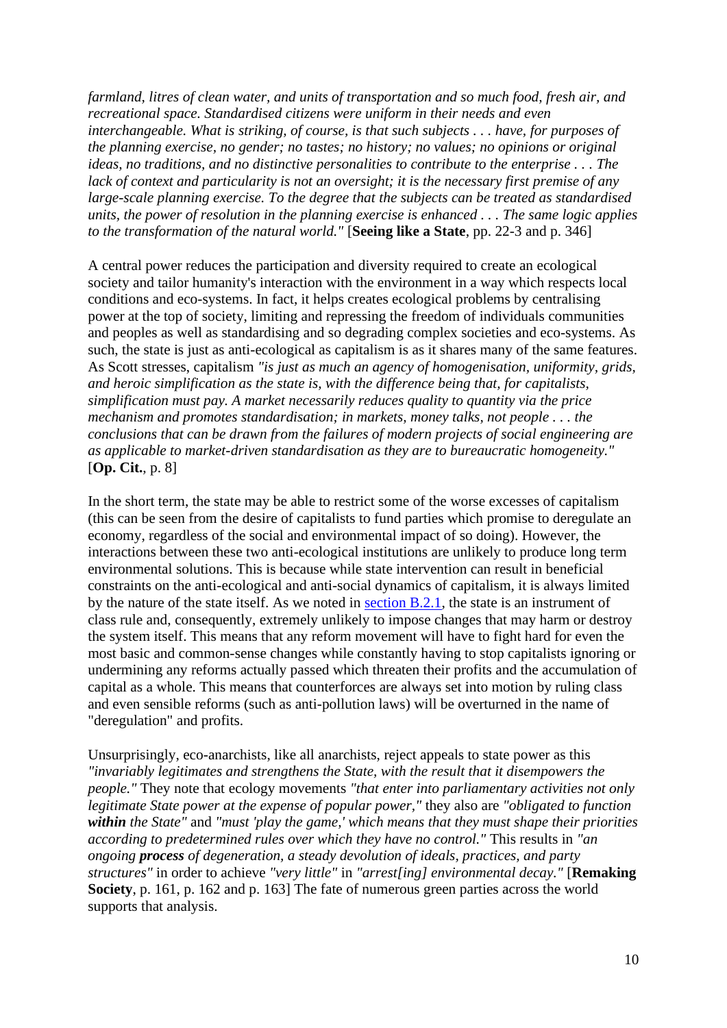*farmland, litres of clean water, and units of transportation and so much food, fresh air, and recreational space. Standardised citizens were uniform in their needs and even interchangeable. What is striking, of course, is that such subjects . . . have, for purposes of the planning exercise, no gender; no tastes; no history; no values; no opinions or original ideas, no traditions, and no distinctive personalities to contribute to the enterprise . . . The lack of context and particularity is not an oversight; it is the necessary first premise of any large-scale planning exercise. To the degree that the subjects can be treated as standardised units, the power of resolution in the planning exercise is enhanced . . . The same logic applies to the transformation of the natural world."* [**Seeing like a State**, pp. 22-3 and p. 346]

A central power reduces the participation and diversity required to create an ecological society and tailor humanity's interaction with the environment in a way which respects local conditions and eco-systems. In fact, it helps creates ecological problems by centralising power at the top of society, limiting and repressing the freedom of individuals communities and peoples as well as standardising and so degrading complex societies and eco-systems. As such, the state is just as anti-ecological as capitalism is as it shares many of the same features. As Scott stresses, capitalism *"is just as much an agency of homogenisation, uniformity, grids, and heroic simplification as the state is, with the difference being that, for capitalists, simplification must pay. A market necessarily reduces quality to quantity via the price mechanism and promotes standardisation; in markets, money talks, not people . . . the conclusions that can be drawn from the failures of modern projects of social engineering are as applicable to market-driven standardisation as they are to bureaucratic homogeneity."* [**Op. Cit.**, p. 8]

In the short term, the state may be able to restrict some of the worse excesses of capitalism (this can be seen from the desire of capitalists to fund parties which promise to deregulate an economy, regardless of the social and environmental impact of so doing). However, the interactions between these two anti-ecological institutions are unlikely to produce long term environmental solutions. This is because while state intervention can result in beneficial constraints on the anti-ecological and anti-social dynamics of capitalism, it is always limited by the nature of the state itself. As we noted in [section B.2.1,](sectionB.html#secb21) the state is an instrument of class rule and, consequently, extremely unlikely to impose changes that may harm or destroy the system itself. This means that any reform movement will have to fight hard for even the most basic and common-sense changes while constantly having to stop capitalists ignoring or undermining any reforms actually passed which threaten their profits and the accumulation of capital as a whole. This means that counterforces are always set into motion by ruling class and even sensible reforms (such as anti-pollution laws) will be overturned in the name of "deregulation" and profits.

Unsurprisingly, eco-anarchists, like all anarchists, reject appeals to state power as this *"invariably legitimates and strengthens the State, with the result that it disempowers the people."* They note that ecology movements *"that enter into parliamentary activities not only legitimate State power at the expense of popular power,"* they also are *"obligated to function within the State"* and *"must 'play the game,' which means that they must shape their priorities according to predetermined rules over which they have no control."* This results in *"an ongoing process of degeneration, a steady devolution of ideals, practices, and party structures"* in order to achieve *"very little"* in *"arrest[ing] environmental decay."* [**Remaking Society**, p. 161, p. 162 and p. 163] The fate of numerous green parties across the world supports that analysis.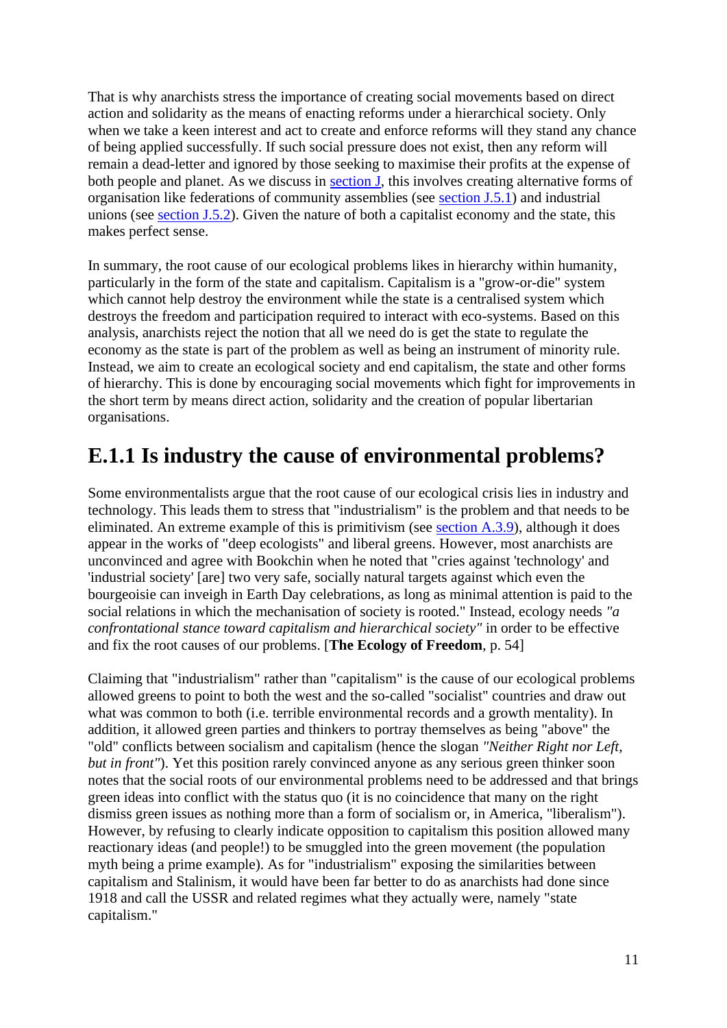That is why anarchists stress the importance of creating social movements based on direct action and solidarity as the means of enacting reforms under a hierarchical society. Only when we take a keen interest and act to create and enforce reforms will they stand any chance of being applied successfully. If such social pressure does not exist, then any reform will remain a dead-letter and ignored by those seeking to maximise their profits at the expense of both people and planet. As we discuss in [section J,](sectionJ.html) this involves creating alternative forms of organisation like federations of community assemblies (see [section J.5.1\)](sectionJ.html#secj51) and industrial unions (see [section J.5.2\)](sectionJ.html#secj52). Given the nature of both a capitalist economy and the state, this makes perfect sense.

In summary, the root cause of our ecological problems likes in hierarchy within humanity, particularly in the form of the state and capitalism. Capitalism is a "grow-or-die" system which cannot help destroy the environment while the state is a centralised system which destroys the freedom and participation required to interact with eco-systems. Based on this analysis, anarchists reject the notion that all we need do is get the state to regulate the economy as the state is part of the problem as well as being an instrument of minority rule. Instead, we aim to create an ecological society and end capitalism, the state and other forms of hierarchy. This is done by encouraging social movements which fight for improvements in the short term by means direct action, solidarity and the creation of popular libertarian organisations.

### <span id="page-10-0"></span>**E.1.1 Is industry the cause of environmental problems?**

Some environmentalists argue that the root cause of our ecological crisis lies in industry and technology. This leads them to stress that "industrialism" is the problem and that needs to be eliminated. An extreme example of this is primitivism (see [section A.3.9\)](sectionA.html#seca39), although it does appear in the works of "deep ecologists" and liberal greens. However, most anarchists are unconvinced and agree with Bookchin when he noted that "cries against 'technology' and 'industrial society' [are] two very safe, socially natural targets against which even the bourgeoisie can inveigh in Earth Day celebrations, as long as minimal attention is paid to the social relations in which the mechanisation of society is rooted." Instead, ecology needs *"a confrontational stance toward capitalism and hierarchical society"* in order to be effective and fix the root causes of our problems. [**The Ecology of Freedom**, p. 54]

Claiming that "industrialism" rather than "capitalism" is the cause of our ecological problems allowed greens to point to both the west and the so-called "socialist" countries and draw out what was common to both (i.e. terrible environmental records and a growth mentality). In addition, it allowed green parties and thinkers to portray themselves as being "above" the "old" conflicts between socialism and capitalism (hence the slogan *"Neither Right nor Left, but in front"*). Yet this position rarely convinced anyone as any serious green thinker soon notes that the social roots of our environmental problems need to be addressed and that brings green ideas into conflict with the status quo (it is no coincidence that many on the right dismiss green issues as nothing more than a form of socialism or, in America, "liberalism"). However, by refusing to clearly indicate opposition to capitalism this position allowed many reactionary ideas (and people!) to be smuggled into the green movement (the population myth being a prime example). As for "industrialism" exposing the similarities between capitalism and Stalinism, it would have been far better to do as anarchists had done since 1918 and call the USSR and related regimes what they actually were, namely "state capitalism."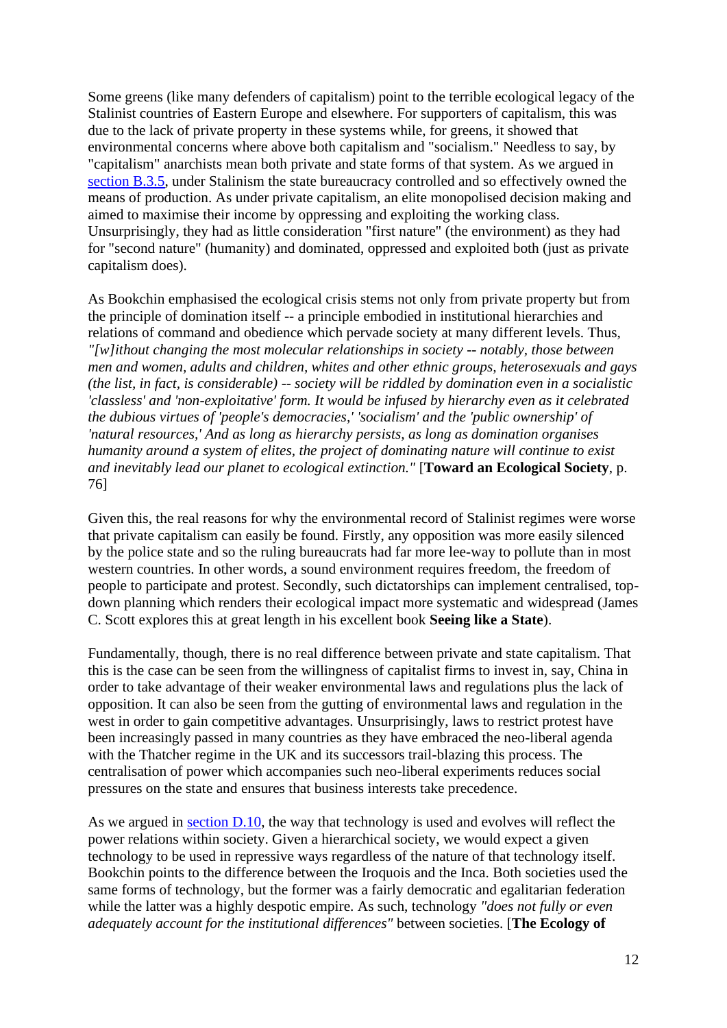Some greens (like many defenders of capitalism) point to the terrible ecological legacy of the Stalinist countries of Eastern Europe and elsewhere. For supporters of capitalism, this was due to the lack of private property in these systems while, for greens, it showed that environmental concerns where above both capitalism and "socialism." Needless to say, by "capitalism" anarchists mean both private and state forms of that system. As we argued in [section B.3.5,](sectionB.html#secb35) under Stalinism the state bureaucracy controlled and so effectively owned the means of production. As under private capitalism, an elite monopolised decision making and aimed to maximise their income by oppressing and exploiting the working class. Unsurprisingly, they had as little consideration "first nature" (the environment) as they had for "second nature" (humanity) and dominated, oppressed and exploited both (just as private capitalism does).

As Bookchin emphasised the ecological crisis stems not only from private property but from the principle of domination itself -- a principle embodied in institutional hierarchies and relations of command and obedience which pervade society at many different levels. Thus, *"[w]ithout changing the most molecular relationships in society -- notably, those between men and women, adults and children, whites and other ethnic groups, heterosexuals and gays (the list, in fact, is considerable) -- society will be riddled by domination even in a socialistic 'classless' and 'non-exploitative' form. It would be infused by hierarchy even as it celebrated the dubious virtues of 'people's democracies,' 'socialism' and the 'public ownership' of 'natural resources,' And as long as hierarchy persists, as long as domination organises humanity around a system of elites, the project of dominating nature will continue to exist and inevitably lead our planet to ecological extinction."* [**Toward an Ecological Society**, p. 76]

Given this, the real reasons for why the environmental record of Stalinist regimes were worse that private capitalism can easily be found. Firstly, any opposition was more easily silenced by the police state and so the ruling bureaucrats had far more lee-way to pollute than in most western countries. In other words, a sound environment requires freedom, the freedom of people to participate and protest. Secondly, such dictatorships can implement centralised, topdown planning which renders their ecological impact more systematic and widespread (James C. Scott explores this at great length in his excellent book **Seeing like a State**).

Fundamentally, though, there is no real difference between private and state capitalism. That this is the case can be seen from the willingness of capitalist firms to invest in, say, China in order to take advantage of their weaker environmental laws and regulations plus the lack of opposition. It can also be seen from the gutting of environmental laws and regulation in the west in order to gain competitive advantages. Unsurprisingly, laws to restrict protest have been increasingly passed in many countries as they have embraced the neo-liberal agenda with the Thatcher regime in the UK and its successors trail-blazing this process. The centralisation of power which accompanies such neo-liberal experiments reduces social pressures on the state and ensures that business interests take precedence.

As we argued in [section D.10,](sectionD.html#secd10) the way that technology is used and evolves will reflect the power relations within society. Given a hierarchical society, we would expect a given technology to be used in repressive ways regardless of the nature of that technology itself. Bookchin points to the difference between the Iroquois and the Inca. Both societies used the same forms of technology, but the former was a fairly democratic and egalitarian federation while the latter was a highly despotic empire. As such, technology *"does not fully or even adequately account for the institutional differences"* between societies. [**The Ecology of**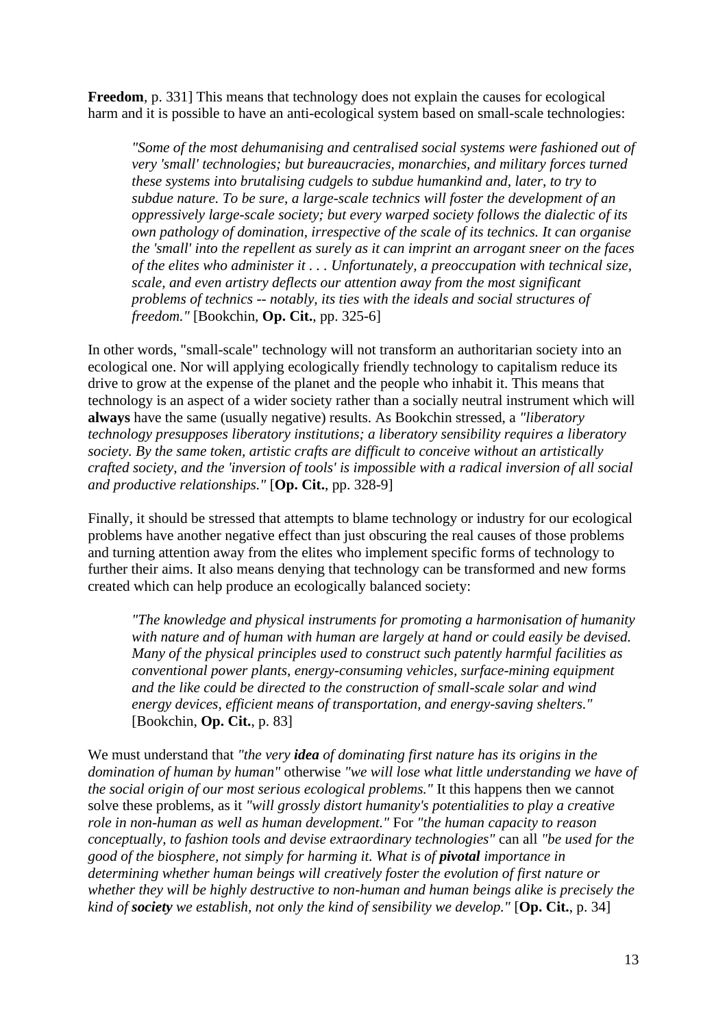**Freedom**, p. 331] This means that technology does not explain the causes for ecological harm and it is possible to have an anti-ecological system based on small-scale technologies:

*"Some of the most dehumanising and centralised social systems were fashioned out of very 'small' technologies; but bureaucracies, monarchies, and military forces turned these systems into brutalising cudgels to subdue humankind and, later, to try to subdue nature. To be sure, a large-scale technics will foster the development of an oppressively large-scale society; but every warped society follows the dialectic of its own pathology of domination, irrespective of the scale of its technics. It can organise the 'small' into the repellent as surely as it can imprint an arrogant sneer on the faces of the elites who administer it . . . Unfortunately, a preoccupation with technical size, scale, and even artistry deflects our attention away from the most significant problems of technics -- notably, its ties with the ideals and social structures of freedom."* [Bookchin, **Op. Cit.**, pp. 325-6]

In other words, "small-scale" technology will not transform an authoritarian society into an ecological one. Nor will applying ecologically friendly technology to capitalism reduce its drive to grow at the expense of the planet and the people who inhabit it. This means that technology is an aspect of a wider society rather than a socially neutral instrument which will **always** have the same (usually negative) results. As Bookchin stressed, a *"liberatory technology presupposes liberatory institutions; a liberatory sensibility requires a liberatory society. By the same token, artistic crafts are difficult to conceive without an artistically crafted society, and the 'inversion of tools' is impossible with a radical inversion of all social and productive relationships."* [**Op. Cit.**, pp. 328-9]

Finally, it should be stressed that attempts to blame technology or industry for our ecological problems have another negative effect than just obscuring the real causes of those problems and turning attention away from the elites who implement specific forms of technology to further their aims. It also means denying that technology can be transformed and new forms created which can help produce an ecologically balanced society:

*"The knowledge and physical instruments for promoting a harmonisation of humanity with nature and of human with human are largely at hand or could easily be devised. Many of the physical principles used to construct such patently harmful facilities as conventional power plants, energy-consuming vehicles, surface-mining equipment and the like could be directed to the construction of small-scale solar and wind energy devices, efficient means of transportation, and energy-saving shelters."* [Bookchin, **Op. Cit.**, p. 83]

We must understand that *"the very idea of dominating first nature has its origins in the domination of human by human"* otherwise *"we will lose what little understanding we have of the social origin of our most serious ecological problems."* It this happens then we cannot solve these problems, as it *"will grossly distort humanity's potentialities to play a creative role in non-human as well as human development."* For *"the human capacity to reason conceptually, to fashion tools and devise extraordinary technologies"* can all *"be used for the good of the biosphere, not simply for harming it. What is of pivotal importance in determining whether human beings will creatively foster the evolution of first nature or whether they will be highly destructive to non-human and human beings alike is precisely the kind of society we establish, not only the kind of sensibility we develop."* [**Op. Cit.**, p. 34]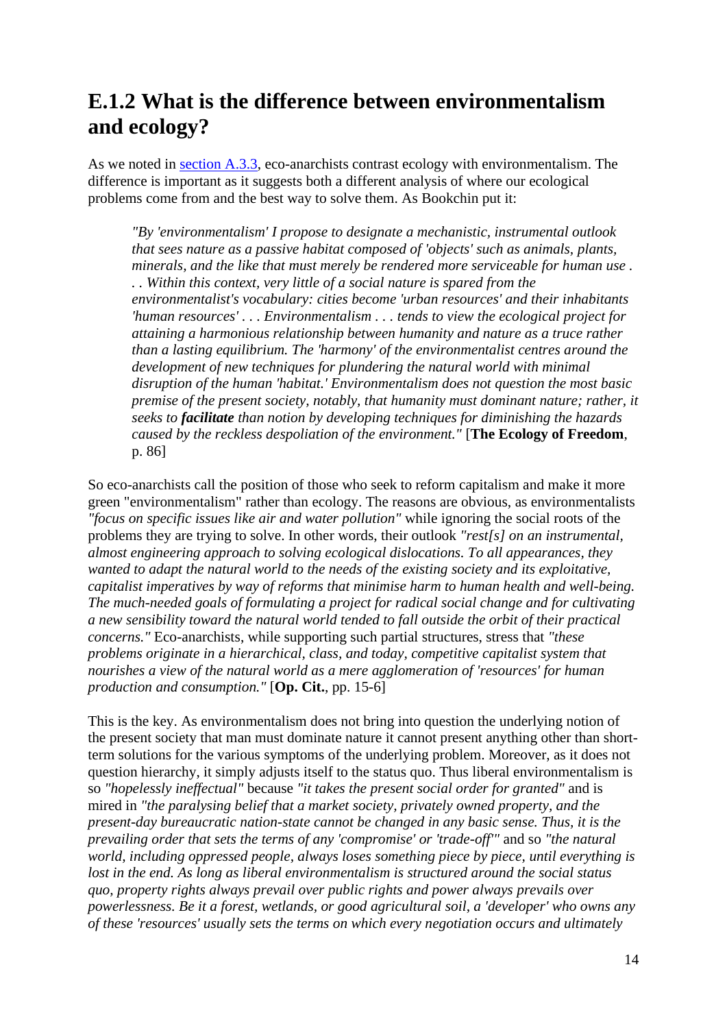### <span id="page-13-0"></span>**E.1.2 What is the difference between environmentalism and ecology?**

As we noted in [section A.3.3,](sectionA.html#seca33) eco-anarchists contrast ecology with environmentalism. The difference is important as it suggests both a different analysis of where our ecological problems come from and the best way to solve them. As Bookchin put it:

*"By 'environmentalism' I propose to designate a mechanistic, instrumental outlook that sees nature as a passive habitat composed of 'objects' such as animals, plants, minerals, and the like that must merely be rendered more serviceable for human use . . . Within this context, very little of a social nature is spared from the environmentalist's vocabulary: cities become 'urban resources' and their inhabitants 'human resources' . . . Environmentalism . . . tends to view the ecological project for attaining a harmonious relationship between humanity and nature as a truce rather than a lasting equilibrium. The 'harmony' of the environmentalist centres around the development of new techniques for plundering the natural world with minimal disruption of the human 'habitat.' Environmentalism does not question the most basic premise of the present society, notably, that humanity must dominant nature; rather, it seeks to facilitate than notion by developing techniques for diminishing the hazards caused by the reckless despoliation of the environment."* [**The Ecology of Freedom**, p. 86]

So eco-anarchists call the position of those who seek to reform capitalism and make it more green "environmentalism" rather than ecology. The reasons are obvious, as environmentalists *"focus on specific issues like air and water pollution"* while ignoring the social roots of the problems they are trying to solve. In other words, their outlook *"rest[s] on an instrumental, almost engineering approach to solving ecological dislocations. To all appearances, they wanted to adapt the natural world to the needs of the existing society and its exploitative, capitalist imperatives by way of reforms that minimise harm to human health and well-being. The much-needed goals of formulating a project for radical social change and for cultivating a new sensibility toward the natural world tended to fall outside the orbit of their practical concerns."* Eco-anarchists, while supporting such partial structures, stress that *"these problems originate in a hierarchical, class, and today, competitive capitalist system that nourishes a view of the natural world as a mere agglomeration of 'resources' for human production and consumption."* [**Op. Cit.**, pp. 15-6]

This is the key. As environmentalism does not bring into question the underlying notion of the present society that man must dominate nature it cannot present anything other than shortterm solutions for the various symptoms of the underlying problem. Moreover, as it does not question hierarchy, it simply adjusts itself to the status quo. Thus liberal environmentalism is so *"hopelessly ineffectual"* because *"it takes the present social order for granted"* and is mired in *"the paralysing belief that a market society, privately owned property, and the present-day bureaucratic nation-state cannot be changed in any basic sense. Thus, it is the prevailing order that sets the terms of any 'compromise' or 'trade-off'"* and so *"the natural world, including oppressed people, always loses something piece by piece, until everything is lost in the end. As long as liberal environmentalism is structured around the social status quo, property rights always prevail over public rights and power always prevails over powerlessness. Be it a forest, wetlands, or good agricultural soil, a 'developer' who owns any of these 'resources' usually sets the terms on which every negotiation occurs and ultimately*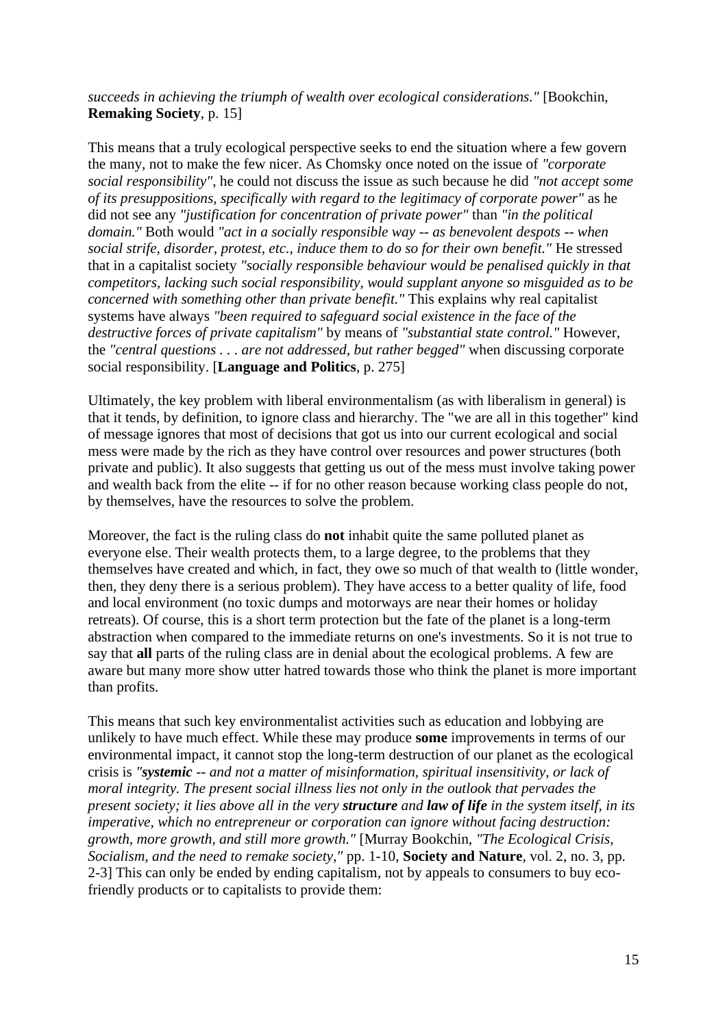#### *succeeds in achieving the triumph of wealth over ecological considerations."* [Bookchin, **Remaking Society**, p. 15]

This means that a truly ecological perspective seeks to end the situation where a few govern the many, not to make the few nicer. As Chomsky once noted on the issue of *"corporate social responsibility"*, he could not discuss the issue as such because he did *"not accept some of its presuppositions, specifically with regard to the legitimacy of corporate power"* as he did not see any *"justification for concentration of private power"* than *"in the political domain."* Both would *"act in a socially responsible way -- as benevolent despots -- when social strife, disorder, protest, etc., induce them to do so for their own benefit."* He stressed that in a capitalist society *"socially responsible behaviour would be penalised quickly in that competitors, lacking such social responsibility, would supplant anyone so misguided as to be concerned with something other than private benefit."* This explains why real capitalist systems have always *"been required to safeguard social existence in the face of the destructive forces of private capitalism"* by means of *"substantial state control."* However, the *"central questions . . . are not addressed, but rather begged"* when discussing corporate social responsibility. [**Language and Politics**, p. 275]

Ultimately, the key problem with liberal environmentalism (as with liberalism in general) is that it tends, by definition, to ignore class and hierarchy. The "we are all in this together" kind of message ignores that most of decisions that got us into our current ecological and social mess were made by the rich as they have control over resources and power structures (both private and public). It also suggests that getting us out of the mess must involve taking power and wealth back from the elite -- if for no other reason because working class people do not, by themselves, have the resources to solve the problem.

Moreover, the fact is the ruling class do **not** inhabit quite the same polluted planet as everyone else. Their wealth protects them, to a large degree, to the problems that they themselves have created and which, in fact, they owe so much of that wealth to (little wonder, then, they deny there is a serious problem). They have access to a better quality of life, food and local environment (no toxic dumps and motorways are near their homes or holiday retreats). Of course, this is a short term protection but the fate of the planet is a long-term abstraction when compared to the immediate returns on one's investments. So it is not true to say that **all** parts of the ruling class are in denial about the ecological problems. A few are aware but many more show utter hatred towards those who think the planet is more important than profits.

This means that such key environmentalist activities such as education and lobbying are unlikely to have much effect. While these may produce **some** improvements in terms of our environmental impact, it cannot stop the long-term destruction of our planet as the ecological crisis is *"systemic -- and not a matter of misinformation, spiritual insensitivity, or lack of moral integrity. The present social illness lies not only in the outlook that pervades the present society; it lies above all in the very structure and law of life in the system itself, in its imperative, which no entrepreneur or corporation can ignore without facing destruction: growth, more growth, and still more growth."* [Murray Bookchin, *"The Ecological Crisis, Socialism, and the need to remake society,"* pp. 1-10, **Society and Nature**, vol. 2, no. 3, pp. 2-3] This can only be ended by ending capitalism, not by appeals to consumers to buy ecofriendly products or to capitalists to provide them: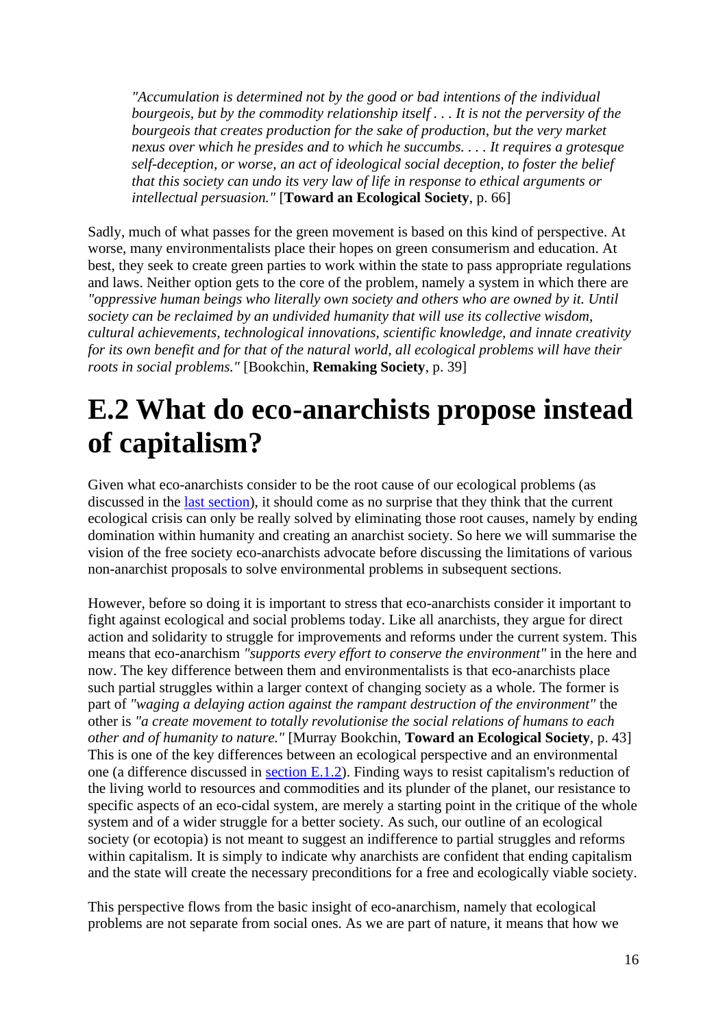*"Accumulation is determined not by the good or bad intentions of the individual bourgeois, but by the commodity relationship itself . . . It is not the perversity of the bourgeois that creates production for the sake of production, but the very market nexus over which he presides and to which he succumbs. . . . It requires a grotesque self-deception, or worse, an act of ideological social deception, to foster the belief that this society can undo its very law of life in response to ethical arguments or intellectual persuasion."* [**Toward an Ecological Society**, p. 66]

Sadly, much of what passes for the green movement is based on this kind of perspective. At worse, many environmentalists place their hopes on green consumerism and education. At best, they seek to create green parties to work within the state to pass appropriate regulations and laws. Neither option gets to the core of the problem, namely a system in which there are *"oppressive human beings who literally own society and others who are owned by it. Until society can be reclaimed by an undivided humanity that will use its collective wisdom, cultural achievements, technological innovations, scientific knowledge, and innate creativity for its own benefit and for that of the natural world, all ecological problems will have their roots in social problems."* [Bookchin, **Remaking Society**, p. 39]

## <span id="page-15-0"></span>**E.2 What do eco-anarchists propose instead of capitalism?**

Given what eco-anarchists consider to be the root cause of our ecological problems (as discussed in the [last section\)](sectionE.html#sece1), it should come as no surprise that they think that the current ecological crisis can only be really solved by eliminating those root causes, namely by ending domination within humanity and creating an anarchist society. So here we will summarise the vision of the free society eco-anarchists advocate before discussing the limitations of various non-anarchist proposals to solve environmental problems in subsequent sections.

However, before so doing it is important to stress that eco-anarchists consider it important to fight against ecological and social problems today. Like all anarchists, they argue for direct action and solidarity to struggle for improvements and reforms under the current system. This means that eco-anarchism *"supports every effort to conserve the environment"* in the here and now. The key difference between them and environmentalists is that eco-anarchists place such partial struggles within a larger context of changing society as a whole. The former is part of *"waging a delaying action against the rampant destruction of the environment"* the other is *"a create movement to totally revolutionise the social relations of humans to each other and of humanity to nature."* [Murray Bookchin, **Toward an Ecological Society**, p. 43] This is one of the key differences between an ecological perspective and an environmental one (a difference discussed in [section E.1.2\)](sectionE.html#sece12). Finding ways to resist capitalism's reduction of the living world to resources and commodities and its plunder of the planet, our resistance to specific aspects of an eco-cidal system, are merely a starting point in the critique of the whole system and of a wider struggle for a better society. As such, our outline of an ecological society (or ecotopia) is not meant to suggest an indifference to partial struggles and reforms within capitalism. It is simply to indicate why anarchists are confident that ending capitalism and the state will create the necessary preconditions for a free and ecologically viable society.

This perspective flows from the basic insight of eco-anarchism, namely that ecological problems are not separate from social ones. As we are part of nature, it means that how we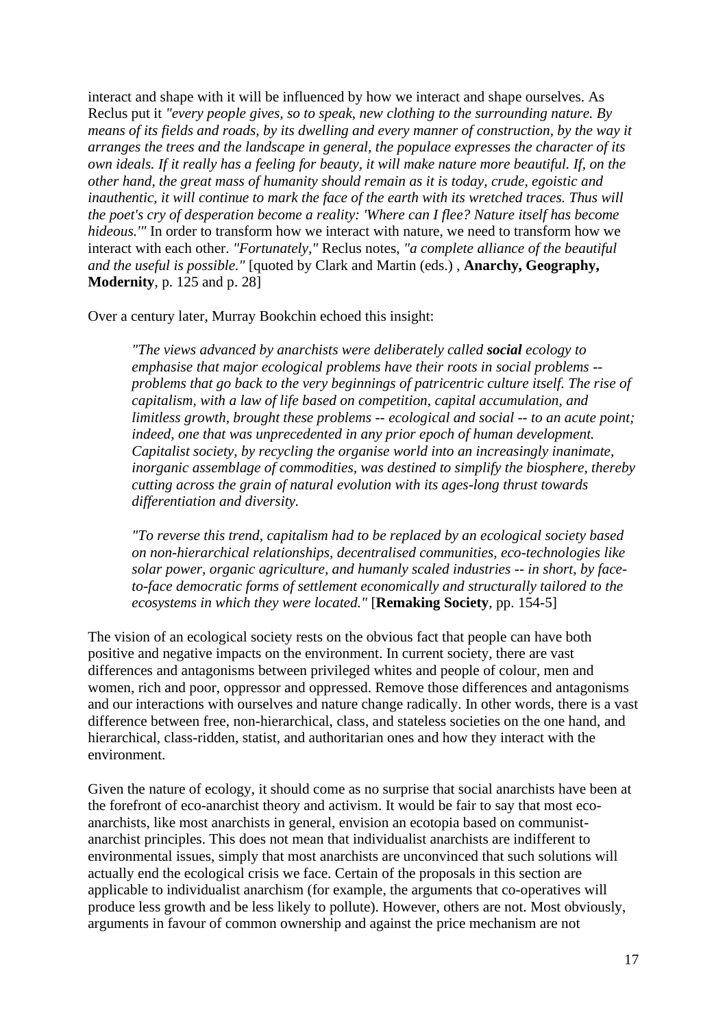interact and shape with it will be influenced by how we interact and shape ourselves. As Reclus put it *"every people gives, so to speak, new clothing to the surrounding nature. By means of its fields and roads, by its dwelling and every manner of construction, by the way it arranges the trees and the landscape in general, the populace expresses the character of its own ideals. If it really has a feeling for beauty, it will make nature more beautiful. If, on the other hand, the great mass of humanity should remain as it is today, crude, egoistic and inauthentic, it will continue to mark the face of the earth with its wretched traces. Thus will the poet's cry of desperation become a reality: 'Where can I flee? Nature itself has become hideous.'"* In order to transform how we interact with nature, we need to transform how we interact with each other. *"Fortunately,"* Reclus notes, *"a complete alliance of the beautiful and the useful is possible."* [quoted by Clark and Martin (eds.) , **Anarchy, Geography, Modernity**, p. 125 and p. 28]

Over a century later, Murray Bookchin echoed this insight:

*"The views advanced by anarchists were deliberately called social ecology to emphasise that major ecological problems have their roots in social problems - problems that go back to the very beginnings of patricentric culture itself. The rise of capitalism, with a law of life based on competition, capital accumulation, and limitless growth, brought these problems -- ecological and social -- to an acute point; indeed, one that was unprecedented in any prior epoch of human development. Capitalist society, by recycling the organise world into an increasingly inanimate, inorganic assemblage of commodities, was destined to simplify the biosphere, thereby cutting across the grain of natural evolution with its ages-long thrust towards differentiation and diversity.*

*"To reverse this trend, capitalism had to be replaced by an ecological society based on non-hierarchical relationships, decentralised communities, eco-technologies like solar power, organic agriculture, and humanly scaled industries -- in short, by faceto-face democratic forms of settlement economically and structurally tailored to the ecosystems in which they were located."* [**Remaking Society**, pp. 154-5]

The vision of an ecological society rests on the obvious fact that people can have both positive and negative impacts on the environment. In current society, there are vast differences and antagonisms between privileged whites and people of colour, men and women, rich and poor, oppressor and oppressed. Remove those differences and antagonisms and our interactions with ourselves and nature change radically. In other words, there is a vast difference between free, non-hierarchical, class, and stateless societies on the one hand, and hierarchical, class-ridden, statist, and authoritarian ones and how they interact with the environment.

Given the nature of ecology, it should come as no surprise that social anarchists have been at the forefront of eco-anarchist theory and activism. It would be fair to say that most ecoanarchists, like most anarchists in general, envision an ecotopia based on communistanarchist principles. This does not mean that individualist anarchists are indifferent to environmental issues, simply that most anarchists are unconvinced that such solutions will actually end the ecological crisis we face. Certain of the proposals in this section are applicable to individualist anarchism (for example, the arguments that co-operatives will produce less growth and be less likely to pollute). However, others are not. Most obviously, arguments in favour of common ownership and against the price mechanism are not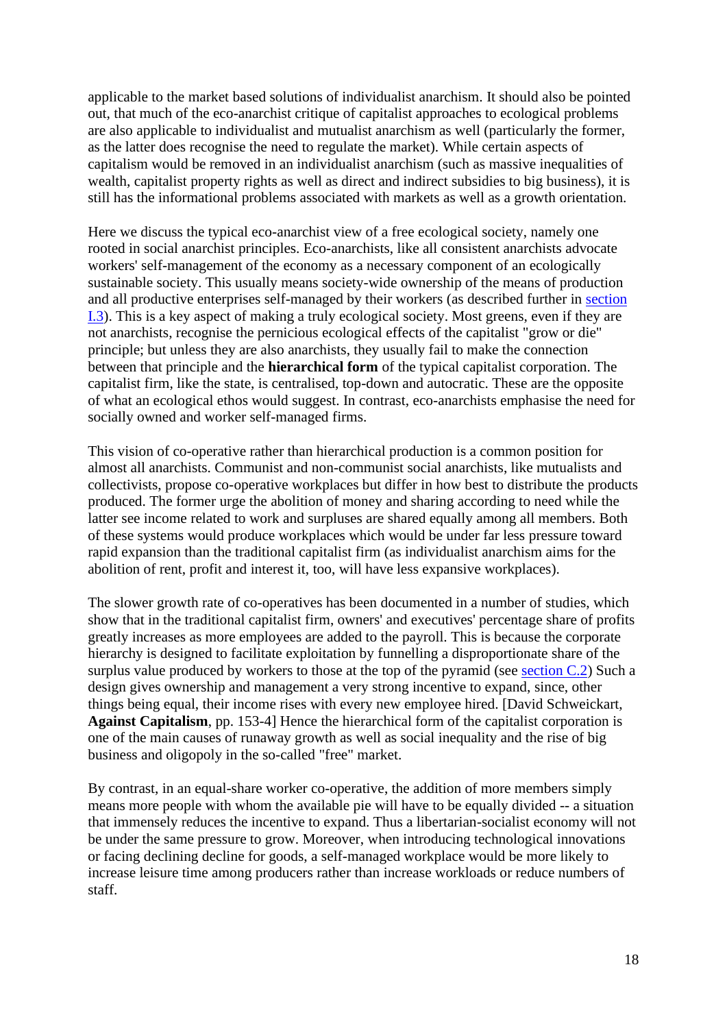applicable to the market based solutions of individualist anarchism. It should also be pointed out, that much of the eco-anarchist critique of capitalist approaches to ecological problems are also applicable to individualist and mutualist anarchism as well (particularly the former, as the latter does recognise the need to regulate the market). While certain aspects of capitalism would be removed in an individualist anarchism (such as massive inequalities of wealth, capitalist property rights as well as direct and indirect subsidies to big business), it is still has the informational problems associated with markets as well as a growth orientation.

Here we discuss the typical eco-anarchist view of a free ecological society, namely one rooted in social anarchist principles. Eco-anarchists, like all consistent anarchists advocate workers' self-management of the economy as a necessary component of an ecologically sustainable society. This usually means society-wide ownership of the means of production and all productive enterprises self-managed by their workers (as described further in [section](sectionI.html#seci3)  [I.3\)](sectionI.html#seci3). This is a key aspect of making a truly ecological society. Most greens, even if they are not anarchists, recognise the pernicious ecological effects of the capitalist "grow or die" principle; but unless they are also anarchists, they usually fail to make the connection between that principle and the **hierarchical form** of the typical capitalist corporation. The capitalist firm, like the state, is centralised, top-down and autocratic. These are the opposite of what an ecological ethos would suggest. In contrast, eco-anarchists emphasise the need for socially owned and worker self-managed firms.

This vision of co-operative rather than hierarchical production is a common position for almost all anarchists. Communist and non-communist social anarchists, like mutualists and collectivists, propose co-operative workplaces but differ in how best to distribute the products produced. The former urge the abolition of money and sharing according to need while the latter see income related to work and surpluses are shared equally among all members. Both of these systems would produce workplaces which would be under far less pressure toward rapid expansion than the traditional capitalist firm (as individualist anarchism aims for the abolition of rent, profit and interest it, too, will have less expansive workplaces).

The slower growth rate of co-operatives has been documented in a number of studies, which show that in the traditional capitalist firm, owners' and executives' percentage share of profits greatly increases as more employees are added to the payroll. This is because the corporate hierarchy is designed to facilitate exploitation by funnelling a disproportionate share of the surplus value produced by workers to those at the top of the pyramid (see [section C.2\)](sectionC.html#secc2) Such a design gives ownership and management a very strong incentive to expand, since, other things being equal, their income rises with every new employee hired. [David Schweickart, **Against Capitalism**, pp. 153-4] Hence the hierarchical form of the capitalist corporation is one of the main causes of runaway growth as well as social inequality and the rise of big business and oligopoly in the so-called "free" market.

By contrast, in an equal-share worker co-operative, the addition of more members simply means more people with whom the available pie will have to be equally divided -- a situation that immensely reduces the incentive to expand. Thus a libertarian-socialist economy will not be under the same pressure to grow. Moreover, when introducing technological innovations or facing declining decline for goods, a self-managed workplace would be more likely to increase leisure time among producers rather than increase workloads or reduce numbers of staff.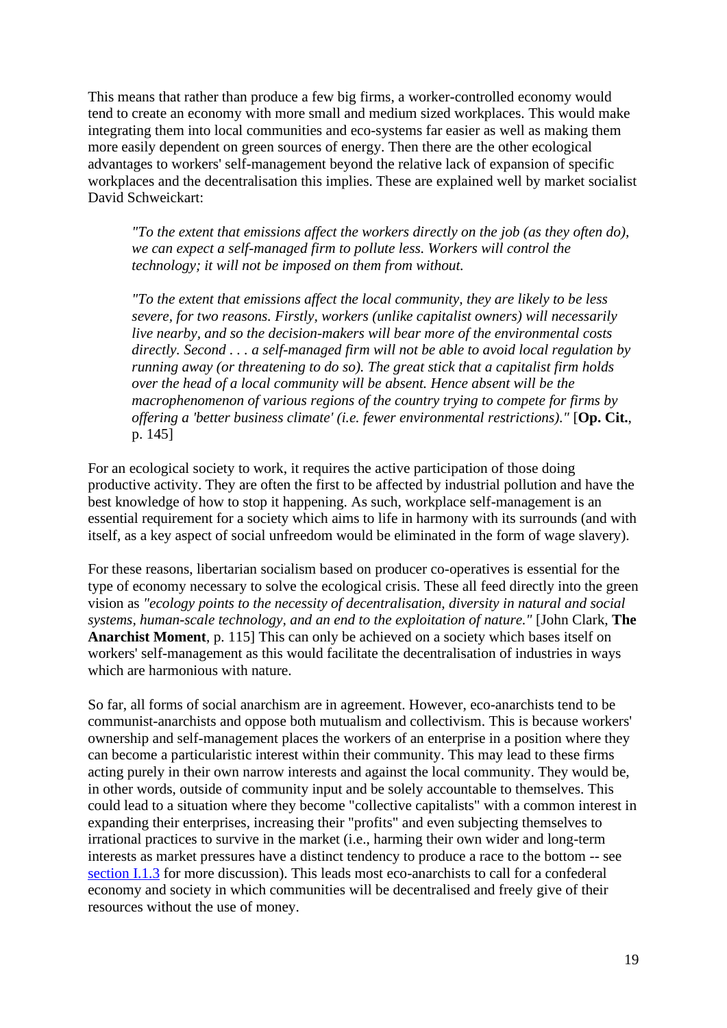This means that rather than produce a few big firms, a worker-controlled economy would tend to create an economy with more small and medium sized workplaces. This would make integrating them into local communities and eco-systems far easier as well as making them more easily dependent on green sources of energy. Then there are the other ecological advantages to workers' self-management beyond the relative lack of expansion of specific workplaces and the decentralisation this implies. These are explained well by market socialist David Schweickart:

*"To the extent that emissions affect the workers directly on the job (as they often do), we can expect a self-managed firm to pollute less. Workers will control the technology; it will not be imposed on them from without.*

*"To the extent that emissions affect the local community, they are likely to be less severe, for two reasons. Firstly, workers (unlike capitalist owners) will necessarily live nearby, and so the decision-makers will bear more of the environmental costs directly. Second . . . a self-managed firm will not be able to avoid local regulation by running away (or threatening to do so). The great stick that a capitalist firm holds over the head of a local community will be absent. Hence absent will be the macrophenomenon of various regions of the country trying to compete for firms by offering a 'better business climate' (i.e. fewer environmental restrictions)."* [**Op. Cit.**, p. 145]

For an ecological society to work, it requires the active participation of those doing productive activity. They are often the first to be affected by industrial pollution and have the best knowledge of how to stop it happening. As such, workplace self-management is an essential requirement for a society which aims to life in harmony with its surrounds (and with itself, as a key aspect of social unfreedom would be eliminated in the form of wage slavery).

For these reasons, libertarian socialism based on producer co-operatives is essential for the type of economy necessary to solve the ecological crisis. These all feed directly into the green vision as *"ecology points to the necessity of decentralisation, diversity in natural and social systems, human-scale technology, and an end to the exploitation of nature."* [John Clark, **The Anarchist Moment**, p. 115] This can only be achieved on a society which bases itself on workers' self-management as this would facilitate the decentralisation of industries in ways which are harmonious with nature.

So far, all forms of social anarchism are in agreement. However, eco-anarchists tend to be communist-anarchists and oppose both mutualism and collectivism. This is because workers' ownership and self-management places the workers of an enterprise in a position where they can become a particularistic interest within their community. This may lead to these firms acting purely in their own narrow interests and against the local community. They would be, in other words, outside of community input and be solely accountable to themselves. This could lead to a situation where they become "collective capitalists" with a common interest in expanding their enterprises, increasing their "profits" and even subjecting themselves to irrational practices to survive in the market (i.e., harming their own wider and long-term interests as market pressures have a distinct tendency to produce a race to the bottom -- see [section I.1.3](sectionI.html#seci13) for more discussion). This leads most eco-anarchists to call for a confederal economy and society in which communities will be decentralised and freely give of their resources without the use of money.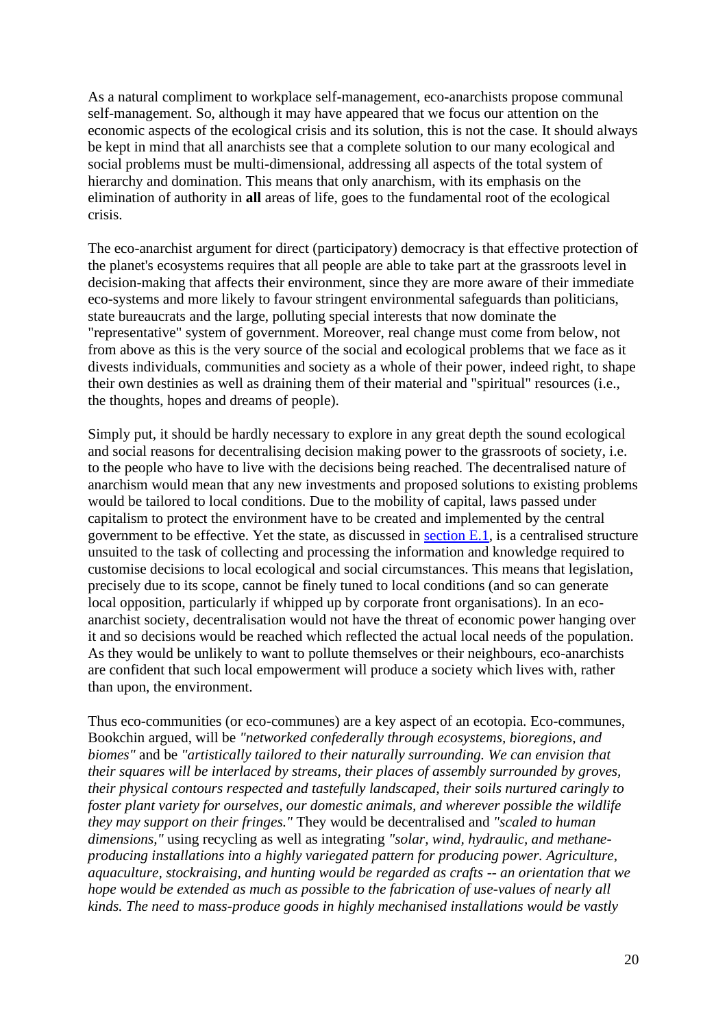As a natural compliment to workplace self-management, eco-anarchists propose communal self-management. So, although it may have appeared that we focus our attention on the economic aspects of the ecological crisis and its solution, this is not the case. It should always be kept in mind that all anarchists see that a complete solution to our many ecological and social problems must be multi-dimensional, addressing all aspects of the total system of hierarchy and domination. This means that only anarchism, with its emphasis on the elimination of authority in **all** areas of life, goes to the fundamental root of the ecological crisis.

The eco-anarchist argument for direct (participatory) democracy is that effective protection of the planet's ecosystems requires that all people are able to take part at the grassroots level in decision-making that affects their environment, since they are more aware of their immediate eco-systems and more likely to favour stringent environmental safeguards than politicians, state bureaucrats and the large, polluting special interests that now dominate the "representative" system of government. Moreover, real change must come from below, not from above as this is the very source of the social and ecological problems that we face as it divests individuals, communities and society as a whole of their power, indeed right, to shape their own destinies as well as draining them of their material and "spiritual" resources (i.e., the thoughts, hopes and dreams of people).

Simply put, it should be hardly necessary to explore in any great depth the sound ecological and social reasons for decentralising decision making power to the grassroots of society, i.e. to the people who have to live with the decisions being reached. The decentralised nature of anarchism would mean that any new investments and proposed solutions to existing problems would be tailored to local conditions. Due to the mobility of capital, laws passed under capitalism to protect the environment have to be created and implemented by the central government to be effective. Yet the state, as discussed in [section E.1,](sectionE.html#sece1) is a centralised structure unsuited to the task of collecting and processing the information and knowledge required to customise decisions to local ecological and social circumstances. This means that legislation, precisely due to its scope, cannot be finely tuned to local conditions (and so can generate local opposition, particularly if whipped up by corporate front organisations). In an ecoanarchist society, decentralisation would not have the threat of economic power hanging over it and so decisions would be reached which reflected the actual local needs of the population. As they would be unlikely to want to pollute themselves or their neighbours, eco-anarchists are confident that such local empowerment will produce a society which lives with, rather than upon, the environment.

Thus eco-communities (or eco-communes) are a key aspect of an ecotopia. Eco-communes, Bookchin argued, will be *"networked confederally through ecosystems, bioregions, and biomes"* and be *"artistically tailored to their naturally surrounding. We can envision that their squares will be interlaced by streams, their places of assembly surrounded by groves, their physical contours respected and tastefully landscaped, their soils nurtured caringly to foster plant variety for ourselves, our domestic animals, and wherever possible the wildlife they may support on their fringes."* They would be decentralised and *"scaled to human dimensions,"* using recycling as well as integrating *"solar, wind, hydraulic, and methaneproducing installations into a highly variegated pattern for producing power. Agriculture, aquaculture, stockraising, and hunting would be regarded as crafts -- an orientation that we hope would be extended as much as possible to the fabrication of use-values of nearly all kinds. The need to mass-produce goods in highly mechanised installations would be vastly*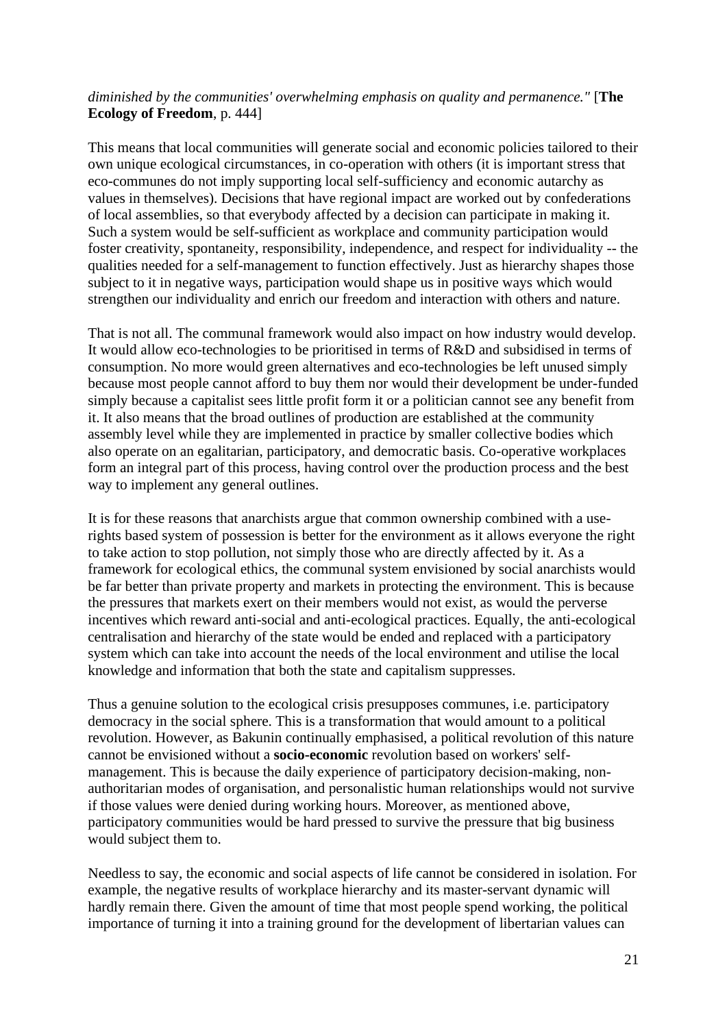#### *diminished by the communities' overwhelming emphasis on quality and permanence."* [**The Ecology of Freedom**, p. 444]

This means that local communities will generate social and economic policies tailored to their own unique ecological circumstances, in co-operation with others (it is important stress that eco-communes do not imply supporting local self-sufficiency and economic autarchy as values in themselves). Decisions that have regional impact are worked out by confederations of local assemblies, so that everybody affected by a decision can participate in making it. Such a system would be self-sufficient as workplace and community participation would foster creativity, spontaneity, responsibility, independence, and respect for individuality -- the qualities needed for a self-management to function effectively. Just as hierarchy shapes those subject to it in negative ways, participation would shape us in positive ways which would strengthen our individuality and enrich our freedom and interaction with others and nature.

That is not all. The communal framework would also impact on how industry would develop. It would allow eco-technologies to be prioritised in terms of R&D and subsidised in terms of consumption. No more would green alternatives and eco-technologies be left unused simply because most people cannot afford to buy them nor would their development be under-funded simply because a capitalist sees little profit form it or a politician cannot see any benefit from it. It also means that the broad outlines of production are established at the community assembly level while they are implemented in practice by smaller collective bodies which also operate on an egalitarian, participatory, and democratic basis. Co-operative workplaces form an integral part of this process, having control over the production process and the best way to implement any general outlines.

It is for these reasons that anarchists argue that common ownership combined with a userights based system of possession is better for the environment as it allows everyone the right to take action to stop pollution, not simply those who are directly affected by it. As a framework for ecological ethics, the communal system envisioned by social anarchists would be far better than private property and markets in protecting the environment. This is because the pressures that markets exert on their members would not exist, as would the perverse incentives which reward anti-social and anti-ecological practices. Equally, the anti-ecological centralisation and hierarchy of the state would be ended and replaced with a participatory system which can take into account the needs of the local environment and utilise the local knowledge and information that both the state and capitalism suppresses.

Thus a genuine solution to the ecological crisis presupposes communes, i.e. participatory democracy in the social sphere. This is a transformation that would amount to a political revolution. However, as Bakunin continually emphasised, a political revolution of this nature cannot be envisioned without a **socio-economic** revolution based on workers' selfmanagement. This is because the daily experience of participatory decision-making, nonauthoritarian modes of organisation, and personalistic human relationships would not survive if those values were denied during working hours. Moreover, as mentioned above, participatory communities would be hard pressed to survive the pressure that big business would subject them to.

Needless to say, the economic and social aspects of life cannot be considered in isolation. For example, the negative results of workplace hierarchy and its master-servant dynamic will hardly remain there. Given the amount of time that most people spend working, the political importance of turning it into a training ground for the development of libertarian values can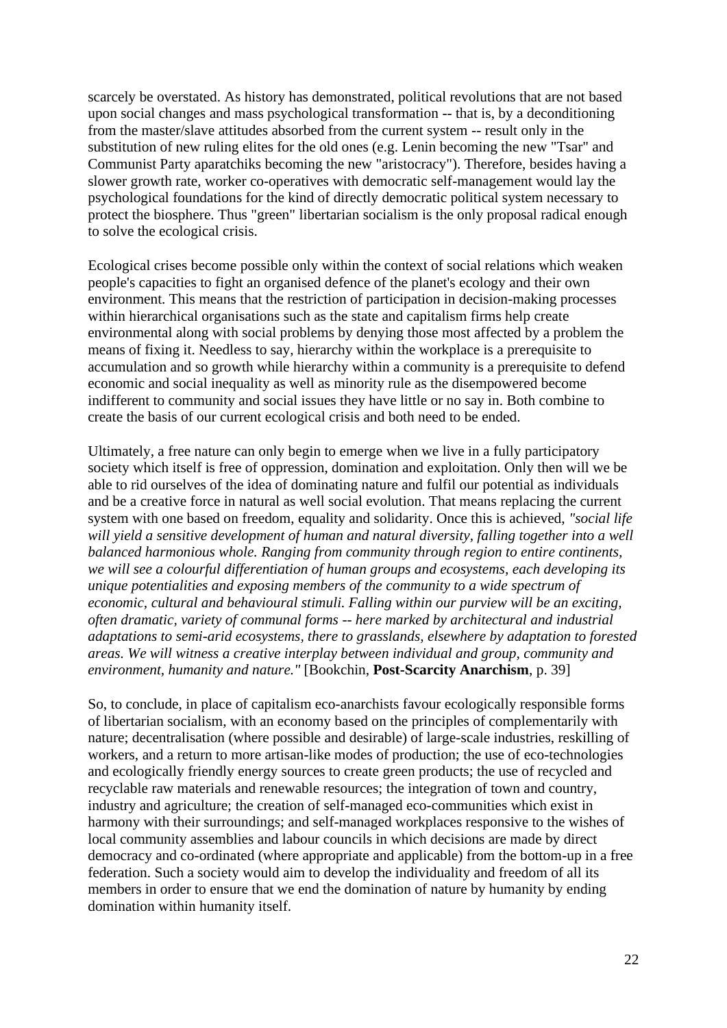scarcely be overstated. As history has demonstrated, political revolutions that are not based upon social changes and mass psychological transformation -- that is, by a deconditioning from the master/slave attitudes absorbed from the current system -- result only in the substitution of new ruling elites for the old ones (e.g. Lenin becoming the new "Tsar" and Communist Party aparatchiks becoming the new "aristocracy"). Therefore, besides having a slower growth rate, worker co-operatives with democratic self-management would lay the psychological foundations for the kind of directly democratic political system necessary to protect the biosphere. Thus "green" libertarian socialism is the only proposal radical enough to solve the ecological crisis.

Ecological crises become possible only within the context of social relations which weaken people's capacities to fight an organised defence of the planet's ecology and their own environment. This means that the restriction of participation in decision-making processes within hierarchical organisations such as the state and capitalism firms help create environmental along with social problems by denying those most affected by a problem the means of fixing it. Needless to say, hierarchy within the workplace is a prerequisite to accumulation and so growth while hierarchy within a community is a prerequisite to defend economic and social inequality as well as minority rule as the disempowered become indifferent to community and social issues they have little or no say in. Both combine to create the basis of our current ecological crisis and both need to be ended.

Ultimately, a free nature can only begin to emerge when we live in a fully participatory society which itself is free of oppression, domination and exploitation. Only then will we be able to rid ourselves of the idea of dominating nature and fulfil our potential as individuals and be a creative force in natural as well social evolution. That means replacing the current system with one based on freedom, equality and solidarity. Once this is achieved, *"social life will yield a sensitive development of human and natural diversity, falling together into a well balanced harmonious whole. Ranging from community through region to entire continents, we will see a colourful differentiation of human groups and ecosystems, each developing its unique potentialities and exposing members of the community to a wide spectrum of economic, cultural and behavioural stimuli. Falling within our purview will be an exciting, often dramatic, variety of communal forms -- here marked by architectural and industrial adaptations to semi-arid ecosystems, there to grasslands, elsewhere by adaptation to forested areas. We will witness a creative interplay between individual and group, community and environment, humanity and nature."* [Bookchin, **Post-Scarcity Anarchism**, p. 39]

So, to conclude, in place of capitalism eco-anarchists favour ecologically responsible forms of libertarian socialism, with an economy based on the principles of complementarily with nature; decentralisation (where possible and desirable) of large-scale industries, reskilling of workers, and a return to more artisan-like modes of production; the use of eco-technologies and ecologically friendly energy sources to create green products; the use of recycled and recyclable raw materials and renewable resources; the integration of town and country, industry and agriculture; the creation of self-managed eco-communities which exist in harmony with their surroundings; and self-managed workplaces responsive to the wishes of local community assemblies and labour councils in which decisions are made by direct democracy and co-ordinated (where appropriate and applicable) from the bottom-up in a free federation. Such a society would aim to develop the individuality and freedom of all its members in order to ensure that we end the domination of nature by humanity by ending domination within humanity itself.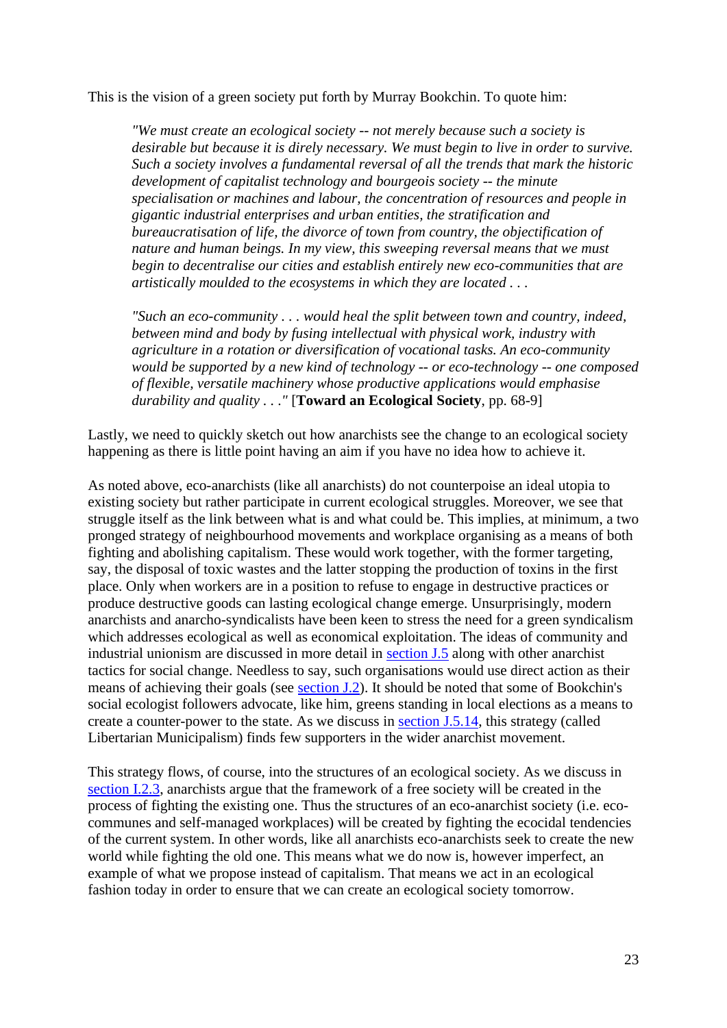This is the vision of a green society put forth by Murray Bookchin. To quote him:

*"We must create an ecological society -- not merely because such a society is desirable but because it is direly necessary. We must begin to live in order to survive. Such a society involves a fundamental reversal of all the trends that mark the historic development of capitalist technology and bourgeois society -- the minute specialisation or machines and labour, the concentration of resources and people in gigantic industrial enterprises and urban entities, the stratification and bureaucratisation of life, the divorce of town from country, the objectification of nature and human beings. In my view, this sweeping reversal means that we must begin to decentralise our cities and establish entirely new eco-communities that are artistically moulded to the ecosystems in which they are located . . .* 

*"Such an eco-community . . . would heal the split between town and country, indeed, between mind and body by fusing intellectual with physical work, industry with agriculture in a rotation or diversification of vocational tasks. An eco-community would be supported by a new kind of technology -- or eco-technology -- one composed of flexible, versatile machinery whose productive applications would emphasise durability and quality . . ."* [**Toward an Ecological Society**, pp. 68-9]

Lastly, we need to quickly sketch out how anarchists see the change to an ecological society happening as there is little point having an aim if you have no idea how to achieve it.

As noted above, eco-anarchists (like all anarchists) do not counterpoise an ideal utopia to existing society but rather participate in current ecological struggles. Moreover, we see that struggle itself as the link between what is and what could be. This implies, at minimum, a two pronged strategy of neighbourhood movements and workplace organising as a means of both fighting and abolishing capitalism. These would work together, with the former targeting, say, the disposal of toxic wastes and the latter stopping the production of toxins in the first place. Only when workers are in a position to refuse to engage in destructive practices or produce destructive goods can lasting ecological change emerge. Unsurprisingly, modern anarchists and anarcho-syndicalists have been keen to stress the need for a green syndicalism which addresses ecological as well as economical exploitation. The ideas of community and industrial unionism are discussed in more detail in [section J.5](sectionJ.html#secj5) along with other anarchist tactics for social change. Needless to say, such organisations would use direct action as their means of achieving their goals (see [section J.2\)](sectionJ.html#secj2). It should be noted that some of Bookchin's social ecologist followers advocate, like him, greens standing in local elections as a means to create a counter-power to the state. As we discuss in [section J.5.14,](sectionJ.html#secj514) this strategy (called Libertarian Municipalism) finds few supporters in the wider anarchist movement.

This strategy flows, of course, into the structures of an ecological society. As we discuss in [section I.2.3,](sectionI.html#seci23) anarchists argue that the framework of a free society will be created in the process of fighting the existing one. Thus the structures of an eco-anarchist society (i.e. ecocommunes and self-managed workplaces) will be created by fighting the ecocidal tendencies of the current system. In other words, like all anarchists eco-anarchists seek to create the new world while fighting the old one. This means what we do now is, however imperfect, an example of what we propose instead of capitalism. That means we act in an ecological fashion today in order to ensure that we can create an ecological society tomorrow.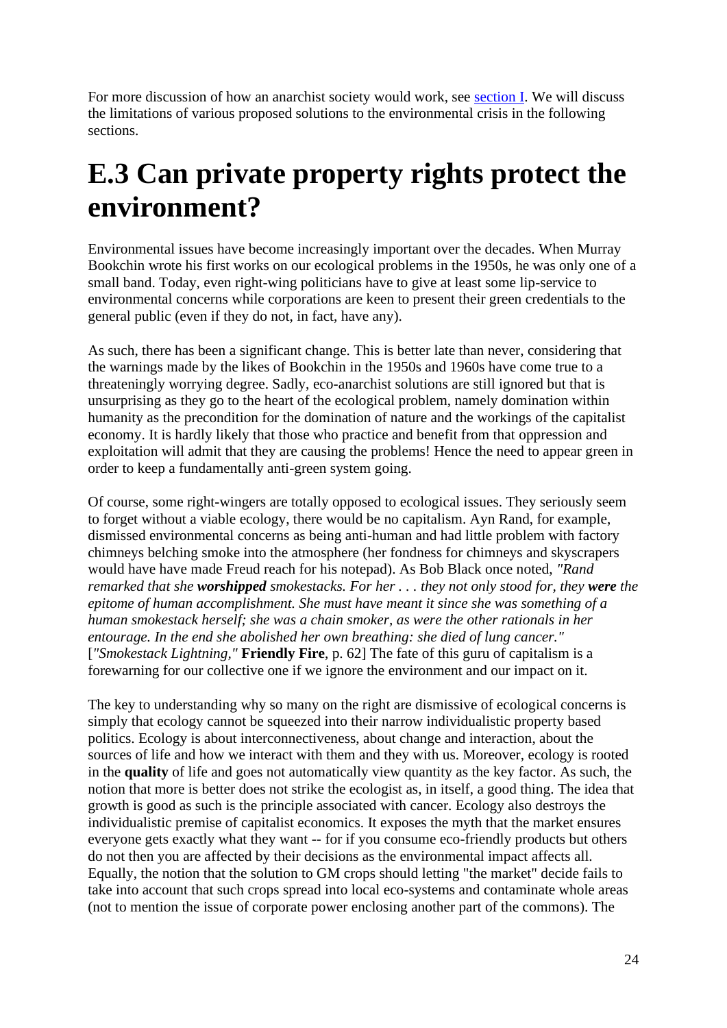For more discussion of how an anarchist society would work, see [section I.](sectionI.html) We will discuss the limitations of various proposed solutions to the environmental crisis in the following sections.

# <span id="page-23-0"></span>**E.3 Can private property rights protect the environment?**

Environmental issues have become increasingly important over the decades. When Murray Bookchin wrote his first works on our ecological problems in the 1950s, he was only one of a small band. Today, even right-wing politicians have to give at least some lip-service to environmental concerns while corporations are keen to present their green credentials to the general public (even if they do not, in fact, have any).

As such, there has been a significant change. This is better late than never, considering that the warnings made by the likes of Bookchin in the 1950s and 1960s have come true to a threateningly worrying degree. Sadly, eco-anarchist solutions are still ignored but that is unsurprising as they go to the heart of the ecological problem, namely domination within humanity as the precondition for the domination of nature and the workings of the capitalist economy. It is hardly likely that those who practice and benefit from that oppression and exploitation will admit that they are causing the problems! Hence the need to appear green in order to keep a fundamentally anti-green system going.

Of course, some right-wingers are totally opposed to ecological issues. They seriously seem to forget without a viable ecology, there would be no capitalism. Ayn Rand, for example, dismissed environmental concerns as being anti-human and had little problem with factory chimneys belching smoke into the atmosphere (her fondness for chimneys and skyscrapers would have have made Freud reach for his notepad). As Bob Black once noted, *"Rand remarked that she worshipped smokestacks. For her . . . they not only stood for, they were the epitome of human accomplishment. She must have meant it since she was something of a human smokestack herself; she was a chain smoker, as were the other rationals in her entourage. In the end she abolished her own breathing: she died of lung cancer."* [*"Smokestack Lightning,"* **Friendly Fire**, p. 62] The fate of this guru of capitalism is a forewarning for our collective one if we ignore the environment and our impact on it.

The key to understanding why so many on the right are dismissive of ecological concerns is simply that ecology cannot be squeezed into their narrow individualistic property based politics. Ecology is about interconnectiveness, about change and interaction, about the sources of life and how we interact with them and they with us. Moreover, ecology is rooted in the **quality** of life and goes not automatically view quantity as the key factor. As such, the notion that more is better does not strike the ecologist as, in itself, a good thing. The idea that growth is good as such is the principle associated with cancer. Ecology also destroys the individualistic premise of capitalist economics. It exposes the myth that the market ensures everyone gets exactly what they want -- for if you consume eco-friendly products but others do not then you are affected by their decisions as the environmental impact affects all. Equally, the notion that the solution to GM crops should letting "the market" decide fails to take into account that such crops spread into local eco-systems and contaminate whole areas (not to mention the issue of corporate power enclosing another part of the commons). The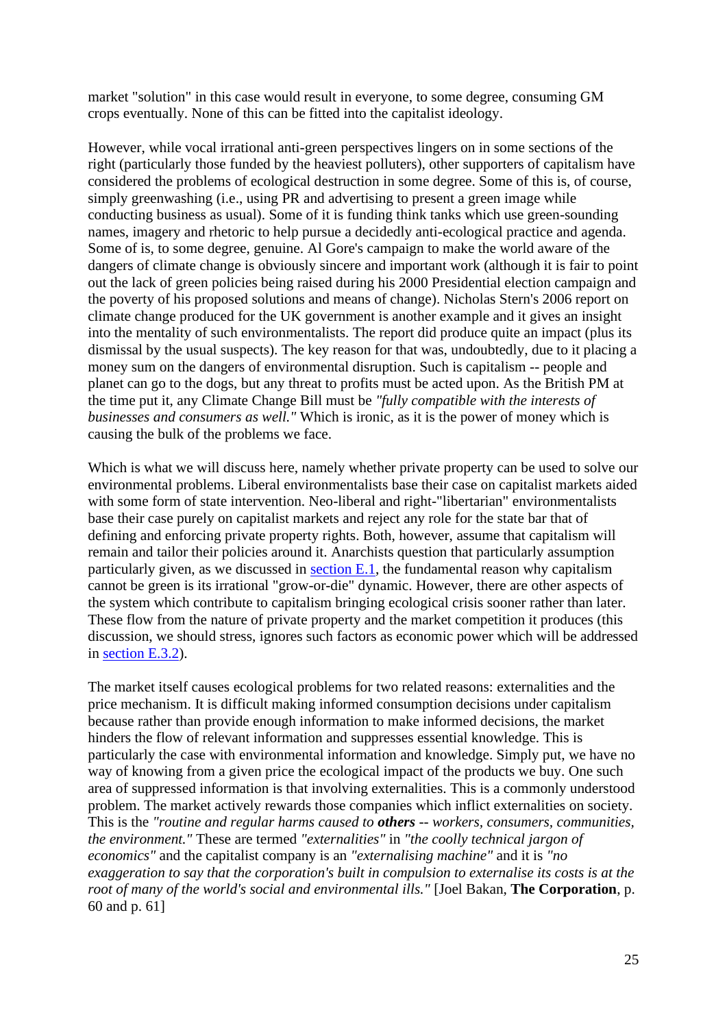market "solution" in this case would result in everyone, to some degree, consuming GM crops eventually. None of this can be fitted into the capitalist ideology.

However, while vocal irrational anti-green perspectives lingers on in some sections of the right (particularly those funded by the heaviest polluters), other supporters of capitalism have considered the problems of ecological destruction in some degree. Some of this is, of course, simply greenwashing (i.e., using PR and advertising to present a green image while conducting business as usual). Some of it is funding think tanks which use green-sounding names, imagery and rhetoric to help pursue a decidedly anti-ecological practice and agenda. Some of is, to some degree, genuine. Al Gore's campaign to make the world aware of the dangers of climate change is obviously sincere and important work (although it is fair to point out the lack of green policies being raised during his 2000 Presidential election campaign and the poverty of his proposed solutions and means of change). Nicholas Stern's 2006 report on climate change produced for the UK government is another example and it gives an insight into the mentality of such environmentalists. The report did produce quite an impact (plus its dismissal by the usual suspects). The key reason for that was, undoubtedly, due to it placing a money sum on the dangers of environmental disruption. Such is capitalism -- people and planet can go to the dogs, but any threat to profits must be acted upon. As the British PM at the time put it, any Climate Change Bill must be *"fully compatible with the interests of businesses and consumers as well."* Which is ironic, as it is the power of money which is causing the bulk of the problems we face.

Which is what we will discuss here, namely whether private property can be used to solve our environmental problems. Liberal environmentalists base their case on capitalist markets aided with some form of state intervention. Neo-liberal and right-"libertarian" environmentalists base their case purely on capitalist markets and reject any role for the state bar that of defining and enforcing private property rights. Both, however, assume that capitalism will remain and tailor their policies around it. Anarchists question that particularly assumption particularly given, as we discussed in [section E.1,](sectionE.html#sece1) the fundamental reason why capitalism cannot be green is its irrational "grow-or-die" dynamic. However, there are other aspects of the system which contribute to capitalism bringing ecological crisis sooner rather than later. These flow from the nature of private property and the market competition it produces (this discussion, we should stress, ignores such factors as economic power which will be addressed in [section E.3.2\)](sectionE.html#sece32).

The market itself causes ecological problems for two related reasons: externalities and the price mechanism. It is difficult making informed consumption decisions under capitalism because rather than provide enough information to make informed decisions, the market hinders the flow of relevant information and suppresses essential knowledge. This is particularly the case with environmental information and knowledge. Simply put, we have no way of knowing from a given price the ecological impact of the products we buy. One such area of suppressed information is that involving externalities. This is a commonly understood problem. The market actively rewards those companies which inflict externalities on society. This is the *"routine and regular harms caused to others -- workers, consumers, communities, the environment."* These are termed *"externalities"* in *"the coolly technical jargon of economics"* and the capitalist company is an *"externalising machine"* and it is *"no exaggeration to say that the corporation's built in compulsion to externalise its costs is at the root of many of the world's social and environmental ills."* [Joel Bakan, **The Corporation**, p. 60 and p. 61]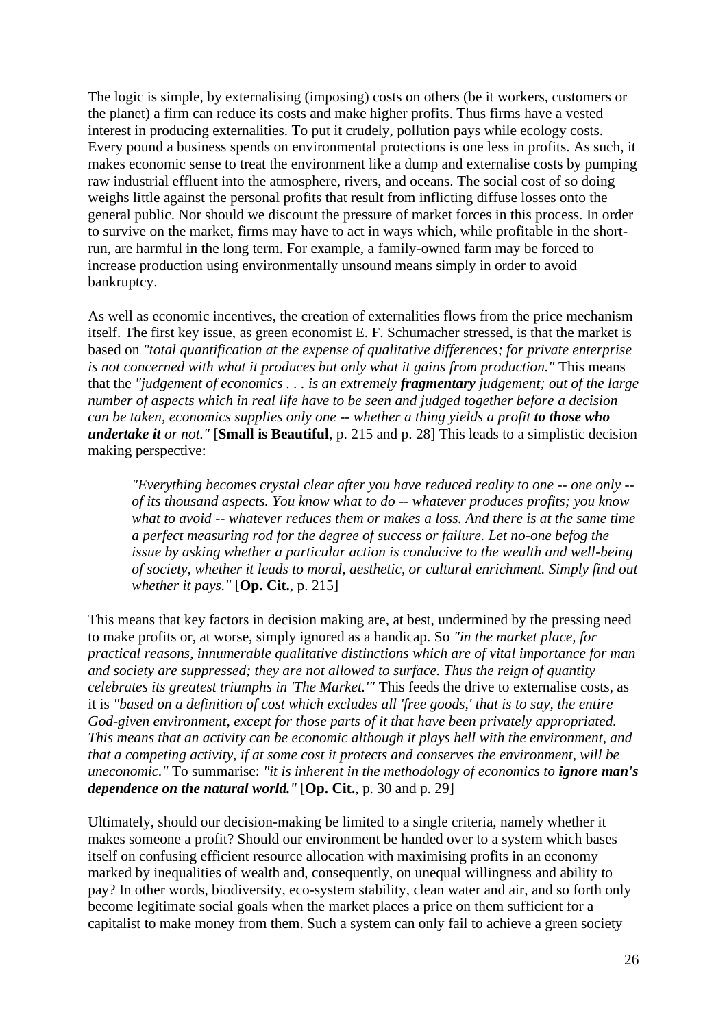The logic is simple, by externalising (imposing) costs on others (be it workers, customers or the planet) a firm can reduce its costs and make higher profits. Thus firms have a vested interest in producing externalities. To put it crudely, pollution pays while ecology costs. Every pound a business spends on environmental protections is one less in profits. As such, it makes economic sense to treat the environment like a dump and externalise costs by pumping raw industrial effluent into the atmosphere, rivers, and oceans. The social cost of so doing weighs little against the personal profits that result from inflicting diffuse losses onto the general public. Nor should we discount the pressure of market forces in this process. In order to survive on the market, firms may have to act in ways which, while profitable in the shortrun, are harmful in the long term. For example, a family-owned farm may be forced to increase production using environmentally unsound means simply in order to avoid bankruptcy.

As well as economic incentives, the creation of externalities flows from the price mechanism itself. The first key issue, as green economist E. F. Schumacher stressed, is that the market is based on *"total quantification at the expense of qualitative differences; for private enterprise is not concerned with what it produces but only what it gains from production."* This means that the *"judgement of economics . . . is an extremely fragmentary judgement; out of the large number of aspects which in real life have to be seen and judged together before a decision can be taken, economics supplies only one -- whether a thing yields a profit to those who undertake it or not."* [**Small is Beautiful**, p. 215 and p. 28] This leads to a simplistic decision making perspective:

*"Everything becomes crystal clear after you have reduced reality to one -- one only - of its thousand aspects. You know what to do -- whatever produces profits; you know what to avoid -- whatever reduces them or makes a loss. And there is at the same time a perfect measuring rod for the degree of success or failure. Let no-one befog the issue by asking whether a particular action is conducive to the wealth and well-being of society, whether it leads to moral, aesthetic, or cultural enrichment. Simply find out whether it pays."* [**Op. Cit.**, p. 215]

This means that key factors in decision making are, at best, undermined by the pressing need to make profits or, at worse, simply ignored as a handicap. So *"in the market place, for practical reasons, innumerable qualitative distinctions which are of vital importance for man and society are suppressed; they are not allowed to surface. Thus the reign of quantity celebrates its greatest triumphs in 'The Market.'"* This feeds the drive to externalise costs, as it is *"based on a definition of cost which excludes all 'free goods,' that is to say, the entire God-given environment, except for those parts of it that have been privately appropriated. This means that an activity can be economic although it plays hell with the environment, and that a competing activity, if at some cost it protects and conserves the environment, will be uneconomic."* To summarise: *"it is inherent in the methodology of economics to ignore man's dependence on the natural world."* [**Op. Cit.**, p. 30 and p. 29]

Ultimately, should our decision-making be limited to a single criteria, namely whether it makes someone a profit? Should our environment be handed over to a system which bases itself on confusing efficient resource allocation with maximising profits in an economy marked by inequalities of wealth and, consequently, on unequal willingness and ability to pay? In other words, biodiversity, eco-system stability, clean water and air, and so forth only become legitimate social goals when the market places a price on them sufficient for a capitalist to make money from them. Such a system can only fail to achieve a green society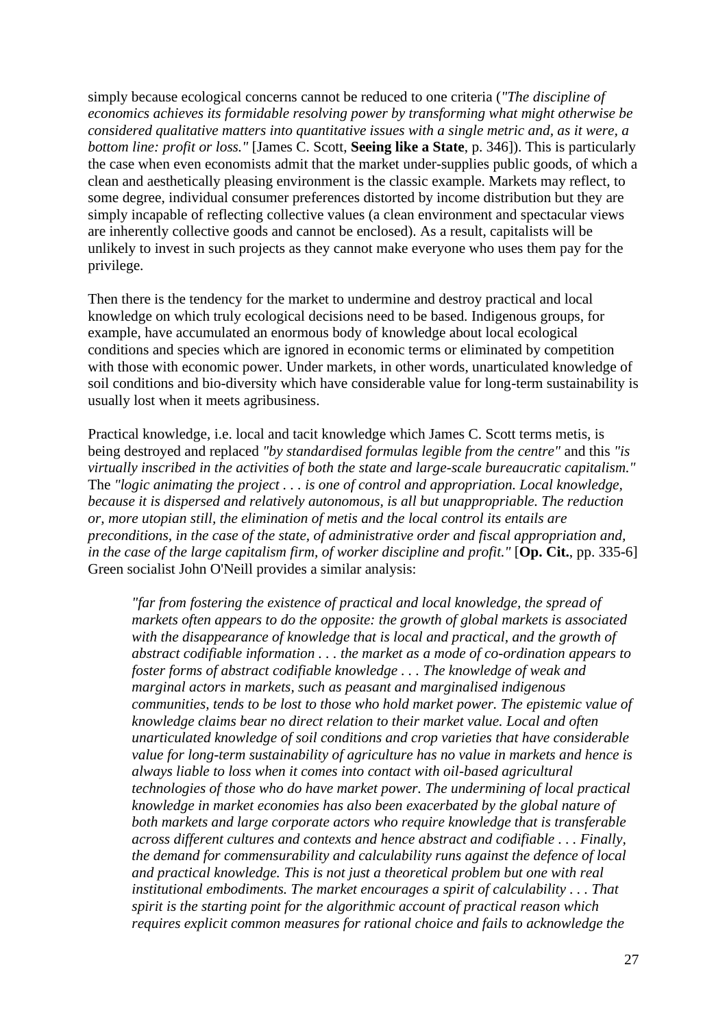simply because ecological concerns cannot be reduced to one criteria (*"The discipline of economics achieves its formidable resolving power by transforming what might otherwise be considered qualitative matters into quantitative issues with a single metric and, as it were, a bottom line: profit or loss."* [James C. Scott, **Seeing like a State**, p. 346]). This is particularly the case when even economists admit that the market under-supplies public goods, of which a clean and aesthetically pleasing environment is the classic example. Markets may reflect, to some degree, individual consumer preferences distorted by income distribution but they are simply incapable of reflecting collective values (a clean environment and spectacular views are inherently collective goods and cannot be enclosed). As a result, capitalists will be unlikely to invest in such projects as they cannot make everyone who uses them pay for the privilege.

Then there is the tendency for the market to undermine and destroy practical and local knowledge on which truly ecological decisions need to be based. Indigenous groups, for example, have accumulated an enormous body of knowledge about local ecological conditions and species which are ignored in economic terms or eliminated by competition with those with economic power. Under markets, in other words, unarticulated knowledge of soil conditions and bio-diversity which have considerable value for long-term sustainability is usually lost when it meets agribusiness.

Practical knowledge, i.e. local and tacit knowledge which James C. Scott terms metis, is being destroyed and replaced *"by standardised formulas legible from the centre"* and this *"is virtually inscribed in the activities of both the state and large-scale bureaucratic capitalism."* The *"logic animating the project . . . is one of control and appropriation. Local knowledge, because it is dispersed and relatively autonomous, is all but unappropriable. The reduction or, more utopian still, the elimination of metis and the local control its entails are preconditions, in the case of the state, of administrative order and fiscal appropriation and, in the case of the large capitalism firm, of worker discipline and profit."* [**Op. Cit.**, pp. 335-6] Green socialist John O'Neill provides a similar analysis:

*"far from fostering the existence of practical and local knowledge, the spread of markets often appears to do the opposite: the growth of global markets is associated with the disappearance of knowledge that is local and practical, and the growth of abstract codifiable information . . . the market as a mode of co-ordination appears to foster forms of abstract codifiable knowledge . . . The knowledge of weak and marginal actors in markets, such as peasant and marginalised indigenous communities, tends to be lost to those who hold market power. The epistemic value of knowledge claims bear no direct relation to their market value. Local and often unarticulated knowledge of soil conditions and crop varieties that have considerable value for long-term sustainability of agriculture has no value in markets and hence is always liable to loss when it comes into contact with oil-based agricultural technologies of those who do have market power. The undermining of local practical knowledge in market economies has also been exacerbated by the global nature of both markets and large corporate actors who require knowledge that is transferable across different cultures and contexts and hence abstract and codifiable . . . Finally, the demand for commensurability and calculability runs against the defence of local and practical knowledge. This is not just a theoretical problem but one with real institutional embodiments. The market encourages a spirit of calculability . . . That spirit is the starting point for the algorithmic account of practical reason which requires explicit common measures for rational choice and fails to acknowledge the*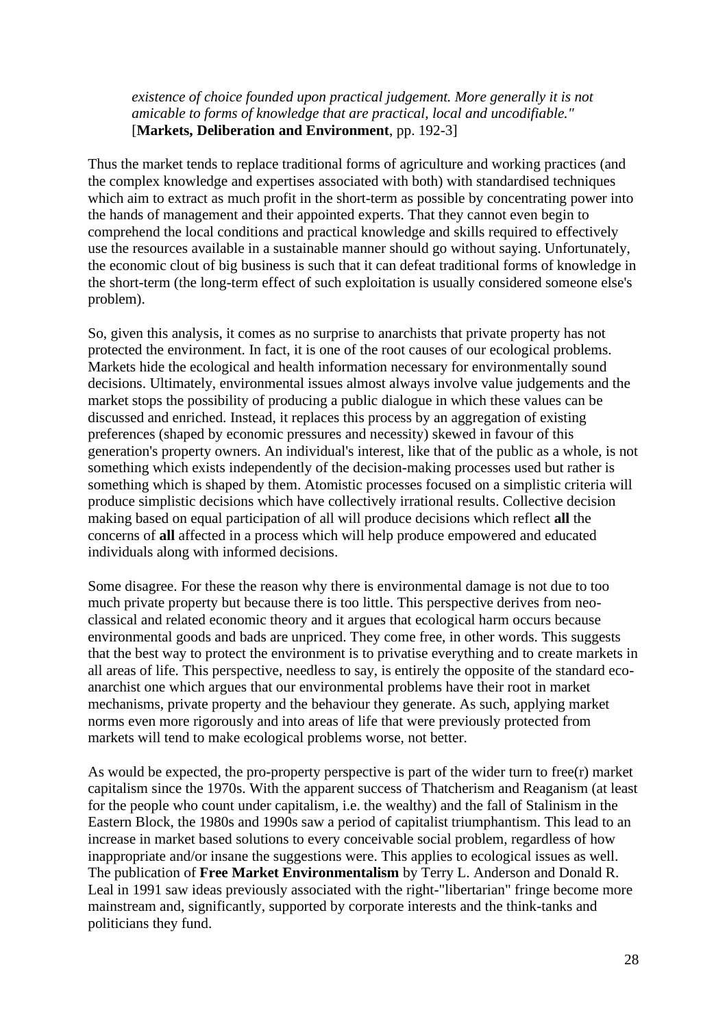*existence of choice founded upon practical judgement. More generally it is not amicable to forms of knowledge that are practical, local and uncodifiable."* [**Markets, Deliberation and Environment**, pp. 192-3]

Thus the market tends to replace traditional forms of agriculture and working practices (and the complex knowledge and expertises associated with both) with standardised techniques which aim to extract as much profit in the short-term as possible by concentrating power into the hands of management and their appointed experts. That they cannot even begin to comprehend the local conditions and practical knowledge and skills required to effectively use the resources available in a sustainable manner should go without saying. Unfortunately, the economic clout of big business is such that it can defeat traditional forms of knowledge in the short-term (the long-term effect of such exploitation is usually considered someone else's problem).

So, given this analysis, it comes as no surprise to anarchists that private property has not protected the environment. In fact, it is one of the root causes of our ecological problems. Markets hide the ecological and health information necessary for environmentally sound decisions. Ultimately, environmental issues almost always involve value judgements and the market stops the possibility of producing a public dialogue in which these values can be discussed and enriched. Instead, it replaces this process by an aggregation of existing preferences (shaped by economic pressures and necessity) skewed in favour of this generation's property owners. An individual's interest, like that of the public as a whole, is not something which exists independently of the decision-making processes used but rather is something which is shaped by them. Atomistic processes focused on a simplistic criteria will produce simplistic decisions which have collectively irrational results. Collective decision making based on equal participation of all will produce decisions which reflect **all** the concerns of **all** affected in a process which will help produce empowered and educated individuals along with informed decisions.

Some disagree. For these the reason why there is environmental damage is not due to too much private property but because there is too little. This perspective derives from neoclassical and related economic theory and it argues that ecological harm occurs because environmental goods and bads are unpriced. They come free, in other words. This suggests that the best way to protect the environment is to privatise everything and to create markets in all areas of life. This perspective, needless to say, is entirely the opposite of the standard ecoanarchist one which argues that our environmental problems have their root in market mechanisms, private property and the behaviour they generate. As such, applying market norms even more rigorously and into areas of life that were previously protected from markets will tend to make ecological problems worse, not better.

As would be expected, the pro-property perspective is part of the wider turn to free(r) market capitalism since the 1970s. With the apparent success of Thatcherism and Reaganism (at least for the people who count under capitalism, i.e. the wealthy) and the fall of Stalinism in the Eastern Block, the 1980s and 1990s saw a period of capitalist triumphantism. This lead to an increase in market based solutions to every conceivable social problem, regardless of how inappropriate and/or insane the suggestions were. This applies to ecological issues as well. The publication of **Free Market Environmentalism** by Terry L. Anderson and Donald R. Leal in 1991 saw ideas previously associated with the right-"libertarian" fringe become more mainstream and, significantly, supported by corporate interests and the think-tanks and politicians they fund.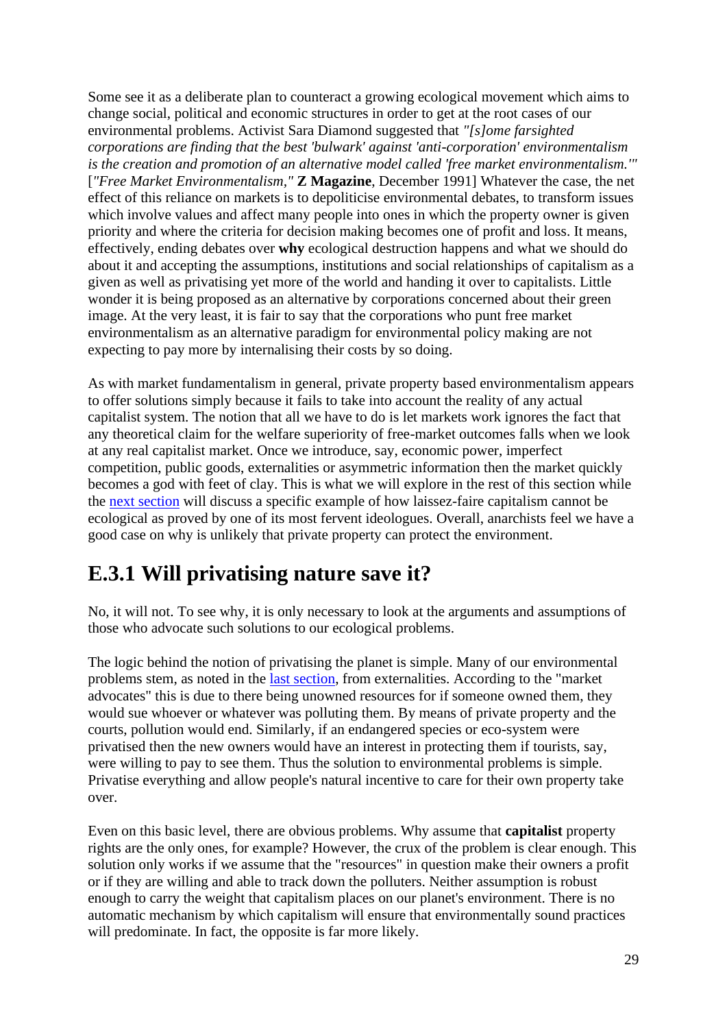Some see it as a deliberate plan to counteract a growing ecological movement which aims to change social, political and economic structures in order to get at the root cases of our environmental problems. Activist Sara Diamond suggested that *"[s]ome farsighted corporations are finding that the best 'bulwark' against 'anti-corporation' environmentalism is the creation and promotion of an alternative model called 'free market environmentalism.'"* [*"Free Market Environmentalism,"* **Z Magazine**, December 1991] Whatever the case, the net effect of this reliance on markets is to depoliticise environmental debates, to transform issues which involve values and affect many people into ones in which the property owner is given priority and where the criteria for decision making becomes one of profit and loss. It means, effectively, ending debates over **why** ecological destruction happens and what we should do about it and accepting the assumptions, institutions and social relationships of capitalism as a given as well as privatising yet more of the world and handing it over to capitalists. Little wonder it is being proposed as an alternative by corporations concerned about their green image. At the very least, it is fair to say that the corporations who punt free market environmentalism as an alternative paradigm for environmental policy making are not expecting to pay more by internalising their costs by so doing.

As with market fundamentalism in general, private property based environmentalism appears to offer solutions simply because it fails to take into account the reality of any actual capitalist system. The notion that all we have to do is let markets work ignores the fact that any theoretical claim for the welfare superiority of free-market outcomes falls when we look at any real capitalist market. Once we introduce, say, economic power, imperfect competition, public goods, externalities or asymmetric information then the market quickly becomes a god with feet of clay. This is what we will explore in the rest of this section while the [next section](sectionE.html#sece4) will discuss a specific example of how laissez-faire capitalism cannot be ecological as proved by one of its most fervent ideologues. Overall, anarchists feel we have a good case on why is unlikely that private property can protect the environment.

### <span id="page-28-0"></span>**E.3.1 Will privatising nature save it?**

No, it will not. To see why, it is only necessary to look at the arguments and assumptions of those who advocate such solutions to our ecological problems.

The logic behind the notion of privatising the planet is simple. Many of our environmental problems stem, as noted in the [last section,](sectionE.html#sece3) from externalities. According to the "market advocates" this is due to there being unowned resources for if someone owned them, they would sue whoever or whatever was polluting them. By means of private property and the courts, pollution would end. Similarly, if an endangered species or eco-system were privatised then the new owners would have an interest in protecting them if tourists, say, were willing to pay to see them. Thus the solution to environmental problems is simple. Privatise everything and allow people's natural incentive to care for their own property take over.

Even on this basic level, there are obvious problems. Why assume that **capitalist** property rights are the only ones, for example? However, the crux of the problem is clear enough. This solution only works if we assume that the "resources" in question make their owners a profit or if they are willing and able to track down the polluters. Neither assumption is robust enough to carry the weight that capitalism places on our planet's environment. There is no automatic mechanism by which capitalism will ensure that environmentally sound practices will predominate. In fact, the opposite is far more likely.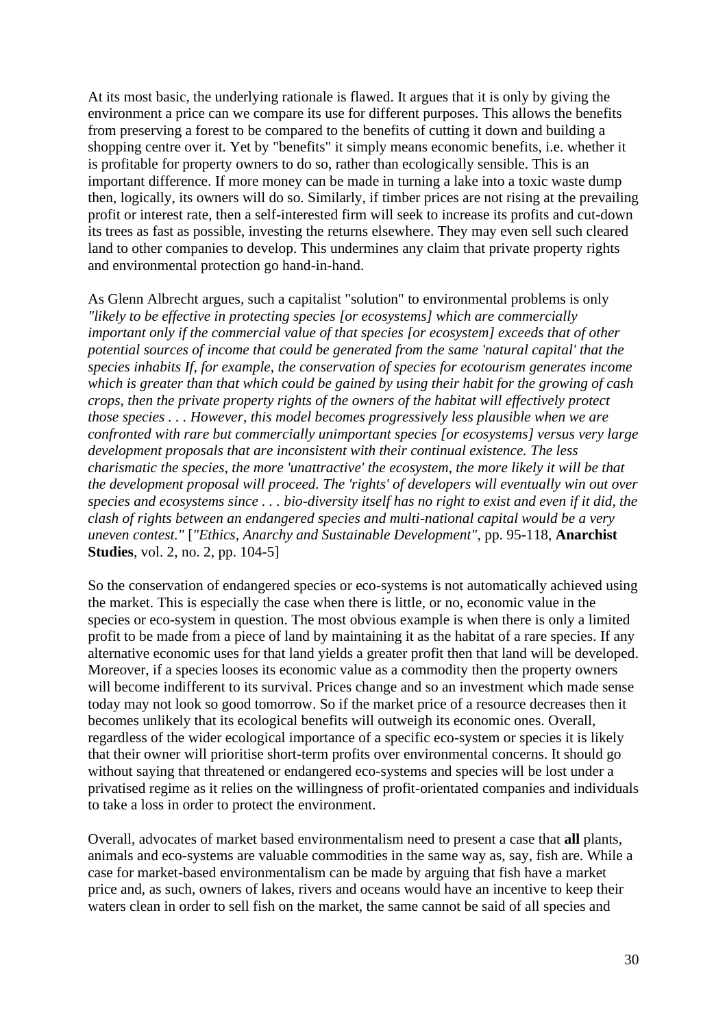At its most basic, the underlying rationale is flawed. It argues that it is only by giving the environment a price can we compare its use for different purposes. This allows the benefits from preserving a forest to be compared to the benefits of cutting it down and building a shopping centre over it. Yet by "benefits" it simply means economic benefits, i.e. whether it is profitable for property owners to do so, rather than ecologically sensible. This is an important difference. If more money can be made in turning a lake into a toxic waste dump then, logically, its owners will do so. Similarly, if timber prices are not rising at the prevailing profit or interest rate, then a self-interested firm will seek to increase its profits and cut-down its trees as fast as possible, investing the returns elsewhere. They may even sell such cleared land to other companies to develop. This undermines any claim that private property rights and environmental protection go hand-in-hand.

As Glenn Albrecht argues, such a capitalist "solution" to environmental problems is only *"likely to be effective in protecting species [or ecosystems] which are commercially important only if the commercial value of that species [or ecosystem] exceeds that of other potential sources of income that could be generated from the same 'natural capital' that the species inhabits If, for example, the conservation of species for ecotourism generates income which is greater than that which could be gained by using their habit for the growing of cash crops, then the private property rights of the owners of the habitat will effectively protect those species . . . However, this model becomes progressively less plausible when we are confronted with rare but commercially unimportant species [or ecosystems] versus very large development proposals that are inconsistent with their continual existence. The less charismatic the species, the more 'unattractive' the ecosystem, the more likely it will be that the development proposal will proceed. The 'rights' of developers will eventually win out over species and ecosystems since . . . bio-diversity itself has no right to exist and even if it did, the clash of rights between an endangered species and multi-national capital would be a very uneven contest."* [*"Ethics, Anarchy and Sustainable Development"*, pp. 95-118, **Anarchist Studies**, vol. 2, no. 2, pp. 104-5]

So the conservation of endangered species or eco-systems is not automatically achieved using the market. This is especially the case when there is little, or no, economic value in the species or eco-system in question. The most obvious example is when there is only a limited profit to be made from a piece of land by maintaining it as the habitat of a rare species. If any alternative economic uses for that land yields a greater profit then that land will be developed. Moreover, if a species looses its economic value as a commodity then the property owners will become indifferent to its survival. Prices change and so an investment which made sense today may not look so good tomorrow. So if the market price of a resource decreases then it becomes unlikely that its ecological benefits will outweigh its economic ones. Overall, regardless of the wider ecological importance of a specific eco-system or species it is likely that their owner will prioritise short-term profits over environmental concerns. It should go without saying that threatened or endangered eco-systems and species will be lost under a privatised regime as it relies on the willingness of profit-orientated companies and individuals to take a loss in order to protect the environment.

Overall, advocates of market based environmentalism need to present a case that **all** plants, animals and eco-systems are valuable commodities in the same way as, say, fish are. While a case for market-based environmentalism can be made by arguing that fish have a market price and, as such, owners of lakes, rivers and oceans would have an incentive to keep their waters clean in order to sell fish on the market, the same cannot be said of all species and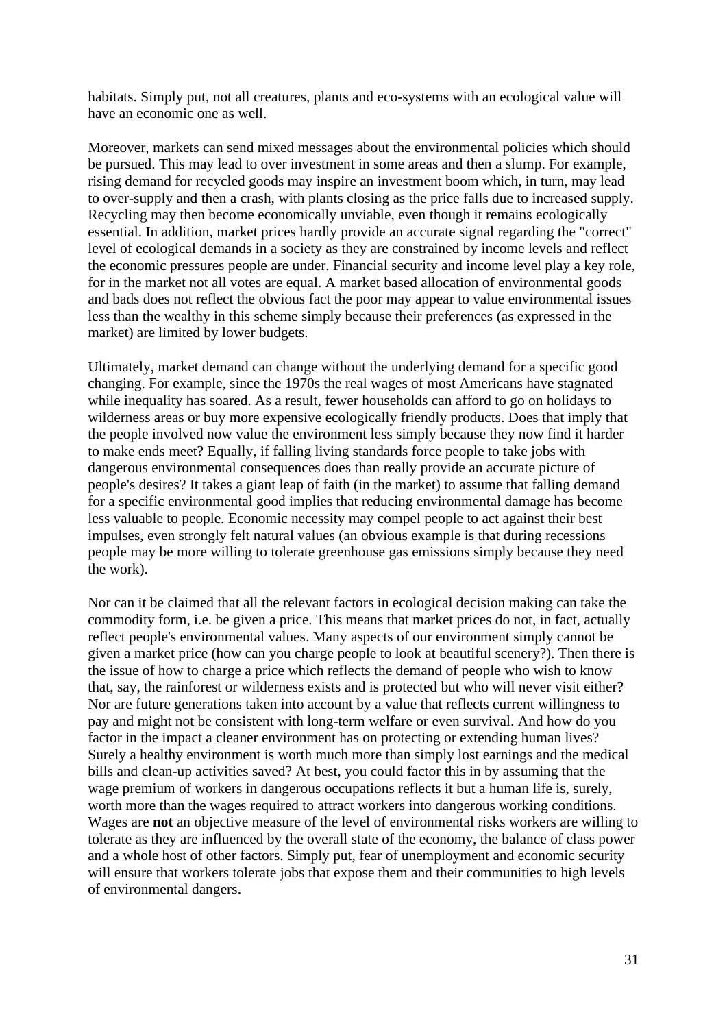habitats. Simply put, not all creatures, plants and eco-systems with an ecological value will have an economic one as well.

Moreover, markets can send mixed messages about the environmental policies which should be pursued. This may lead to over investment in some areas and then a slump. For example, rising demand for recycled goods may inspire an investment boom which, in turn, may lead to over-supply and then a crash, with plants closing as the price falls due to increased supply. Recycling may then become economically unviable, even though it remains ecologically essential. In addition, market prices hardly provide an accurate signal regarding the "correct" level of ecological demands in a society as they are constrained by income levels and reflect the economic pressures people are under. Financial security and income level play a key role, for in the market not all votes are equal. A market based allocation of environmental goods and bads does not reflect the obvious fact the poor may appear to value environmental issues less than the wealthy in this scheme simply because their preferences (as expressed in the market) are limited by lower budgets.

Ultimately, market demand can change without the underlying demand for a specific good changing. For example, since the 1970s the real wages of most Americans have stagnated while inequality has soared. As a result, fewer households can afford to go on holidays to wilderness areas or buy more expensive ecologically friendly products. Does that imply that the people involved now value the environment less simply because they now find it harder to make ends meet? Equally, if falling living standards force people to take jobs with dangerous environmental consequences does than really provide an accurate picture of people's desires? It takes a giant leap of faith (in the market) to assume that falling demand for a specific environmental good implies that reducing environmental damage has become less valuable to people. Economic necessity may compel people to act against their best impulses, even strongly felt natural values (an obvious example is that during recessions people may be more willing to tolerate greenhouse gas emissions simply because they need the work).

Nor can it be claimed that all the relevant factors in ecological decision making can take the commodity form, i.e. be given a price. This means that market prices do not, in fact, actually reflect people's environmental values. Many aspects of our environment simply cannot be given a market price (how can you charge people to look at beautiful scenery?). Then there is the issue of how to charge a price which reflects the demand of people who wish to know that, say, the rainforest or wilderness exists and is protected but who will never visit either? Nor are future generations taken into account by a value that reflects current willingness to pay and might not be consistent with long-term welfare or even survival. And how do you factor in the impact a cleaner environment has on protecting or extending human lives? Surely a healthy environment is worth much more than simply lost earnings and the medical bills and clean-up activities saved? At best, you could factor this in by assuming that the wage premium of workers in dangerous occupations reflects it but a human life is, surely, worth more than the wages required to attract workers into dangerous working conditions. Wages are **not** an objective measure of the level of environmental risks workers are willing to tolerate as they are influenced by the overall state of the economy, the balance of class power and a whole host of other factors. Simply put, fear of unemployment and economic security will ensure that workers tolerate jobs that expose them and their communities to high levels of environmental dangers.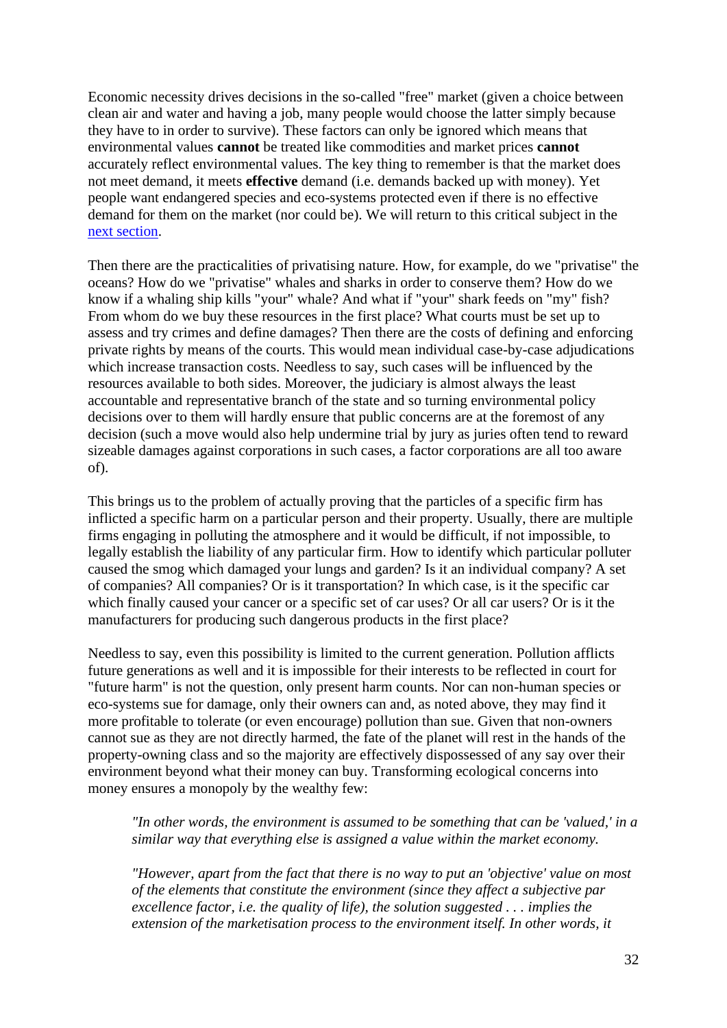Economic necessity drives decisions in the so-called "free" market (given a choice between clean air and water and having a job, many people would choose the latter simply because they have to in order to survive). These factors can only be ignored which means that environmental values **cannot** be treated like commodities and market prices **cannot** accurately reflect environmental values. The key thing to remember is that the market does not meet demand, it meets **effective** demand (i.e. demands backed up with money). Yet people want endangered species and eco-systems protected even if there is no effective demand for them on the market (nor could be). We will return to this critical subject in the [next section.](sectionE.html#sece32)

Then there are the practicalities of privatising nature. How, for example, do we "privatise" the oceans? How do we "privatise" whales and sharks in order to conserve them? How do we know if a whaling ship kills "your" whale? And what if "your" shark feeds on "my" fish? From whom do we buy these resources in the first place? What courts must be set up to assess and try crimes and define damages? Then there are the costs of defining and enforcing private rights by means of the courts. This would mean individual case-by-case adjudications which increase transaction costs. Needless to say, such cases will be influenced by the resources available to both sides. Moreover, the judiciary is almost always the least accountable and representative branch of the state and so turning environmental policy decisions over to them will hardly ensure that public concerns are at the foremost of any decision (such a move would also help undermine trial by jury as juries often tend to reward sizeable damages against corporations in such cases, a factor corporations are all too aware of).

This brings us to the problem of actually proving that the particles of a specific firm has inflicted a specific harm on a particular person and their property. Usually, there are multiple firms engaging in polluting the atmosphere and it would be difficult, if not impossible, to legally establish the liability of any particular firm. How to identify which particular polluter caused the smog which damaged your lungs and garden? Is it an individual company? A set of companies? All companies? Or is it transportation? In which case, is it the specific car which finally caused your cancer or a specific set of car uses? Or all car users? Or is it the manufacturers for producing such dangerous products in the first place?

Needless to say, even this possibility is limited to the current generation. Pollution afflicts future generations as well and it is impossible for their interests to be reflected in court for "future harm" is not the question, only present harm counts. Nor can non-human species or eco-systems sue for damage, only their owners can and, as noted above, they may find it more profitable to tolerate (or even encourage) pollution than sue. Given that non-owners cannot sue as they are not directly harmed, the fate of the planet will rest in the hands of the property-owning class and so the majority are effectively dispossessed of any say over their environment beyond what their money can buy. Transforming ecological concerns into money ensures a monopoly by the wealthy few:

*"In other words, the environment is assumed to be something that can be 'valued,' in a similar way that everything else is assigned a value within the market economy.*

*"However, apart from the fact that there is no way to put an 'objective' value on most of the elements that constitute the environment (since they affect a subjective par excellence factor, i.e. the quality of life), the solution suggested . . . implies the extension of the marketisation process to the environment itself. In other words, it*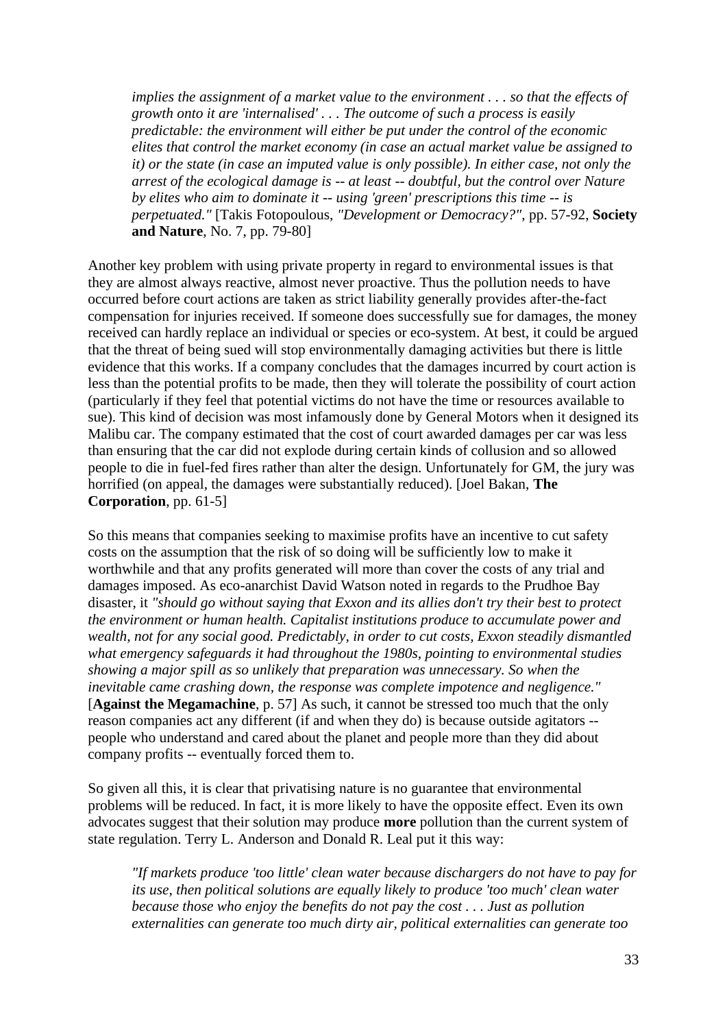*implies the assignment of a market value to the environment . . . so that the effects of growth onto it are 'internalised' . . . The outcome of such a process is easily predictable: the environment will either be put under the control of the economic elites that control the market economy (in case an actual market value be assigned to it) or the state (in case an imputed value is only possible). In either case, not only the arrest of the ecological damage is -- at least -- doubtful, but the control over Nature by elites who aim to dominate it -- using 'green' prescriptions this time -- is perpetuated."* [Takis Fotopoulous, *"Development or Democracy?"*, pp. 57-92, **Society and Nature**, No. 7, pp. 79-80]

Another key problem with using private property in regard to environmental issues is that they are almost always reactive, almost never proactive. Thus the pollution needs to have occurred before court actions are taken as strict liability generally provides after-the-fact compensation for injuries received. If someone does successfully sue for damages, the money received can hardly replace an individual or species or eco-system. At best, it could be argued that the threat of being sued will stop environmentally damaging activities but there is little evidence that this works. If a company concludes that the damages incurred by court action is less than the potential profits to be made, then they will tolerate the possibility of court action (particularly if they feel that potential victims do not have the time or resources available to sue). This kind of decision was most infamously done by General Motors when it designed its Malibu car. The company estimated that the cost of court awarded damages per car was less than ensuring that the car did not explode during certain kinds of collusion and so allowed people to die in fuel-fed fires rather than alter the design. Unfortunately for GM, the jury was horrified (on appeal, the damages were substantially reduced). [Joel Bakan, **The Corporation**, pp. 61-5]

So this means that companies seeking to maximise profits have an incentive to cut safety costs on the assumption that the risk of so doing will be sufficiently low to make it worthwhile and that any profits generated will more than cover the costs of any trial and damages imposed. As eco-anarchist David Watson noted in regards to the Prudhoe Bay disaster, it *"should go without saying that Exxon and its allies don't try their best to protect the environment or human health. Capitalist institutions produce to accumulate power and wealth, not for any social good. Predictably, in order to cut costs, Exxon steadily dismantled what emergency safeguards it had throughout the 1980s, pointing to environmental studies showing a major spill as so unlikely that preparation was unnecessary. So when the inevitable came crashing down, the response was complete impotence and negligence."* [**Against the Megamachine**, p. 57] As such, it cannot be stressed too much that the only reason companies act any different (if and when they do) is because outside agitators - people who understand and cared about the planet and people more than they did about company profits -- eventually forced them to.

So given all this, it is clear that privatising nature is no guarantee that environmental problems will be reduced. In fact, it is more likely to have the opposite effect. Even its own advocates suggest that their solution may produce **more** pollution than the current system of state regulation. Terry L. Anderson and Donald R. Leal put it this way:

*"If markets produce 'too little' clean water because dischargers do not have to pay for its use, then political solutions are equally likely to produce 'too much' clean water because those who enjoy the benefits do not pay the cost . . . Just as pollution externalities can generate too much dirty air, political externalities can generate too*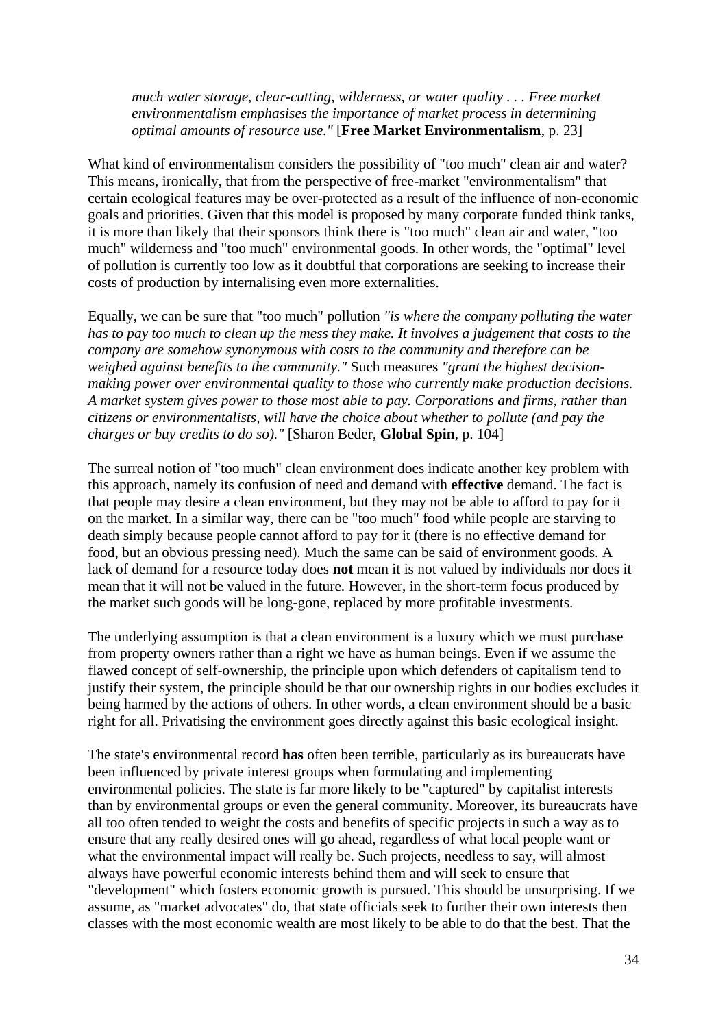*much water storage, clear-cutting, wilderness, or water quality . . . Free market environmentalism emphasises the importance of market process in determining optimal amounts of resource use."* [**Free Market Environmentalism**, p. 23]

What kind of environmentalism considers the possibility of "too much" clean air and water? This means, ironically, that from the perspective of free-market "environmentalism" that certain ecological features may be over-protected as a result of the influence of non-economic goals and priorities. Given that this model is proposed by many corporate funded think tanks, it is more than likely that their sponsors think there is "too much" clean air and water, "too much" wilderness and "too much" environmental goods. In other words, the "optimal" level of pollution is currently too low as it doubtful that corporations are seeking to increase their costs of production by internalising even more externalities.

Equally, we can be sure that "too much" pollution *"is where the company polluting the water has to pay too much to clean up the mess they make. It involves a judgement that costs to the company are somehow synonymous with costs to the community and therefore can be weighed against benefits to the community."* Such measures *"grant the highest decisionmaking power over environmental quality to those who currently make production decisions. A market system gives power to those most able to pay. Corporations and firms, rather than citizens or environmentalists, will have the choice about whether to pollute (and pay the charges or buy credits to do so)."* [Sharon Beder, **Global Spin**, p. 104]

The surreal notion of "too much" clean environment does indicate another key problem with this approach, namely its confusion of need and demand with **effective** demand. The fact is that people may desire a clean environment, but they may not be able to afford to pay for it on the market. In a similar way, there can be "too much" food while people are starving to death simply because people cannot afford to pay for it (there is no effective demand for food, but an obvious pressing need). Much the same can be said of environment goods. A lack of demand for a resource today does **not** mean it is not valued by individuals nor does it mean that it will not be valued in the future. However, in the short-term focus produced by the market such goods will be long-gone, replaced by more profitable investments.

The underlying assumption is that a clean environment is a luxury which we must purchase from property owners rather than a right we have as human beings. Even if we assume the flawed concept of self-ownership, the principle upon which defenders of capitalism tend to justify their system, the principle should be that our ownership rights in our bodies excludes it being harmed by the actions of others. In other words, a clean environment should be a basic right for all. Privatising the environment goes directly against this basic ecological insight.

The state's environmental record **has** often been terrible, particularly as its bureaucrats have been influenced by private interest groups when formulating and implementing environmental policies. The state is far more likely to be "captured" by capitalist interests than by environmental groups or even the general community. Moreover, its bureaucrats have all too often tended to weight the costs and benefits of specific projects in such a way as to ensure that any really desired ones will go ahead, regardless of what local people want or what the environmental impact will really be. Such projects, needless to say, will almost always have powerful economic interests behind them and will seek to ensure that "development" which fosters economic growth is pursued. This should be unsurprising. If we assume, as "market advocates" do, that state officials seek to further their own interests then classes with the most economic wealth are most likely to be able to do that the best. That the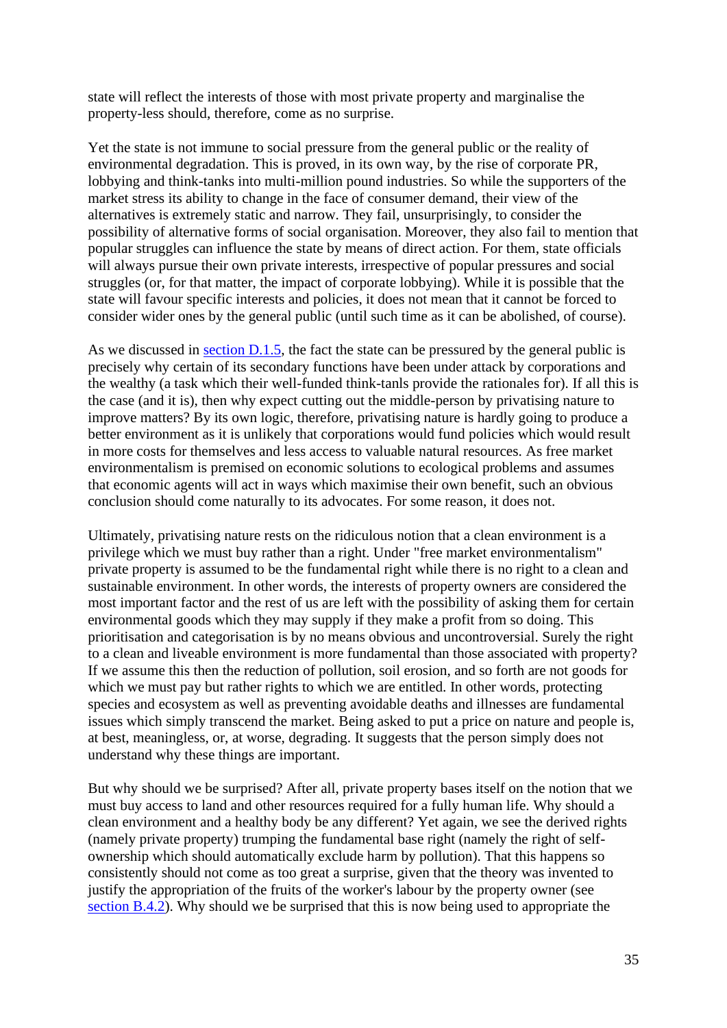state will reflect the interests of those with most private property and marginalise the property-less should, therefore, come as no surprise.

Yet the state is not immune to social pressure from the general public or the reality of environmental degradation. This is proved, in its own way, by the rise of corporate PR, lobbying and think-tanks into multi-million pound industries. So while the supporters of the market stress its ability to change in the face of consumer demand, their view of the alternatives is extremely static and narrow. They fail, unsurprisingly, to consider the possibility of alternative forms of social organisation. Moreover, they also fail to mention that popular struggles can influence the state by means of direct action. For them, state officials will always pursue their own private interests, irrespective of popular pressures and social struggles (or, for that matter, the impact of corporate lobbying). While it is possible that the state will favour specific interests and policies, it does not mean that it cannot be forced to consider wider ones by the general public (until such time as it can be abolished, of course).

As we discussed in section  $D.1.5$ , the fact the state can be pressured by the general public is precisely why certain of its secondary functions have been under attack by corporations and the wealthy (a task which their well-funded think-tanls provide the rationales for). If all this is the case (and it is), then why expect cutting out the middle-person by privatising nature to improve matters? By its own logic, therefore, privatising nature is hardly going to produce a better environment as it is unlikely that corporations would fund policies which would result in more costs for themselves and less access to valuable natural resources. As free market environmentalism is premised on economic solutions to ecological problems and assumes that economic agents will act in ways which maximise their own benefit, such an obvious conclusion should come naturally to its advocates. For some reason, it does not.

Ultimately, privatising nature rests on the ridiculous notion that a clean environment is a privilege which we must buy rather than a right. Under "free market environmentalism" private property is assumed to be the fundamental right while there is no right to a clean and sustainable environment. In other words, the interests of property owners are considered the most important factor and the rest of us are left with the possibility of asking them for certain environmental goods which they may supply if they make a profit from so doing. This prioritisation and categorisation is by no means obvious and uncontroversial. Surely the right to a clean and liveable environment is more fundamental than those associated with property? If we assume this then the reduction of pollution, soil erosion, and so forth are not goods for which we must pay but rather rights to which we are entitled. In other words, protecting species and ecosystem as well as preventing avoidable deaths and illnesses are fundamental issues which simply transcend the market. Being asked to put a price on nature and people is, at best, meaningless, or, at worse, degrading. It suggests that the person simply does not understand why these things are important.

But why should we be surprised? After all, private property bases itself on the notion that we must buy access to land and other resources required for a fully human life. Why should a clean environment and a healthy body be any different? Yet again, we see the derived rights (namely private property) trumping the fundamental base right (namely the right of selfownership which should automatically exclude harm by pollution). That this happens so consistently should not come as too great a surprise, given that the theory was invented to justify the appropriation of the fruits of the worker's labour by the property owner (see [section B.4.2\)](sectionB.html#secb42). Why should we be surprised that this is now being used to appropriate the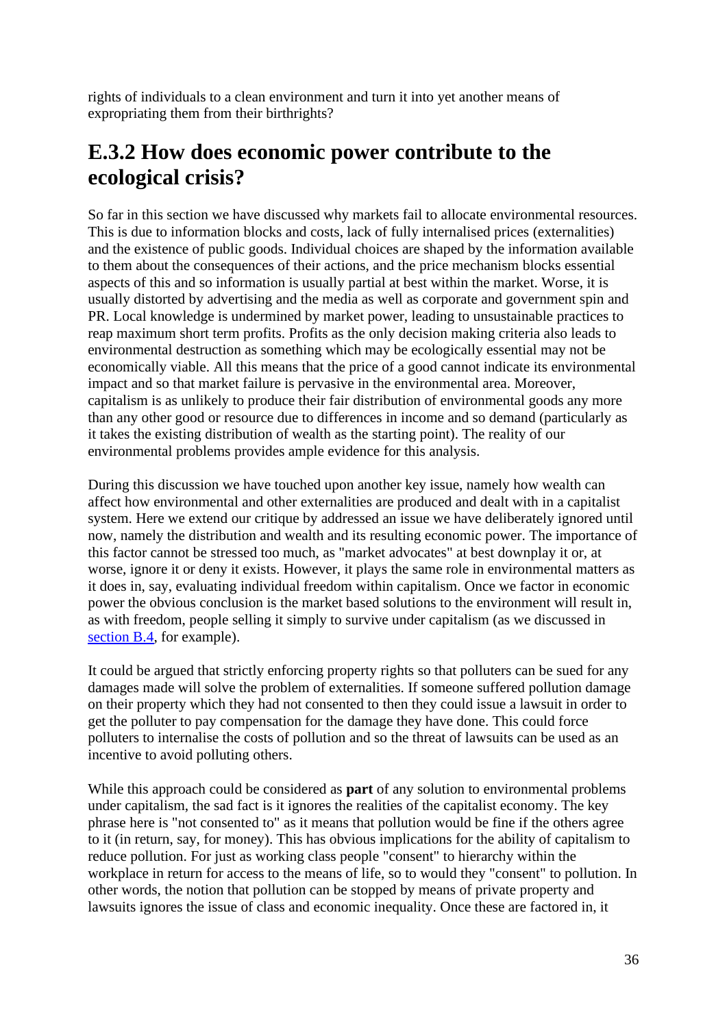rights of individuals to a clean environment and turn it into yet another means of expropriating them from their birthrights?

### <span id="page-35-0"></span>**E.3.2 How does economic power contribute to the ecological crisis?**

So far in this section we have discussed why markets fail to allocate environmental resources. This is due to information blocks and costs, lack of fully internalised prices (externalities) and the existence of public goods. Individual choices are shaped by the information available to them about the consequences of their actions, and the price mechanism blocks essential aspects of this and so information is usually partial at best within the market. Worse, it is usually distorted by advertising and the media as well as corporate and government spin and PR. Local knowledge is undermined by market power, leading to unsustainable practices to reap maximum short term profits. Profits as the only decision making criteria also leads to environmental destruction as something which may be ecologically essential may not be economically viable. All this means that the price of a good cannot indicate its environmental impact and so that market failure is pervasive in the environmental area. Moreover, capitalism is as unlikely to produce their fair distribution of environmental goods any more than any other good or resource due to differences in income and so demand (particularly as it takes the existing distribution of wealth as the starting point). The reality of our environmental problems provides ample evidence for this analysis.

During this discussion we have touched upon another key issue, namely how wealth can affect how environmental and other externalities are produced and dealt with in a capitalist system. Here we extend our critique by addressed an issue we have deliberately ignored until now, namely the distribution and wealth and its resulting economic power. The importance of this factor cannot be stressed too much, as "market advocates" at best downplay it or, at worse, ignore it or deny it exists. However, it plays the same role in environmental matters as it does in, say, evaluating individual freedom within capitalism. Once we factor in economic power the obvious conclusion is the market based solutions to the environment will result in, as with freedom, people selling it simply to survive under capitalism (as we discussed in [section B.4,](sectionB.html#secb4) for example).

It could be argued that strictly enforcing property rights so that polluters can be sued for any damages made will solve the problem of externalities. If someone suffered pollution damage on their property which they had not consented to then they could issue a lawsuit in order to get the polluter to pay compensation for the damage they have done. This could force polluters to internalise the costs of pollution and so the threat of lawsuits can be used as an incentive to avoid polluting others.

While this approach could be considered as **part** of any solution to environmental problems under capitalism, the sad fact is it ignores the realities of the capitalist economy. The key phrase here is "not consented to" as it means that pollution would be fine if the others agree to it (in return, say, for money). This has obvious implications for the ability of capitalism to reduce pollution. For just as working class people "consent" to hierarchy within the workplace in return for access to the means of life, so to would they "consent" to pollution. In other words, the notion that pollution can be stopped by means of private property and lawsuits ignores the issue of class and economic inequality. Once these are factored in, it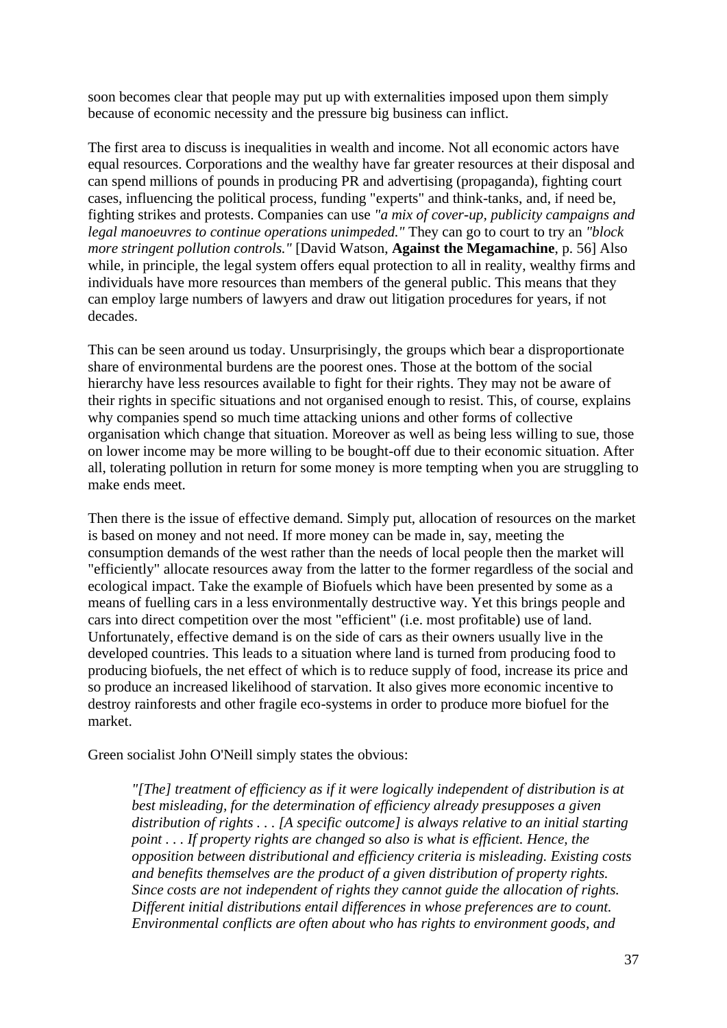soon becomes clear that people may put up with externalities imposed upon them simply because of economic necessity and the pressure big business can inflict.

The first area to discuss is inequalities in wealth and income. Not all economic actors have equal resources. Corporations and the wealthy have far greater resources at their disposal and can spend millions of pounds in producing PR and advertising (propaganda), fighting court cases, influencing the political process, funding "experts" and think-tanks, and, if need be, fighting strikes and protests. Companies can use *"a mix of cover-up, publicity campaigns and legal manoeuvres to continue operations unimpeded."* They can go to court to try an *"block more stringent pollution controls."* [David Watson, **Against the Megamachine**, p. 56] Also while, in principle, the legal system offers equal protection to all in reality, wealthy firms and individuals have more resources than members of the general public. This means that they can employ large numbers of lawyers and draw out litigation procedures for years, if not decades.

This can be seen around us today. Unsurprisingly, the groups which bear a disproportionate share of environmental burdens are the poorest ones. Those at the bottom of the social hierarchy have less resources available to fight for their rights. They may not be aware of their rights in specific situations and not organised enough to resist. This, of course, explains why companies spend so much time attacking unions and other forms of collective organisation which change that situation. Moreover as well as being less willing to sue, those on lower income may be more willing to be bought-off due to their economic situation. After all, tolerating pollution in return for some money is more tempting when you are struggling to make ends meet.

Then there is the issue of effective demand. Simply put, allocation of resources on the market is based on money and not need. If more money can be made in, say, meeting the consumption demands of the west rather than the needs of local people then the market will "efficiently" allocate resources away from the latter to the former regardless of the social and ecological impact. Take the example of Biofuels which have been presented by some as a means of fuelling cars in a less environmentally destructive way. Yet this brings people and cars into direct competition over the most "efficient" (i.e. most profitable) use of land. Unfortunately, effective demand is on the side of cars as their owners usually live in the developed countries. This leads to a situation where land is turned from producing food to producing biofuels, the net effect of which is to reduce supply of food, increase its price and so produce an increased likelihood of starvation. It also gives more economic incentive to destroy rainforests and other fragile eco-systems in order to produce more biofuel for the market.

Green socialist John O'Neill simply states the obvious:

*"[The] treatment of efficiency as if it were logically independent of distribution is at best misleading, for the determination of efficiency already presupposes a given distribution of rights . . . [A specific outcome] is always relative to an initial starting point . . . If property rights are changed so also is what is efficient. Hence, the opposition between distributional and efficiency criteria is misleading. Existing costs and benefits themselves are the product of a given distribution of property rights. Since costs are not independent of rights they cannot guide the allocation of rights. Different initial distributions entail differences in whose preferences are to count. Environmental conflicts are often about who has rights to environment goods, and*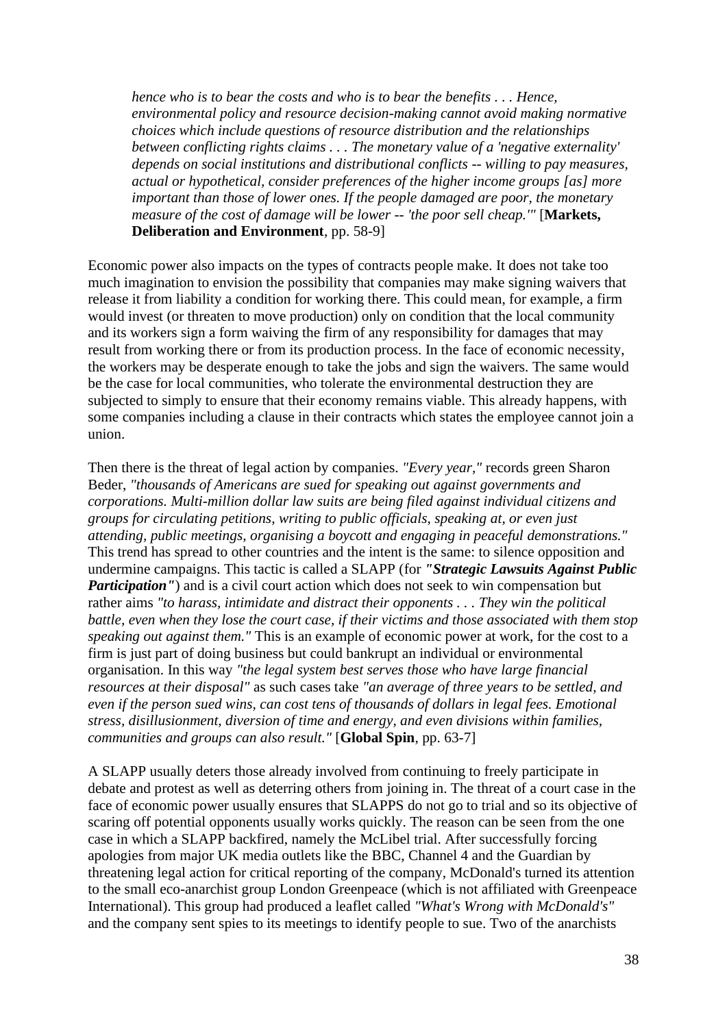*hence who is to bear the costs and who is to bear the benefits . . . Hence, environmental policy and resource decision-making cannot avoid making normative choices which include questions of resource distribution and the relationships between conflicting rights claims . . . The monetary value of a 'negative externality' depends on social institutions and distributional conflicts -- willing to pay measures, actual or hypothetical, consider preferences of the higher income groups [as] more important than those of lower ones. If the people damaged are poor, the monetary measure of the cost of damage will be lower -- 'the poor sell cheap.'"* [**Markets, Deliberation and Environment**, pp. 58-9]

Economic power also impacts on the types of contracts people make. It does not take too much imagination to envision the possibility that companies may make signing waivers that release it from liability a condition for working there. This could mean, for example, a firm would invest (or threaten to move production) only on condition that the local community and its workers sign a form waiving the firm of any responsibility for damages that may result from working there or from its production process. In the face of economic necessity, the workers may be desperate enough to take the jobs and sign the waivers. The same would be the case for local communities, who tolerate the environmental destruction they are subjected to simply to ensure that their economy remains viable. This already happens, with some companies including a clause in their contracts which states the employee cannot join a union.

Then there is the threat of legal action by companies. *"Every year,"* records green Sharon Beder, *"thousands of Americans are sued for speaking out against governments and corporations. Multi-million dollar law suits are being filed against individual citizens and groups for circulating petitions, writing to public officials, speaking at, or even just attending, public meetings, organising a boycott and engaging in peaceful demonstrations."* This trend has spread to other countries and the intent is the same: to silence opposition and undermine campaigns. This tactic is called a SLAPP (for *"Strategic Lawsuits Against Public Participation''*) and is a civil court action which does not seek to win compensation but rather aims *"to harass, intimidate and distract their opponents . . . They win the political battle, even when they lose the court case, if their victims and those associated with them stop speaking out against them."* This is an example of economic power at work, for the cost to a firm is just part of doing business but could bankrupt an individual or environmental organisation. In this way *"the legal system best serves those who have large financial resources at their disposal"* as such cases take *"an average of three years to be settled, and even if the person sued wins, can cost tens of thousands of dollars in legal fees. Emotional stress, disillusionment, diversion of time and energy, and even divisions within families, communities and groups can also result."* [**Global Spin**, pp. 63-7]

A SLAPP usually deters those already involved from continuing to freely participate in debate and protest as well as deterring others from joining in. The threat of a court case in the face of economic power usually ensures that SLAPPS do not go to trial and so its objective of scaring off potential opponents usually works quickly. The reason can be seen from the one case in which a SLAPP backfired, namely the McLibel trial. After successfully forcing apologies from major UK media outlets like the BBC, Channel 4 and the Guardian by threatening legal action for critical reporting of the company, McDonald's turned its attention to the small eco-anarchist group London Greenpeace (which is not affiliated with Greenpeace International). This group had produced a leaflet called *"What's Wrong with McDonald's"* and the company sent spies to its meetings to identify people to sue. Two of the anarchists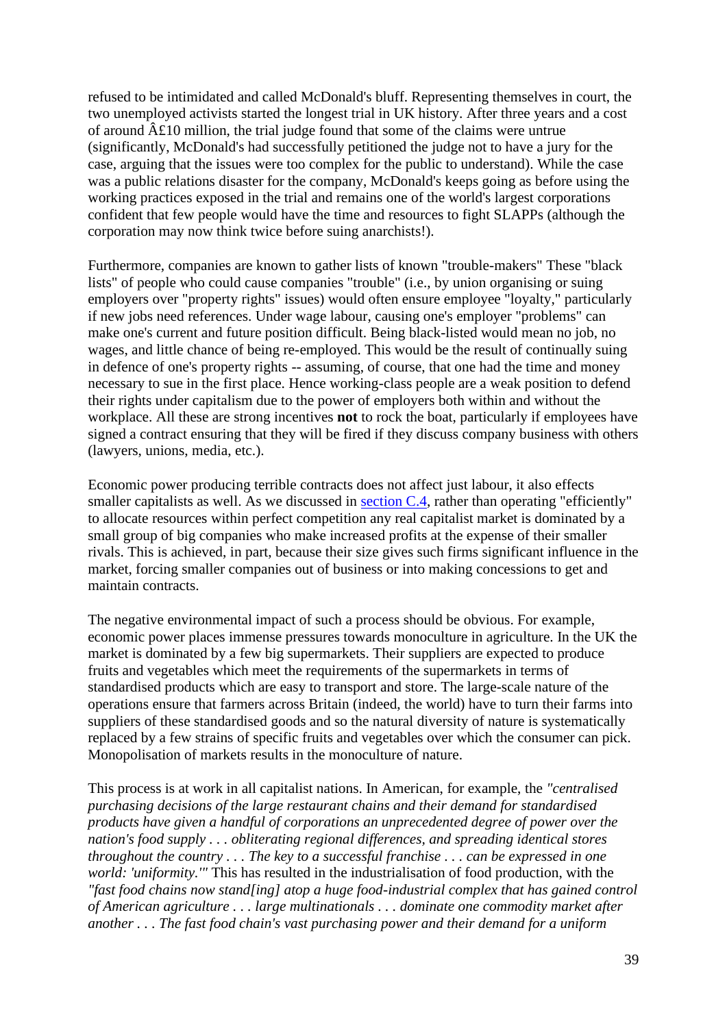refused to be intimidated and called McDonald's bluff. Representing themselves in court, the two unemployed activists started the longest trial in UK history. After three years and a cost of around  $\hat{A} \text{\pounds}10$  million, the trial judge found that some of the claims were untrue (significantly, McDonald's had successfully petitioned the judge not to have a jury for the case, arguing that the issues were too complex for the public to understand). While the case was a public relations disaster for the company, McDonald's keeps going as before using the working practices exposed in the trial and remains one of the world's largest corporations confident that few people would have the time and resources to fight SLAPPs (although the corporation may now think twice before suing anarchists!).

Furthermore, companies are known to gather lists of known "trouble-makers" These "black lists" of people who could cause companies "trouble" (i.e., by union organising or suing employers over "property rights" issues) would often ensure employee "loyalty," particularly if new jobs need references. Under wage labour, causing one's employer "problems" can make one's current and future position difficult. Being black-listed would mean no job, no wages, and little chance of being re-employed. This would be the result of continually suing in defence of one's property rights -- assuming, of course, that one had the time and money necessary to sue in the first place. Hence working-class people are a weak position to defend their rights under capitalism due to the power of employers both within and without the workplace. All these are strong incentives **not** to rock the boat, particularly if employees have signed a contract ensuring that they will be fired if they discuss company business with others (lawyers, unions, media, etc.).

Economic power producing terrible contracts does not affect just labour, it also effects smaller capitalists as well. As we discussed in [section C.4,](sectionC.html#secc4) rather than operating "efficiently" to allocate resources within perfect competition any real capitalist market is dominated by a small group of big companies who make increased profits at the expense of their smaller rivals. This is achieved, in part, because their size gives such firms significant influence in the market, forcing smaller companies out of business or into making concessions to get and maintain contracts.

The negative environmental impact of such a process should be obvious. For example, economic power places immense pressures towards monoculture in agriculture. In the UK the market is dominated by a few big supermarkets. Their suppliers are expected to produce fruits and vegetables which meet the requirements of the supermarkets in terms of standardised products which are easy to transport and store. The large-scale nature of the operations ensure that farmers across Britain (indeed, the world) have to turn their farms into suppliers of these standardised goods and so the natural diversity of nature is systematically replaced by a few strains of specific fruits and vegetables over which the consumer can pick. Monopolisation of markets results in the monoculture of nature.

This process is at work in all capitalist nations. In American, for example, the *"centralised purchasing decisions of the large restaurant chains and their demand for standardised products have given a handful of corporations an unprecedented degree of power over the nation's food supply . . . obliterating regional differences, and spreading identical stores throughout the country . . . The key to a successful franchise . . . can be expressed in one world: 'uniformity.'"* This has resulted in the industrialisation of food production, with the *"fast food chains now stand[ing] atop a huge food-industrial complex that has gained control of American agriculture . . . large multinationals . . . dominate one commodity market after another . . . The fast food chain's vast purchasing power and their demand for a uniform*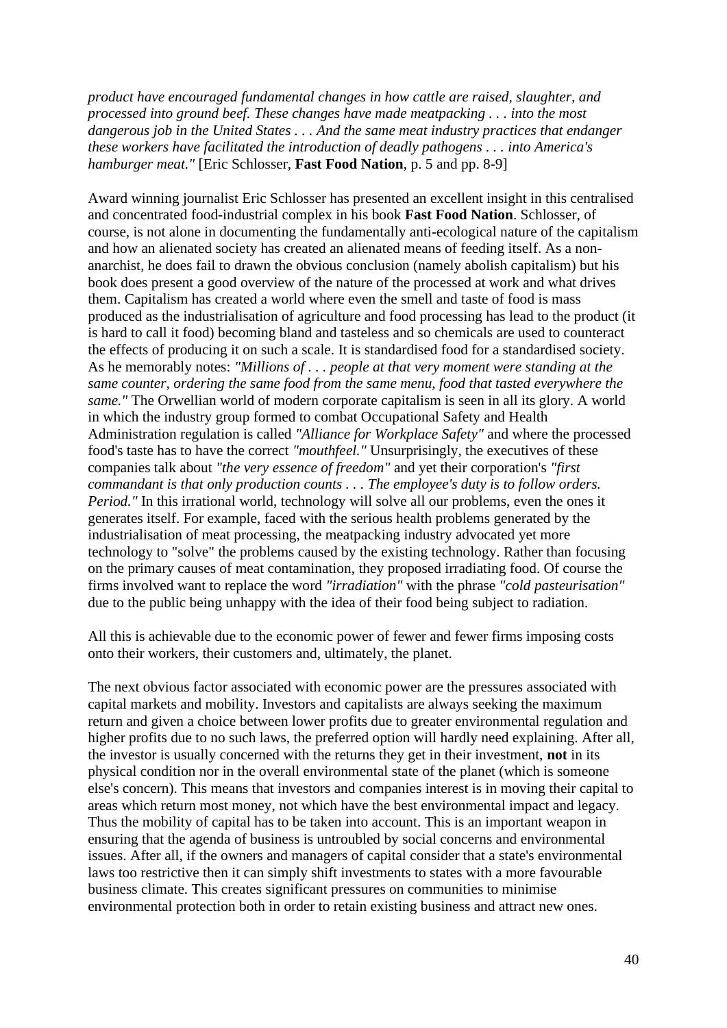*product have encouraged fundamental changes in how cattle are raised, slaughter, and processed into ground beef. These changes have made meatpacking . . . into the most dangerous job in the United States . . . And the same meat industry practices that endanger these workers have facilitated the introduction of deadly pathogens . . . into America's hamburger meat."* [Eric Schlosser, **Fast Food Nation**, p. 5 and pp. 8-9]

Award winning journalist Eric Schlosser has presented an excellent insight in this centralised and concentrated food-industrial complex in his book **Fast Food Nation**. Schlosser, of course, is not alone in documenting the fundamentally anti-ecological nature of the capitalism and how an alienated society has created an alienated means of feeding itself. As a nonanarchist, he does fail to drawn the obvious conclusion (namely abolish capitalism) but his book does present a good overview of the nature of the processed at work and what drives them. Capitalism has created a world where even the smell and taste of food is mass produced as the industrialisation of agriculture and food processing has lead to the product (it is hard to call it food) becoming bland and tasteless and so chemicals are used to counteract the effects of producing it on such a scale. It is standardised food for a standardised society. As he memorably notes: *"Millions of . . . people at that very moment were standing at the same counter, ordering the same food from the same menu, food that tasted everywhere the same."* The Orwellian world of modern corporate capitalism is seen in all its glory. A world in which the industry group formed to combat Occupational Safety and Health Administration regulation is called *"Alliance for Workplace Safety"* and where the processed food's taste has to have the correct *"mouthfeel."* Unsurprisingly, the executives of these companies talk about *"the very essence of freedom"* and yet their corporation's *"first commandant is that only production counts . . . The employee's duty is to follow orders. Period."* In this irrational world, technology will solve all our problems, even the ones it generates itself. For example, faced with the serious health problems generated by the industrialisation of meat processing, the meatpacking industry advocated yet more technology to "solve" the problems caused by the existing technology. Rather than focusing on the primary causes of meat contamination, they proposed irradiating food. Of course the firms involved want to replace the word *"irradiation"* with the phrase *"cold pasteurisation"* due to the public being unhappy with the idea of their food being subject to radiation.

All this is achievable due to the economic power of fewer and fewer firms imposing costs onto their workers, their customers and, ultimately, the planet.

The next obvious factor associated with economic power are the pressures associated with capital markets and mobility. Investors and capitalists are always seeking the maximum return and given a choice between lower profits due to greater environmental regulation and higher profits due to no such laws, the preferred option will hardly need explaining. After all, the investor is usually concerned with the returns they get in their investment, **not** in its physical condition nor in the overall environmental state of the planet (which is someone else's concern). This means that investors and companies interest is in moving their capital to areas which return most money, not which have the best environmental impact and legacy. Thus the mobility of capital has to be taken into account. This is an important weapon in ensuring that the agenda of business is untroubled by social concerns and environmental issues. After all, if the owners and managers of capital consider that a state's environmental laws too restrictive then it can simply shift investments to states with a more favourable business climate. This creates significant pressures on communities to minimise environmental protection both in order to retain existing business and attract new ones.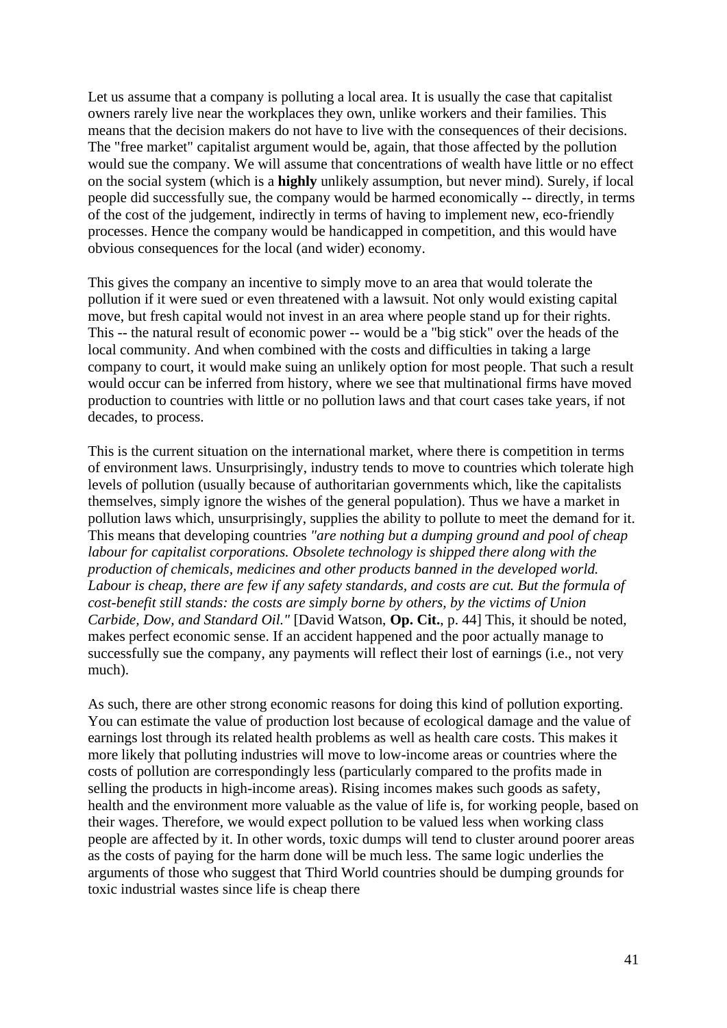Let us assume that a company is polluting a local area. It is usually the case that capitalist owners rarely live near the workplaces they own, unlike workers and their families. This means that the decision makers do not have to live with the consequences of their decisions. The "free market" capitalist argument would be, again, that those affected by the pollution would sue the company. We will assume that concentrations of wealth have little or no effect on the social system (which is a **highly** unlikely assumption, but never mind). Surely, if local people did successfully sue, the company would be harmed economically -- directly, in terms of the cost of the judgement, indirectly in terms of having to implement new, eco-friendly processes. Hence the company would be handicapped in competition, and this would have obvious consequences for the local (and wider) economy.

This gives the company an incentive to simply move to an area that would tolerate the pollution if it were sued or even threatened with a lawsuit. Not only would existing capital move, but fresh capital would not invest in an area where people stand up for their rights. This -- the natural result of economic power -- would be a "big stick" over the heads of the local community. And when combined with the costs and difficulties in taking a large company to court, it would make suing an unlikely option for most people. That such a result would occur can be inferred from history, where we see that multinational firms have moved production to countries with little or no pollution laws and that court cases take years, if not decades, to process.

This is the current situation on the international market, where there is competition in terms of environment laws. Unsurprisingly, industry tends to move to countries which tolerate high levels of pollution (usually because of authoritarian governments which, like the capitalists themselves, simply ignore the wishes of the general population). Thus we have a market in pollution laws which, unsurprisingly, supplies the ability to pollute to meet the demand for it. This means that developing countries *"are nothing but a dumping ground and pool of cheap labour for capitalist corporations. Obsolete technology is shipped there along with the production of chemicals, medicines and other products banned in the developed world. Labour is cheap, there are few if any safety standards, and costs are cut. But the formula of cost-benefit still stands: the costs are simply borne by others, by the victims of Union Carbide, Dow, and Standard Oil."* [David Watson, **Op. Cit.**, p. 44] This, it should be noted, makes perfect economic sense. If an accident happened and the poor actually manage to successfully sue the company, any payments will reflect their lost of earnings (i.e., not very much).

As such, there are other strong economic reasons for doing this kind of pollution exporting. You can estimate the value of production lost because of ecological damage and the value of earnings lost through its related health problems as well as health care costs. This makes it more likely that polluting industries will move to low-income areas or countries where the costs of pollution are correspondingly less (particularly compared to the profits made in selling the products in high-income areas). Rising incomes makes such goods as safety, health and the environment more valuable as the value of life is, for working people, based on their wages. Therefore, we would expect pollution to be valued less when working class people are affected by it. In other words, toxic dumps will tend to cluster around poorer areas as the costs of paying for the harm done will be much less. The same logic underlies the arguments of those who suggest that Third World countries should be dumping grounds for toxic industrial wastes since life is cheap there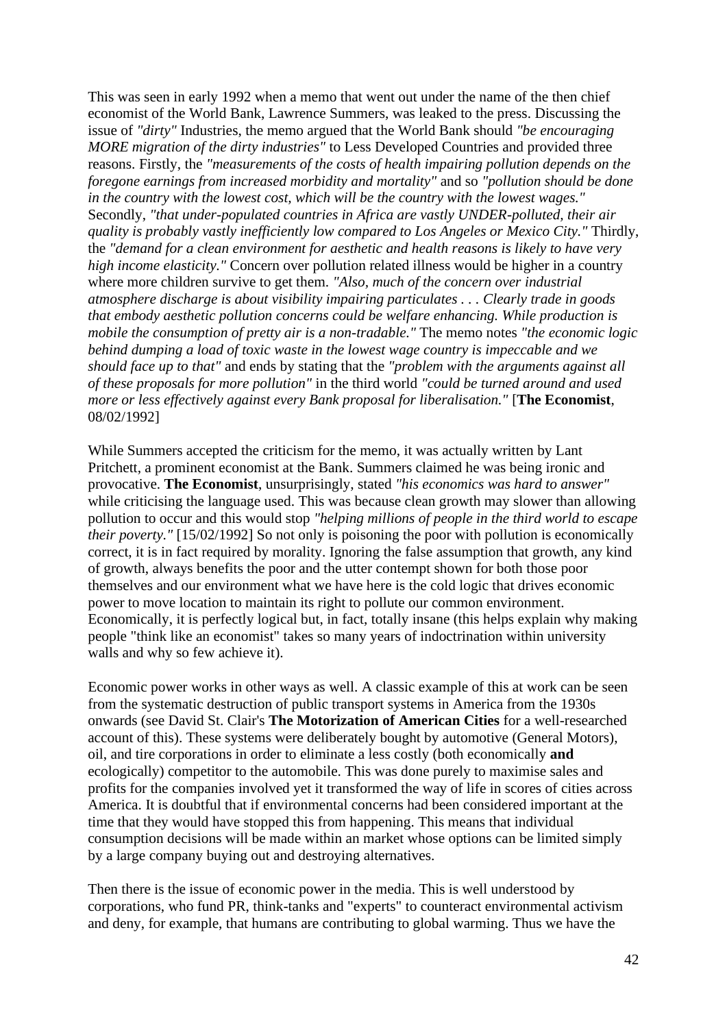This was seen in early 1992 when a memo that went out under the name of the then chief economist of the World Bank, Lawrence Summers, was leaked to the press. Discussing the issue of *"dirty"* Industries, the memo argued that the World Bank should *"be encouraging MORE migration of the dirty industries"* to Less Developed Countries and provided three reasons. Firstly, the *"measurements of the costs of health impairing pollution depends on the foregone earnings from increased morbidity and mortality"* and so *"pollution should be done in the country with the lowest cost, which will be the country with the lowest wages."* Secondly, *"that under-populated countries in Africa are vastly UNDER-polluted, their air quality is probably vastly inefficiently low compared to Los Angeles or Mexico City."* Thirdly, the *"demand for a clean environment for aesthetic and health reasons is likely to have very high income elasticity."* Concern over pollution related illness would be higher in a country where more children survive to get them. *"Also, much of the concern over industrial atmosphere discharge is about visibility impairing particulates . . . Clearly trade in goods that embody aesthetic pollution concerns could be welfare enhancing. While production is mobile the consumption of pretty air is a non-tradable."* The memo notes *"the economic logic behind dumping a load of toxic waste in the lowest wage country is impeccable and we should face up to that"* and ends by stating that the *"problem with the arguments against all of these proposals for more pollution"* in the third world *"could be turned around and used more or less effectively against every Bank proposal for liberalisation."* [**The Economist**, 08/02/1992]

While Summers accepted the criticism for the memo, it was actually written by Lant Pritchett, a prominent economist at the Bank. Summers claimed he was being ironic and provocative. **The Economist**, unsurprisingly, stated *"his economics was hard to answer"* while criticising the language used. This was because clean growth may slower than allowing pollution to occur and this would stop *"helping millions of people in the third world to escape their poverty."* [15/02/1992] So not only is poisoning the poor with pollution is economically correct, it is in fact required by morality. Ignoring the false assumption that growth, any kind of growth, always benefits the poor and the utter contempt shown for both those poor themselves and our environment what we have here is the cold logic that drives economic power to move location to maintain its right to pollute our common environment. Economically, it is perfectly logical but, in fact, totally insane (this helps explain why making people "think like an economist" takes so many years of indoctrination within university walls and why so few achieve it).

Economic power works in other ways as well. A classic example of this at work can be seen from the systematic destruction of public transport systems in America from the 1930s onwards (see David St. Clair's **The Motorization of American Cities** for a well-researched account of this). These systems were deliberately bought by automotive (General Motors), oil, and tire corporations in order to eliminate a less costly (both economically **and** ecologically) competitor to the automobile. This was done purely to maximise sales and profits for the companies involved yet it transformed the way of life in scores of cities across America. It is doubtful that if environmental concerns had been considered important at the time that they would have stopped this from happening. This means that individual consumption decisions will be made within an market whose options can be limited simply by a large company buying out and destroying alternatives.

Then there is the issue of economic power in the media. This is well understood by corporations, who fund PR, think-tanks and "experts" to counteract environmental activism and deny, for example, that humans are contributing to global warming. Thus we have the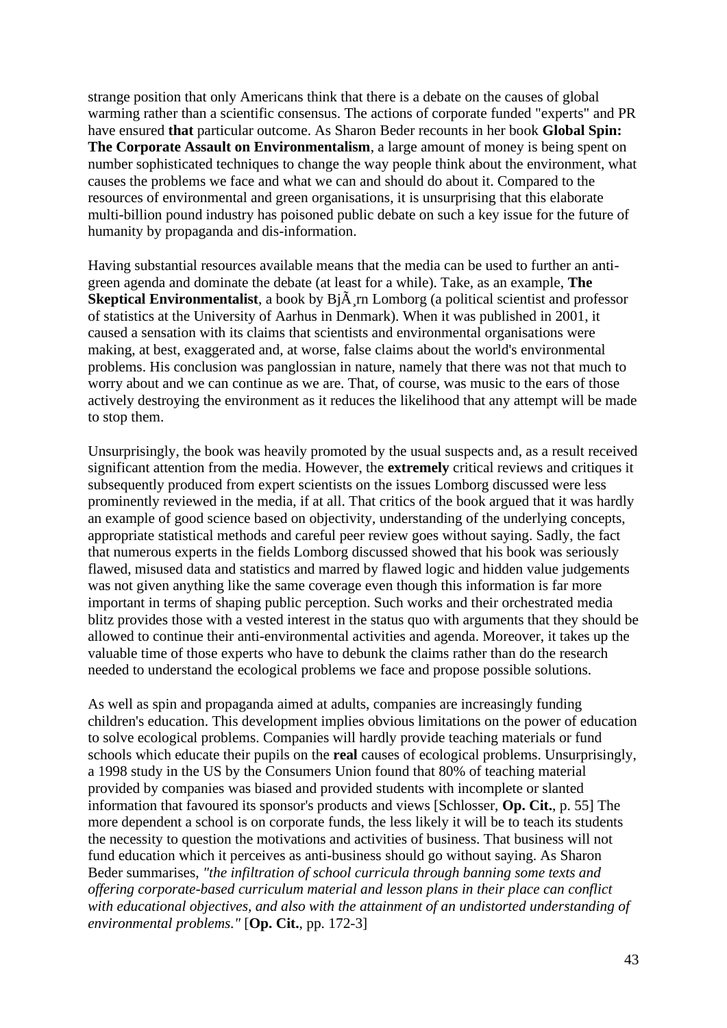strange position that only Americans think that there is a debate on the causes of global warming rather than a scientific consensus. The actions of corporate funded "experts" and PR have ensured **that** particular outcome. As Sharon Beder recounts in her book **Global Spin: The Corporate Assault on Environmentalism**, a large amount of money is being spent on number sophisticated techniques to change the way people think about the environment, what causes the problems we face and what we can and should do about it. Compared to the resources of environmental and green organisations, it is unsurprising that this elaborate multi-billion pound industry has poisoned public debate on such a key issue for the future of humanity by propaganda and dis-information.

Having substantial resources available means that the media can be used to further an antigreen agenda and dominate the debate (at least for a while). Take, as an example, **The Skeptical Environmentalist**, a book by  $B_1\tilde{A}$  m Lomborg (a political scientist and professor of statistics at the University of Aarhus in Denmark). When it was published in 2001, it caused a sensation with its claims that scientists and environmental organisations were making, at best, exaggerated and, at worse, false claims about the world's environmental problems. His conclusion was panglossian in nature, namely that there was not that much to worry about and we can continue as we are. That, of course, was music to the ears of those actively destroying the environment as it reduces the likelihood that any attempt will be made to stop them.

Unsurprisingly, the book was heavily promoted by the usual suspects and, as a result received significant attention from the media. However, the **extremely** critical reviews and critiques it subsequently produced from expert scientists on the issues Lomborg discussed were less prominently reviewed in the media, if at all. That critics of the book argued that it was hardly an example of good science based on objectivity, understanding of the underlying concepts, appropriate statistical methods and careful peer review goes without saying. Sadly, the fact that numerous experts in the fields Lomborg discussed showed that his book was seriously flawed, misused data and statistics and marred by flawed logic and hidden value judgements was not given anything like the same coverage even though this information is far more important in terms of shaping public perception. Such works and their orchestrated media blitz provides those with a vested interest in the status quo with arguments that they should be allowed to continue their anti-environmental activities and agenda. Moreover, it takes up the valuable time of those experts who have to debunk the claims rather than do the research needed to understand the ecological problems we face and propose possible solutions.

As well as spin and propaganda aimed at adults, companies are increasingly funding children's education. This development implies obvious limitations on the power of education to solve ecological problems. Companies will hardly provide teaching materials or fund schools which educate their pupils on the **real** causes of ecological problems. Unsurprisingly, a 1998 study in the US by the Consumers Union found that 80% of teaching material provided by companies was biased and provided students with incomplete or slanted information that favoured its sponsor's products and views [Schlosser, **Op. Cit.**, p. 55] The more dependent a school is on corporate funds, the less likely it will be to teach its students the necessity to question the motivations and activities of business. That business will not fund education which it perceives as anti-business should go without saying. As Sharon Beder summarises, *"the infiltration of school curricula through banning some texts and offering corporate-based curriculum material and lesson plans in their place can conflict with educational objectives, and also with the attainment of an undistorted understanding of environmental problems."* [**Op. Cit.**, pp. 172-3]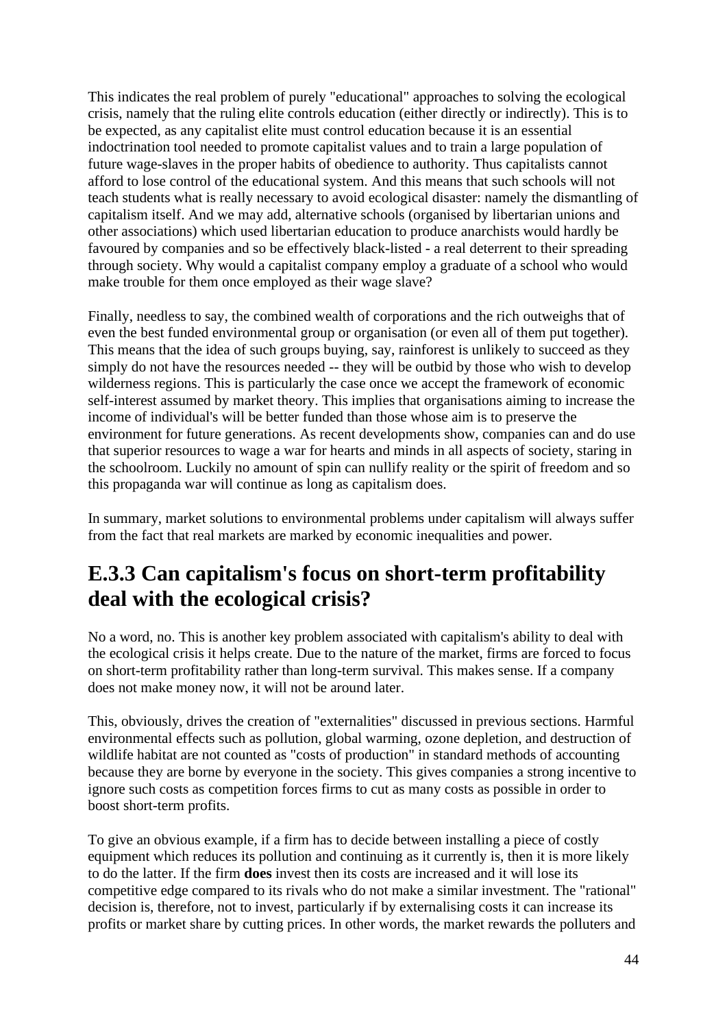This indicates the real problem of purely "educational" approaches to solving the ecological crisis, namely that the ruling elite controls education (either directly or indirectly). This is to be expected, as any capitalist elite must control education because it is an essential indoctrination tool needed to promote capitalist values and to train a large population of future wage-slaves in the proper habits of obedience to authority. Thus capitalists cannot afford to lose control of the educational system. And this means that such schools will not teach students what is really necessary to avoid ecological disaster: namely the dismantling of capitalism itself. And we may add, alternative schools (organised by libertarian unions and other associations) which used libertarian education to produce anarchists would hardly be favoured by companies and so be effectively black-listed - a real deterrent to their spreading through society. Why would a capitalist company employ a graduate of a school who would make trouble for them once employed as their wage slave?

Finally, needless to say, the combined wealth of corporations and the rich outweighs that of even the best funded environmental group or organisation (or even all of them put together). This means that the idea of such groups buying, say, rainforest is unlikely to succeed as they simply do not have the resources needed -- they will be outbid by those who wish to develop wilderness regions. This is particularly the case once we accept the framework of economic self-interest assumed by market theory. This implies that organisations aiming to increase the income of individual's will be better funded than those whose aim is to preserve the environment for future generations. As recent developments show, companies can and do use that superior resources to wage a war for hearts and minds in all aspects of society, staring in the schoolroom. Luckily no amount of spin can nullify reality or the spirit of freedom and so this propaganda war will continue as long as capitalism does.

In summary, market solutions to environmental problems under capitalism will always suffer from the fact that real markets are marked by economic inequalities and power.

### **E.3.3 Can capitalism's focus on short-term profitability deal with the ecological crisis?**

No a word, no. This is another key problem associated with capitalism's ability to deal with the ecological crisis it helps create. Due to the nature of the market, firms are forced to focus on short-term profitability rather than long-term survival. This makes sense. If a company does not make money now, it will not be around later.

This, obviously, drives the creation of "externalities" discussed in previous sections. Harmful environmental effects such as pollution, global warming, ozone depletion, and destruction of wildlife habitat are not counted as "costs of production" in standard methods of accounting because they are borne by everyone in the society. This gives companies a strong incentive to ignore such costs as competition forces firms to cut as many costs as possible in order to boost short-term profits.

To give an obvious example, if a firm has to decide between installing a piece of costly equipment which reduces its pollution and continuing as it currently is, then it is more likely to do the latter. If the firm **does** invest then its costs are increased and it will lose its competitive edge compared to its rivals who do not make a similar investment. The "rational" decision is, therefore, not to invest, particularly if by externalising costs it can increase its profits or market share by cutting prices. In other words, the market rewards the polluters and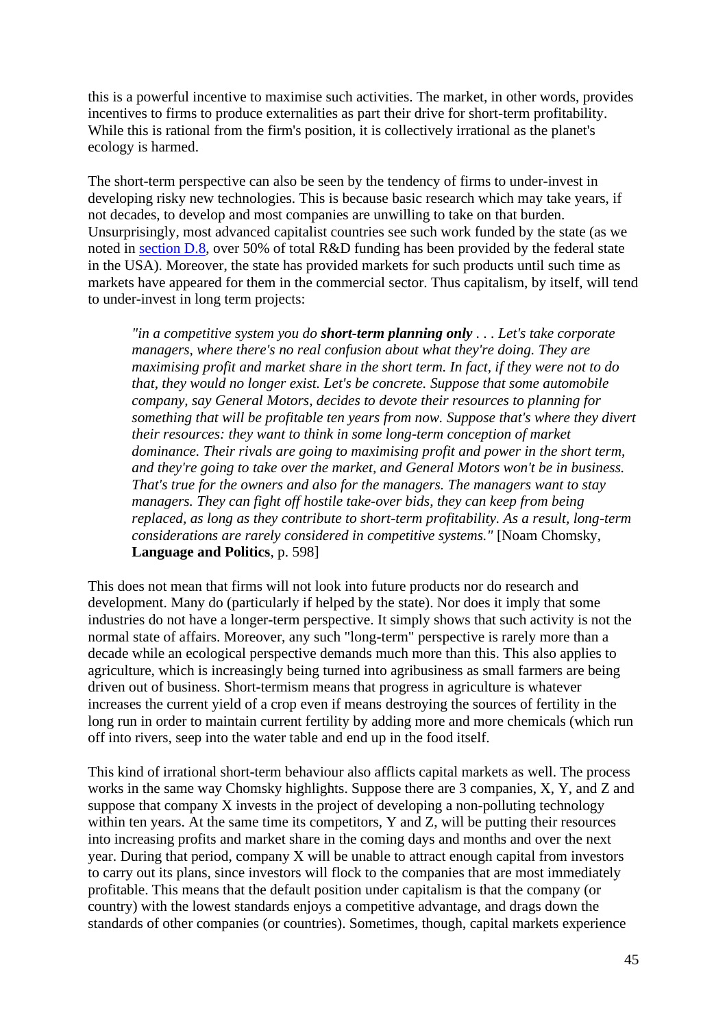this is a powerful incentive to maximise such activities. The market, in other words, provides incentives to firms to produce externalities as part their drive for short-term profitability. While this is rational from the firm's position, it is collectively irrational as the planet's ecology is harmed.

The short-term perspective can also be seen by the tendency of firms to under-invest in developing risky new technologies. This is because basic research which may take years, if not decades, to develop and most companies are unwilling to take on that burden. Unsurprisingly, most advanced capitalist countries see such work funded by the state (as we noted in [section D.8,](sectionD.html#secd8) over 50% of total R&D funding has been provided by the federal state in the USA). Moreover, the state has provided markets for such products until such time as markets have appeared for them in the commercial sector. Thus capitalism, by itself, will tend to under-invest in long term projects:

*"in a competitive system you do short-term planning only . . . Let's take corporate managers, where there's no real confusion about what they're doing. They are maximising profit and market share in the short term. In fact, if they were not to do that, they would no longer exist. Let's be concrete. Suppose that some automobile company, say General Motors, decides to devote their resources to planning for something that will be profitable ten years from now. Suppose that's where they divert their resources: they want to think in some long-term conception of market dominance. Their rivals are going to maximising profit and power in the short term, and they're going to take over the market, and General Motors won't be in business. That's true for the owners and also for the managers. The managers want to stay managers. They can fight off hostile take-over bids, they can keep from being replaced, as long as they contribute to short-term profitability. As a result, long-term considerations are rarely considered in competitive systems."* [Noam Chomsky, **Language and Politics**, p. 598]

This does not mean that firms will not look into future products nor do research and development. Many do (particularly if helped by the state). Nor does it imply that some industries do not have a longer-term perspective. It simply shows that such activity is not the normal state of affairs. Moreover, any such "long-term" perspective is rarely more than a decade while an ecological perspective demands much more than this. This also applies to agriculture, which is increasingly being turned into agribusiness as small farmers are being driven out of business. Short-termism means that progress in agriculture is whatever increases the current yield of a crop even if means destroying the sources of fertility in the long run in order to maintain current fertility by adding more and more chemicals (which run off into rivers, seep into the water table and end up in the food itself.

This kind of irrational short-term behaviour also afflicts capital markets as well. The process works in the same way Chomsky highlights. Suppose there are 3 companies, X, Y, and Z and suppose that company X invests in the project of developing a non-polluting technology within ten years. At the same time its competitors, Y and Z, will be putting their resources into increasing profits and market share in the coming days and months and over the next year. During that period, company X will be unable to attract enough capital from investors to carry out its plans, since investors will flock to the companies that are most immediately profitable. This means that the default position under capitalism is that the company (or country) with the lowest standards enjoys a competitive advantage, and drags down the standards of other companies (or countries). Sometimes, though, capital markets experience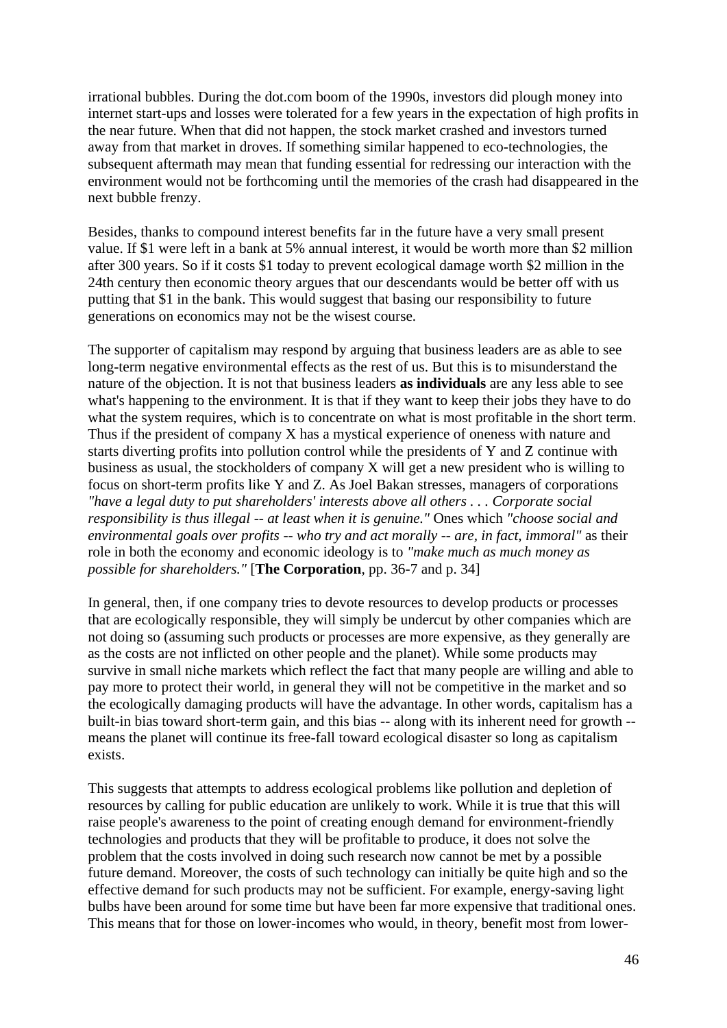irrational bubbles. During the dot.com boom of the 1990s, investors did plough money into internet start-ups and losses were tolerated for a few years in the expectation of high profits in the near future. When that did not happen, the stock market crashed and investors turned away from that market in droves. If something similar happened to eco-technologies, the subsequent aftermath may mean that funding essential for redressing our interaction with the environment would not be forthcoming until the memories of the crash had disappeared in the next bubble frenzy.

Besides, thanks to compound interest benefits far in the future have a very small present value. If \$1 were left in a bank at 5% annual interest, it would be worth more than \$2 million after 300 years. So if it costs \$1 today to prevent ecological damage worth \$2 million in the 24th century then economic theory argues that our descendants would be better off with us putting that \$1 in the bank. This would suggest that basing our responsibility to future generations on economics may not be the wisest course.

The supporter of capitalism may respond by arguing that business leaders are as able to see long-term negative environmental effects as the rest of us. But this is to misunderstand the nature of the objection. It is not that business leaders **as individuals** are any less able to see what's happening to the environment. It is that if they want to keep their jobs they have to do what the system requires, which is to concentrate on what is most profitable in the short term. Thus if the president of company X has a mystical experience of oneness with nature and starts diverting profits into pollution control while the presidents of Y and Z continue with business as usual, the stockholders of company X will get a new president who is willing to focus on short-term profits like Y and Z. As Joel Bakan stresses, managers of corporations *"have a legal duty to put shareholders' interests above all others . . . Corporate social responsibility is thus illegal -- at least when it is genuine."* Ones which *"choose social and environmental goals over profits -- who try and act morally -- are, in fact, immoral"* as their role in both the economy and economic ideology is to *"make much as much money as possible for shareholders."* [**The Corporation**, pp. 36-7 and p. 34]

In general, then, if one company tries to devote resources to develop products or processes that are ecologically responsible, they will simply be undercut by other companies which are not doing so (assuming such products or processes are more expensive, as they generally are as the costs are not inflicted on other people and the planet). While some products may survive in small niche markets which reflect the fact that many people are willing and able to pay more to protect their world, in general they will not be competitive in the market and so the ecologically damaging products will have the advantage. In other words, capitalism has a built-in bias toward short-term gain, and this bias -- along with its inherent need for growth - means the planet will continue its free-fall toward ecological disaster so long as capitalism exists.

This suggests that attempts to address ecological problems like pollution and depletion of resources by calling for public education are unlikely to work. While it is true that this will raise people's awareness to the point of creating enough demand for environment-friendly technologies and products that they will be profitable to produce, it does not solve the problem that the costs involved in doing such research now cannot be met by a possible future demand. Moreover, the costs of such technology can initially be quite high and so the effective demand for such products may not be sufficient. For example, energy-saving light bulbs have been around for some time but have been far more expensive that traditional ones. This means that for those on lower-incomes who would, in theory, benefit most from lower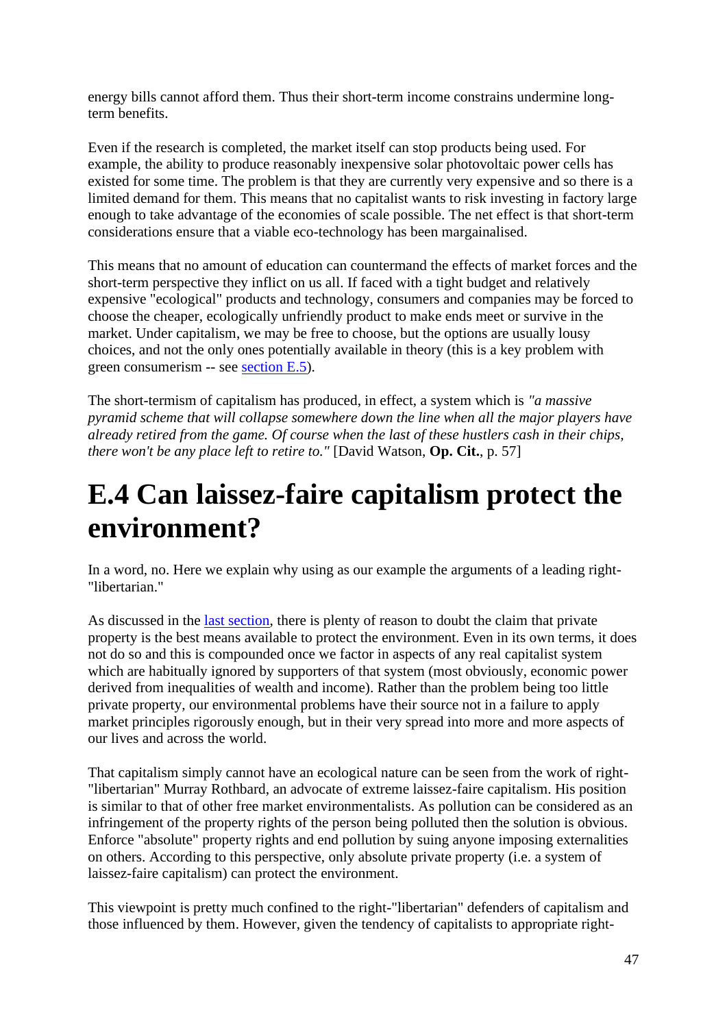energy bills cannot afford them. Thus their short-term income constrains undermine longterm benefits.

Even if the research is completed, the market itself can stop products being used. For example, the ability to produce reasonably inexpensive solar photovoltaic power cells has existed for some time. The problem is that they are currently very expensive and so there is a limited demand for them. This means that no capitalist wants to risk investing in factory large enough to take advantage of the economies of scale possible. The net effect is that short-term considerations ensure that a viable eco-technology has been margainalised.

This means that no amount of education can countermand the effects of market forces and the short-term perspective they inflict on us all. If faced with a tight budget and relatively expensive "ecological" products and technology, consumers and companies may be forced to choose the cheaper, ecologically unfriendly product to make ends meet or survive in the market. Under capitalism, we may be free to choose, but the options are usually lousy choices, and not the only ones potentially available in theory (this is a key problem with green consumerism -- see [section E.5\)](sectionE.html#sece5).

The short-termism of capitalism has produced, in effect, a system which is *"a massive pyramid scheme that will collapse somewhere down the line when all the major players have already retired from the game. Of course when the last of these hustlers cash in their chips, there won't be any place left to retire to."* [David Watson, **Op. Cit.**, p. 57]

# **E.4 Can laissez-faire capitalism protect the environment?**

In a word, no. Here we explain why using as our example the arguments of a leading right- "libertarian."

As discussed in the [last section,](sectionE.html#sece3) there is plenty of reason to doubt the claim that private property is the best means available to protect the environment. Even in its own terms, it does not do so and this is compounded once we factor in aspects of any real capitalist system which are habitually ignored by supporters of that system (most obviously, economic power derived from inequalities of wealth and income). Rather than the problem being too little private property, our environmental problems have their source not in a failure to apply market principles rigorously enough, but in their very spread into more and more aspects of our lives and across the world.

That capitalism simply cannot have an ecological nature can be seen from the work of right- "libertarian" Murray Rothbard, an advocate of extreme laissez-faire capitalism. His position is similar to that of other free market environmentalists. As pollution can be considered as an infringement of the property rights of the person being polluted then the solution is obvious. Enforce "absolute" property rights and end pollution by suing anyone imposing externalities on others. According to this perspective, only absolute private property (i.e. a system of laissez-faire capitalism) can protect the environment.

This viewpoint is pretty much confined to the right-"libertarian" defenders of capitalism and those influenced by them. However, given the tendency of capitalists to appropriate right-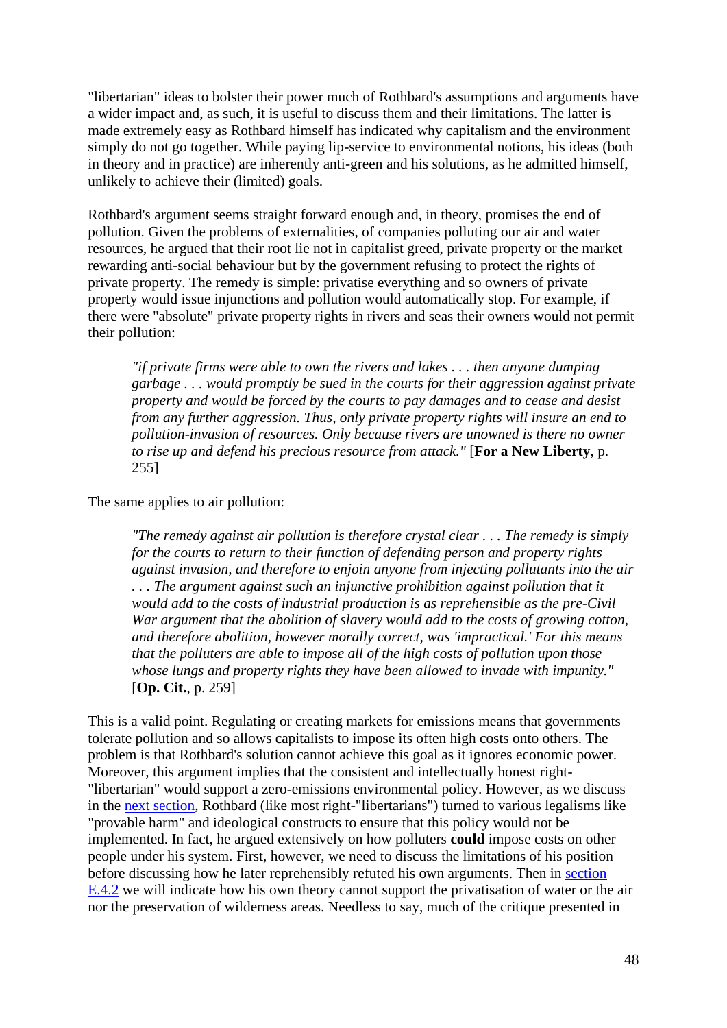"libertarian" ideas to bolster their power much of Rothbard's assumptions and arguments have a wider impact and, as such, it is useful to discuss them and their limitations. The latter is made extremely easy as Rothbard himself has indicated why capitalism and the environment simply do not go together. While paying lip-service to environmental notions, his ideas (both in theory and in practice) are inherently anti-green and his solutions, as he admitted himself, unlikely to achieve their (limited) goals.

Rothbard's argument seems straight forward enough and, in theory, promises the end of pollution. Given the problems of externalities, of companies polluting our air and water resources, he argued that their root lie not in capitalist greed, private property or the market rewarding anti-social behaviour but by the government refusing to protect the rights of private property. The remedy is simple: privatise everything and so owners of private property would issue injunctions and pollution would automatically stop. For example, if there were "absolute" private property rights in rivers and seas their owners would not permit their pollution:

*"if private firms were able to own the rivers and lakes . . . then anyone dumping garbage . . . would promptly be sued in the courts for their aggression against private property and would be forced by the courts to pay damages and to cease and desist from any further aggression. Thus, only private property rights will insure an end to pollution-invasion of resources. Only because rivers are unowned is there no owner to rise up and defend his precious resource from attack."* [**For a New Liberty**, p. 255]

The same applies to air pollution:

*"The remedy against air pollution is therefore crystal clear . . . The remedy is simply for the courts to return to their function of defending person and property rights against invasion, and therefore to enjoin anyone from injecting pollutants into the air . . . The argument against such an injunctive prohibition against pollution that it would add to the costs of industrial production is as reprehensible as the pre-Civil War argument that the abolition of slavery would add to the costs of growing cotton, and therefore abolition, however morally correct, was 'impractical.' For this means that the polluters are able to impose all of the high costs of pollution upon those whose lungs and property rights they have been allowed to invade with impunity."* [**Op. Cit.**, p. 259]

This is a valid point. Regulating or creating markets for emissions means that governments tolerate pollution and so allows capitalists to impose its often high costs onto others. The problem is that Rothbard's solution cannot achieve this goal as it ignores economic power. Moreover, this argument implies that the consistent and intellectually honest right- "libertarian" would support a zero-emissions environmental policy. However, as we discuss in the [next section,](sectionE.html#sece41) Rothbard (like most right-"libertarians") turned to various legalisms like "provable harm" and ideological constructs to ensure that this policy would not be implemented. In fact, he argued extensively on how polluters **could** impose costs on other people under his system. First, however, we need to discuss the limitations of his position before discussing how he later reprehensibly refuted his own arguments. Then in [section](sectionE.html#sece42)  [E.4.2](sectionE.html#sece42) we will indicate how his own theory cannot support the privatisation of water or the air nor the preservation of wilderness areas. Needless to say, much of the critique presented in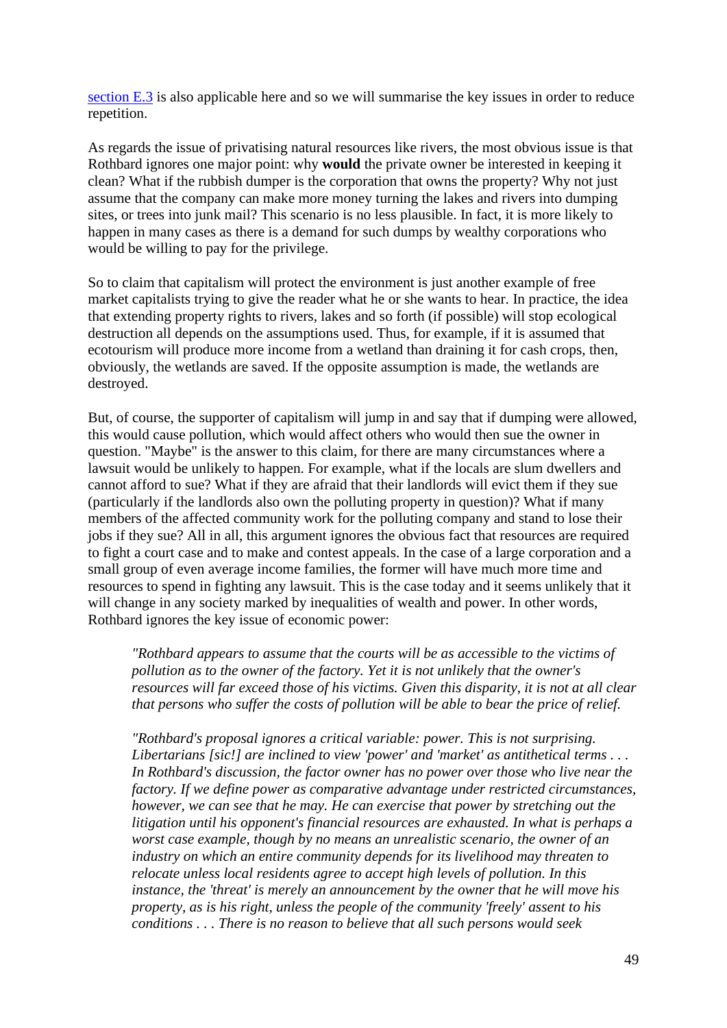[section E.3](sectionE.html#sece3) is also applicable here and so we will summarise the key issues in order to reduce repetition.

As regards the issue of privatising natural resources like rivers, the most obvious issue is that Rothbard ignores one major point: why **would** the private owner be interested in keeping it clean? What if the rubbish dumper is the corporation that owns the property? Why not just assume that the company can make more money turning the lakes and rivers into dumping sites, or trees into junk mail? This scenario is no less plausible. In fact, it is more likely to happen in many cases as there is a demand for such dumps by wealthy corporations who would be willing to pay for the privilege.

So to claim that capitalism will protect the environment is just another example of free market capitalists trying to give the reader what he or she wants to hear. In practice, the idea that extending property rights to rivers, lakes and so forth (if possible) will stop ecological destruction all depends on the assumptions used. Thus, for example, if it is assumed that ecotourism will produce more income from a wetland than draining it for cash crops, then, obviously, the wetlands are saved. If the opposite assumption is made, the wetlands are destroyed.

But, of course, the supporter of capitalism will jump in and say that if dumping were allowed, this would cause pollution, which would affect others who would then sue the owner in question. "Maybe" is the answer to this claim, for there are many circumstances where a lawsuit would be unlikely to happen. For example, what if the locals are slum dwellers and cannot afford to sue? What if they are afraid that their landlords will evict them if they sue (particularly if the landlords also own the polluting property in question)? What if many members of the affected community work for the polluting company and stand to lose their jobs if they sue? All in all, this argument ignores the obvious fact that resources are required to fight a court case and to make and contest appeals. In the case of a large corporation and a small group of even average income families, the former will have much more time and resources to spend in fighting any lawsuit. This is the case today and it seems unlikely that it will change in any society marked by inequalities of wealth and power. In other words, Rothbard ignores the key issue of economic power:

*"Rothbard appears to assume that the courts will be as accessible to the victims of pollution as to the owner of the factory. Yet it is not unlikely that the owner's resources will far exceed those of his victims. Given this disparity, it is not at all clear that persons who suffer the costs of pollution will be able to bear the price of relief.*

*"Rothbard's proposal ignores a critical variable: power. This is not surprising. Libertarians [sic!] are inclined to view 'power' and 'market' as antithetical terms . . . In Rothbard's discussion, the factor owner has no power over those who live near the factory. If we define power as comparative advantage under restricted circumstances, however, we can see that he may. He can exercise that power by stretching out the litigation until his opponent's financial resources are exhausted. In what is perhaps a worst case example, though by no means an unrealistic scenario, the owner of an industry on which an entire community depends for its livelihood may threaten to relocate unless local residents agree to accept high levels of pollution. In this instance, the 'threat' is merely an announcement by the owner that he will move his property, as is his right, unless the people of the community 'freely' assent to his conditions . . . There is no reason to believe that all such persons would seek*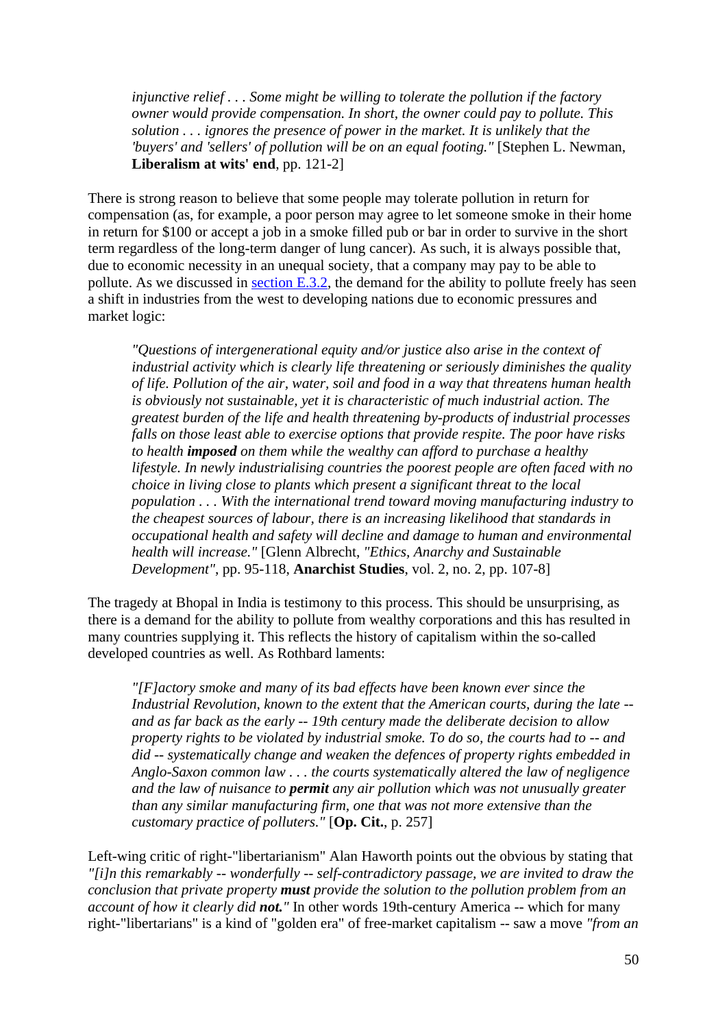*injunctive relief . . . Some might be willing to tolerate the pollution if the factory owner would provide compensation. In short, the owner could pay to pollute. This solution . . . ignores the presence of power in the market. It is unlikely that the 'buyers' and 'sellers' of pollution will be on an equal footing."* [Stephen L. Newman, **Liberalism at wits' end**, pp. 121-2]

There is strong reason to believe that some people may tolerate pollution in return for compensation (as, for example, a poor person may agree to let someone smoke in their home in return for \$100 or accept a job in a smoke filled pub or bar in order to survive in the short term regardless of the long-term danger of lung cancer). As such, it is always possible that, due to economic necessity in an unequal society, that a company may pay to be able to pollute. As we discussed in [section E.3.2,](sectionE.html#sece32) the demand for the ability to pollute freely has seen a shift in industries from the west to developing nations due to economic pressures and market logic:

*"Questions of intergenerational equity and/or justice also arise in the context of industrial activity which is clearly life threatening or seriously diminishes the quality of life. Pollution of the air, water, soil and food in a way that threatens human health is obviously not sustainable, yet it is characteristic of much industrial action. The greatest burden of the life and health threatening by-products of industrial processes falls on those least able to exercise options that provide respite. The poor have risks to health imposed on them while the wealthy can afford to purchase a healthy lifestyle. In newly industrialising countries the poorest people are often faced with no choice in living close to plants which present a significant threat to the local population . . . With the international trend toward moving manufacturing industry to the cheapest sources of labour, there is an increasing likelihood that standards in occupational health and safety will decline and damage to human and environmental health will increase."* [Glenn Albrecht, *"Ethics, Anarchy and Sustainable Development"*, pp. 95-118, **Anarchist Studies**, vol. 2, no. 2, pp. 107-8]

The tragedy at Bhopal in India is testimony to this process. This should be unsurprising, as there is a demand for the ability to pollute from wealthy corporations and this has resulted in many countries supplying it. This reflects the history of capitalism within the so-called developed countries as well. As Rothbard laments:

*"[F]actory smoke and many of its bad effects have been known ever since the Industrial Revolution, known to the extent that the American courts, during the late - and as far back as the early -- 19th century made the deliberate decision to allow property rights to be violated by industrial smoke. To do so, the courts had to -- and did -- systematically change and weaken the defences of property rights embedded in Anglo-Saxon common law . . . the courts systematically altered the law of negligence and the law of nuisance to permit any air pollution which was not unusually greater than any similar manufacturing firm, one that was not more extensive than the customary practice of polluters."* [**Op. Cit.**, p. 257]

Left-wing critic of right-"libertarianism" Alan Haworth points out the obvious by stating that *"[i]n this remarkably -- wonderfully -- self-contradictory passage, we are invited to draw the conclusion that private property must provide the solution to the pollution problem from an account of how it clearly did not."* In other words 19th-century America -- which for many right-"libertarians" is a kind of "golden era" of free-market capitalism -- saw a move *"from an*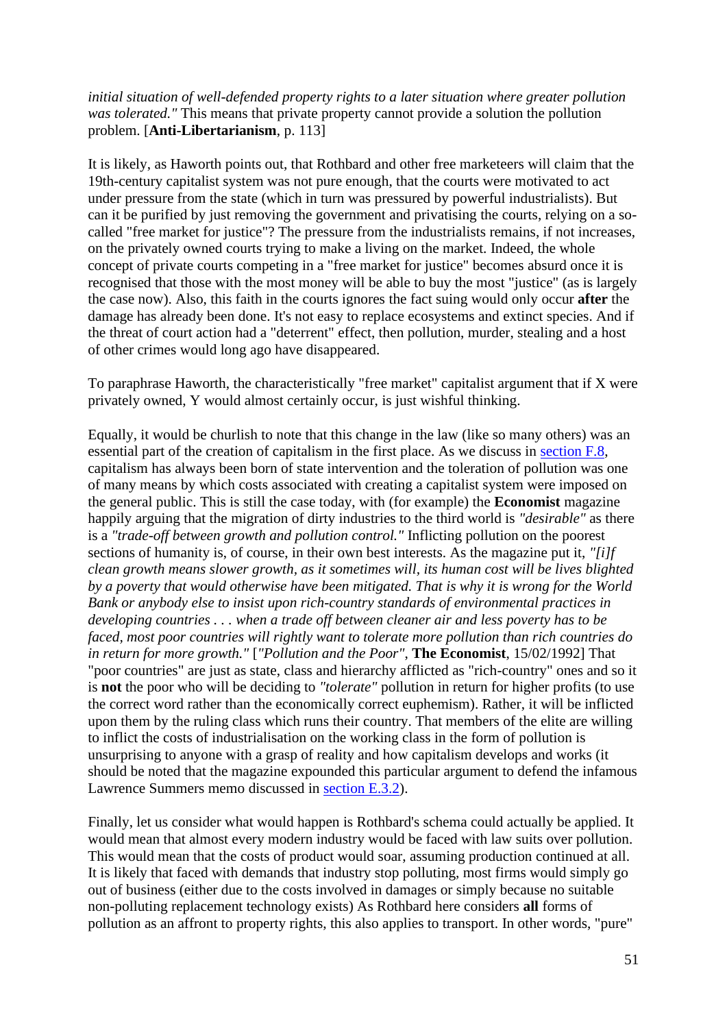#### *initial situation of well-defended property rights to a later situation where greater pollution was tolerated."* This means that private property cannot provide a solution the pollution problem. [**Anti-Libertarianism**, p. 113]

It is likely, as Haworth points out, that Rothbard and other free marketeers will claim that the 19th-century capitalist system was not pure enough, that the courts were motivated to act under pressure from the state (which in turn was pressured by powerful industrialists). But can it be purified by just removing the government and privatising the courts, relying on a socalled "free market for justice"? The pressure from the industrialists remains, if not increases, on the privately owned courts trying to make a living on the market. Indeed, the whole concept of private courts competing in a "free market for justice" becomes absurd once it is recognised that those with the most money will be able to buy the most "justice" (as is largely the case now). Also, this faith in the courts ignores the fact suing would only occur **after** the damage has already been done. It's not easy to replace ecosystems and extinct species. And if the threat of court action had a "deterrent" effect, then pollution, murder, stealing and a host of other crimes would long ago have disappeared.

To paraphrase Haworth, the characteristically "free market" capitalist argument that if X were privately owned, Y would almost certainly occur, is just wishful thinking.

Equally, it would be churlish to note that this change in the law (like so many others) was an essential part of the creation of capitalism in the first place. As we discuss in [section F.8,](sectionF.html#secf8) capitalism has always been born of state intervention and the toleration of pollution was one of many means by which costs associated with creating a capitalist system were imposed on the general public. This is still the case today, with (for example) the **Economist** magazine happily arguing that the migration of dirty industries to the third world is *"desirable"* as there is a *"trade-off between growth and pollution control."* Inflicting pollution on the poorest sections of humanity is, of course, in their own best interests. As the magazine put it, *"[i]f clean growth means slower growth, as it sometimes will, its human cost will be lives blighted by a poverty that would otherwise have been mitigated. That is why it is wrong for the World Bank or anybody else to insist upon rich-country standards of environmental practices in developing countries . . . when a trade off between cleaner air and less poverty has to be faced, most poor countries will rightly want to tolerate more pollution than rich countries do in return for more growth."* [*"Pollution and the Poor"*, **The Economist**, 15/02/1992] That "poor countries" are just as state, class and hierarchy afflicted as "rich-country" ones and so it is **not** the poor who will be deciding to *"tolerate"* pollution in return for higher profits (to use the correct word rather than the economically correct euphemism). Rather, it will be inflicted upon them by the ruling class which runs their country. That members of the elite are willing to inflict the costs of industrialisation on the working class in the form of pollution is unsurprising to anyone with a grasp of reality and how capitalism develops and works (it should be noted that the magazine expounded this particular argument to defend the infamous Lawrence Summers memo discussed in [section E.3.2\)](sectionE.html#sece32).

Finally, let us consider what would happen is Rothbard's schema could actually be applied. It would mean that almost every modern industry would be faced with law suits over pollution. This would mean that the costs of product would soar, assuming production continued at all. It is likely that faced with demands that industry stop polluting, most firms would simply go out of business (either due to the costs involved in damages or simply because no suitable non-polluting replacement technology exists) As Rothbard here considers **all** forms of pollution as an affront to property rights, this also applies to transport. In other words, "pure"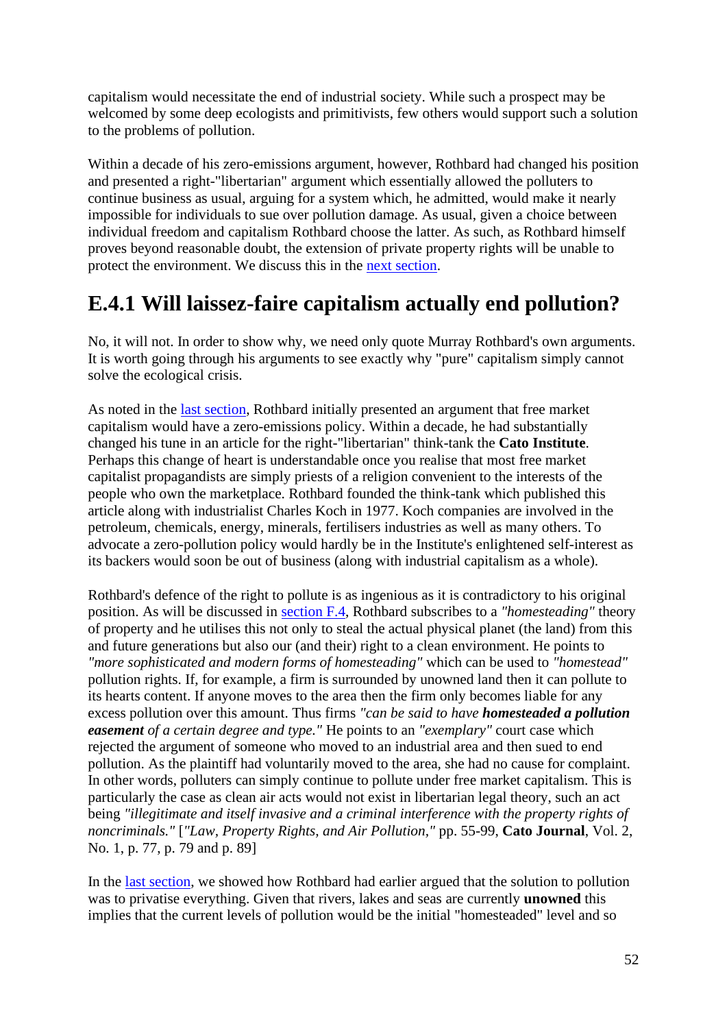capitalism would necessitate the end of industrial society. While such a prospect may be welcomed by some deep ecologists and primitivists, few others would support such a solution to the problems of pollution.

Within a decade of his zero-emissions argument, however, Rothbard had changed his position and presented a right-"libertarian" argument which essentially allowed the polluters to continue business as usual, arguing for a system which, he admitted, would make it nearly impossible for individuals to sue over pollution damage. As usual, given a choice between individual freedom and capitalism Rothbard choose the latter. As such, as Rothbard himself proves beyond reasonable doubt, the extension of private property rights will be unable to protect the environment. We discuss this in the [next section.](sectionE.html#sece41)

### **E.4.1 Will laissez-faire capitalism actually end pollution?**

No, it will not. In order to show why, we need only quote Murray Rothbard's own arguments. It is worth going through his arguments to see exactly why "pure" capitalism simply cannot solve the ecological crisis.

As noted in the [last section,](sectionE.html#sece4) Rothbard initially presented an argument that free market capitalism would have a zero-emissions policy. Within a decade, he had substantially changed his tune in an article for the right-"libertarian" think-tank the **Cato Institute**. Perhaps this change of heart is understandable once you realise that most free market capitalist propagandists are simply priests of a religion convenient to the interests of the people who own the marketplace. Rothbard founded the think-tank which published this article along with industrialist Charles Koch in 1977. Koch companies are involved in the petroleum, chemicals, energy, minerals, fertilisers industries as well as many others. To advocate a zero-pollution policy would hardly be in the Institute's enlightened self-interest as its backers would soon be out of business (along with industrial capitalism as a whole).

Rothbard's defence of the right to pollute is as ingenious as it is contradictory to his original position. As will be discussed in [section F.4,](sectionF.html#secf4) Rothbard subscribes to a *"homesteading"* theory of property and he utilises this not only to steal the actual physical planet (the land) from this and future generations but also our (and their) right to a clean environment. He points to *"more sophisticated and modern forms of homesteading"* which can be used to *"homestead"* pollution rights. If, for example, a firm is surrounded by unowned land then it can pollute to its hearts content. If anyone moves to the area then the firm only becomes liable for any excess pollution over this amount. Thus firms *"can be said to have homesteaded a pollution easement of a certain degree and type."* He points to an *"exemplary"* court case which rejected the argument of someone who moved to an industrial area and then sued to end pollution. As the plaintiff had voluntarily moved to the area, she had no cause for complaint. In other words, polluters can simply continue to pollute under free market capitalism. This is particularly the case as clean air acts would not exist in libertarian legal theory, such an act being *"illegitimate and itself invasive and a criminal interference with the property rights of noncriminals."* [*"Law, Property Rights, and Air Pollution,"* pp. 55-99, **Cato Journal**, Vol. 2, No. 1, p. 77, p. 79 and p. 89]

In the <u>last section</u>, we showed how Rothbard had earlier argued that the solution to pollution was to privatise everything. Given that rivers, lakes and seas are currently **unowned** this implies that the current levels of pollution would be the initial "homesteaded" level and so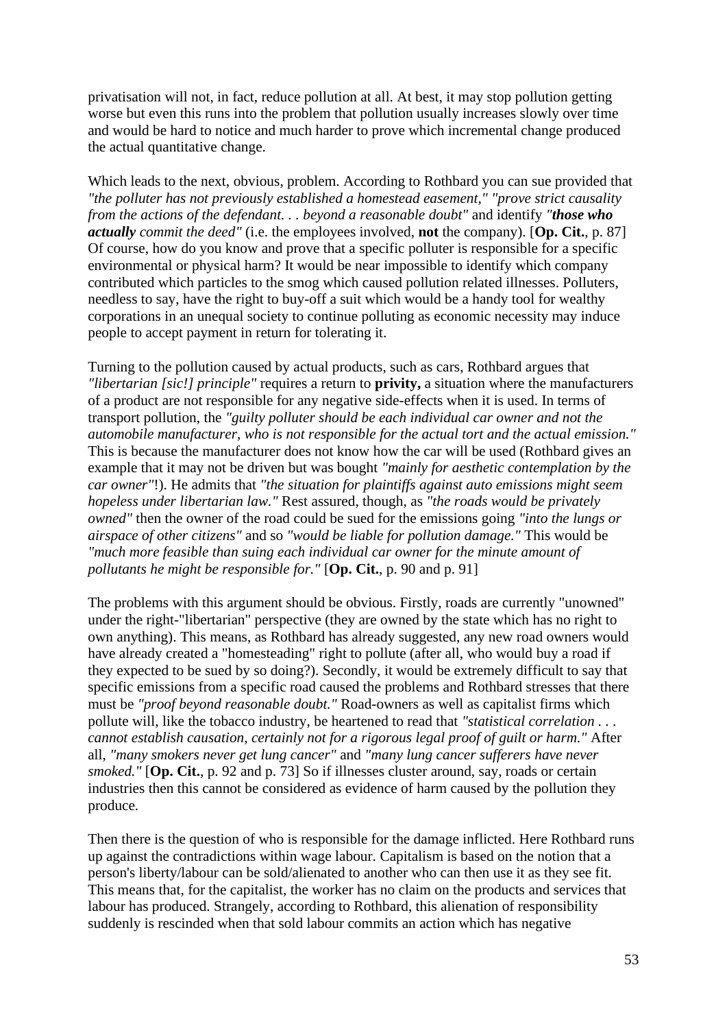privatisation will not, in fact, reduce pollution at all. At best, it may stop pollution getting worse but even this runs into the problem that pollution usually increases slowly over time and would be hard to notice and much harder to prove which incremental change produced the actual quantitative change.

Which leads to the next, obvious, problem. According to Rothbard you can sue provided that *"the polluter has not previously established a homestead easement," "prove strict causality from the actions of the defendant. . . beyond a reasonable doubt"* and identify *"those who actually commit the deed"* (i.e. the employees involved, **not** the company). [**Op. Cit.**, p. 87] Of course, how do you know and prove that a specific polluter is responsible for a specific environmental or physical harm? It would be near impossible to identify which company contributed which particles to the smog which caused pollution related illnesses. Polluters, needless to say, have the right to buy-off a suit which would be a handy tool for wealthy corporations in an unequal society to continue polluting as economic necessity may induce people to accept payment in return for tolerating it.

Turning to the pollution caused by actual products, such as cars, Rothbard argues that *"libertarian [sic!] principle"* requires a return to **privity,** a situation where the manufacturers of a product are not responsible for any negative side-effects when it is used. In terms of transport pollution, the *"guilty polluter should be each individual car owner and not the automobile manufacturer, who is not responsible for the actual tort and the actual emission."* This is because the manufacturer does not know how the car will be used (Rothbard gives an example that it may not be driven but was bought *"mainly for aesthetic contemplation by the car owner"*!). He admits that *"the situation for plaintiffs against auto emissions might seem hopeless under libertarian law."* Rest assured, though, as *"the roads would be privately owned"* then the owner of the road could be sued for the emissions going *"into the lungs or airspace of other citizens"* and so *"would be liable for pollution damage."* This would be *"much more feasible than suing each individual car owner for the minute amount of pollutants he might be responsible for."* [**Op. Cit.**, p. 90 and p. 91]

The problems with this argument should be obvious. Firstly, roads are currently "unowned" under the right-"libertarian" perspective (they are owned by the state which has no right to own anything). This means, as Rothbard has already suggested, any new road owners would have already created a "homesteading" right to pollute (after all, who would buy a road if they expected to be sued by so doing?). Secondly, it would be extremely difficult to say that specific emissions from a specific road caused the problems and Rothbard stresses that there must be *"proof beyond reasonable doubt."* Road-owners as well as capitalist firms which pollute will, like the tobacco industry, be heartened to read that *"statistical correlation . . . cannot establish causation, certainly not for a rigorous legal proof of guilt or harm."* After all, *"many smokers never get lung cancer"* and *"many lung cancer sufferers have never smoked."* [**Op. Cit.**, p. 92 and p. 73] So if illnesses cluster around, say, roads or certain industries then this cannot be considered as evidence of harm caused by the pollution they produce.

Then there is the question of who is responsible for the damage inflicted. Here Rothbard runs up against the contradictions within wage labour. Capitalism is based on the notion that a person's liberty/labour can be sold/alienated to another who can then use it as they see fit. This means that, for the capitalist, the worker has no claim on the products and services that labour has produced. Strangely, according to Rothbard, this alienation of responsibility suddenly is rescinded when that sold labour commits an action which has negative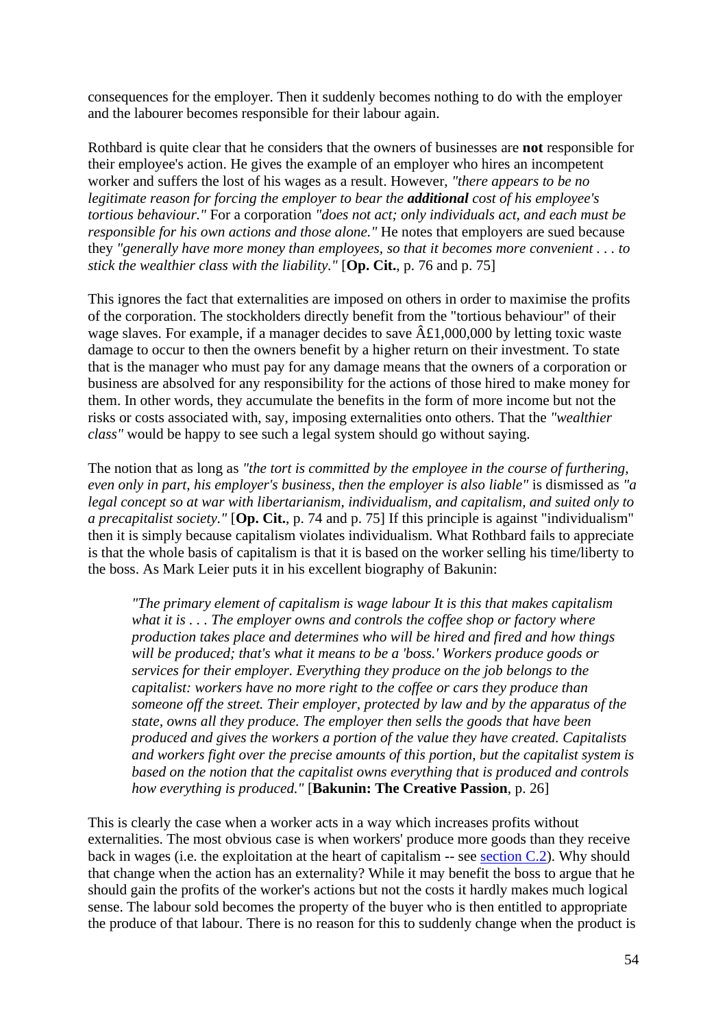consequences for the employer. Then it suddenly becomes nothing to do with the employer and the labourer becomes responsible for their labour again.

Rothbard is quite clear that he considers that the owners of businesses are **not** responsible for their employee's action. He gives the example of an employer who hires an incompetent worker and suffers the lost of his wages as a result. However, *"there appears to be no legitimate reason for forcing the employer to bear the additional cost of his employee's tortious behaviour."* For a corporation *"does not act; only individuals act, and each must be responsible for his own actions and those alone."* He notes that employers are sued because they *"generally have more money than employees, so that it becomes more convenient . . . to stick the wealthier class with the liability."* [**Op. Cit.**, p. 76 and p. 75]

This ignores the fact that externalities are imposed on others in order to maximise the profits of the corporation. The stockholders directly benefit from the "tortious behaviour" of their wage slaves. For example, if a manager decides to save  $\hat{A} \text{£}1,000,000$  by letting toxic waste damage to occur to then the owners benefit by a higher return on their investment. To state that is the manager who must pay for any damage means that the owners of a corporation or business are absolved for any responsibility for the actions of those hired to make money for them. In other words, they accumulate the benefits in the form of more income but not the risks or costs associated with, say, imposing externalities onto others. That the *"wealthier class"* would be happy to see such a legal system should go without saying.

The notion that as long as *"the tort is committed by the employee in the course of furthering, even only in part, his employer's business, then the employer is also liable"* is dismissed as *"a legal concept so at war with libertarianism, individualism, and capitalism, and suited only to a precapitalist society."* [**Op. Cit.**, p. 74 and p. 75] If this principle is against "individualism" then it is simply because capitalism violates individualism. What Rothbard fails to appreciate is that the whole basis of capitalism is that it is based on the worker selling his time/liberty to the boss. As Mark Leier puts it in his excellent biography of Bakunin:

*"The primary element of capitalism is wage labour It is this that makes capitalism what it is . . . The employer owns and controls the coffee shop or factory where production takes place and determines who will be hired and fired and how things will be produced; that's what it means to be a 'boss.' Workers produce goods or services for their employer. Everything they produce on the job belongs to the capitalist: workers have no more right to the coffee or cars they produce than someone off the street. Their employer, protected by law and by the apparatus of the state, owns all they produce. The employer then sells the goods that have been produced and gives the workers a portion of the value they have created. Capitalists and workers fight over the precise amounts of this portion, but the capitalist system is based on the notion that the capitalist owns everything that is produced and controls how everything is produced."* [**Bakunin: The Creative Passion**, p. 26]

This is clearly the case when a worker acts in a way which increases profits without externalities. The most obvious case is when workers' produce more goods than they receive back in wages (i.e. the exploitation at the heart of capitalism -- see [section C.2\)](sectionC.html#secc2). Why should that change when the action has an externality? While it may benefit the boss to argue that he should gain the profits of the worker's actions but not the costs it hardly makes much logical sense. The labour sold becomes the property of the buyer who is then entitled to appropriate the produce of that labour. There is no reason for this to suddenly change when the product is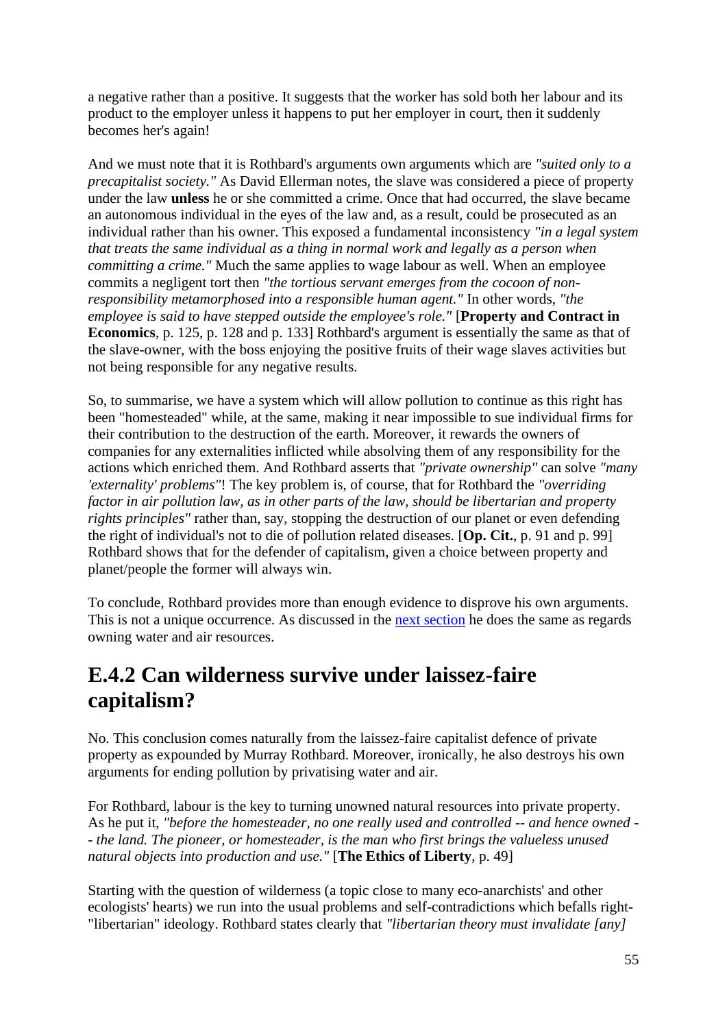a negative rather than a positive. It suggests that the worker has sold both her labour and its product to the employer unless it happens to put her employer in court, then it suddenly becomes her's again!

And we must note that it is Rothbard's arguments own arguments which are *"suited only to a precapitalist society."* As David Ellerman notes, the slave was considered a piece of property under the law **unless** he or she committed a crime. Once that had occurred, the slave became an autonomous individual in the eyes of the law and, as a result, could be prosecuted as an individual rather than his owner. This exposed a fundamental inconsistency *"in a legal system that treats the same individual as a thing in normal work and legally as a person when committing a crime.*" Much the same applies to wage labour as well. When an employee commits a negligent tort then *"the tortious servant emerges from the cocoon of nonresponsibility metamorphosed into a responsible human agent."* In other words, *"the employee is said to have stepped outside the employee's role."* [**Property and Contract in Economics**, p. 125, p. 128 and p. 133] Rothbard's argument is essentially the same as that of the slave-owner, with the boss enjoying the positive fruits of their wage slaves activities but not being responsible for any negative results.

So, to summarise, we have a system which will allow pollution to continue as this right has been "homesteaded" while, at the same, making it near impossible to sue individual firms for their contribution to the destruction of the earth. Moreover, it rewards the owners of companies for any externalities inflicted while absolving them of any responsibility for the actions which enriched them. And Rothbard asserts that *"private ownership"* can solve *"many 'externality' problems"*! The key problem is, of course, that for Rothbard the *"overriding factor in air pollution law, as in other parts of the law, should be libertarian and property rights principles*" rather than, say, stopping the destruction of our planet or even defending the right of individual's not to die of pollution related diseases. [**Op. Cit.**, p. 91 and p. 99] Rothbard shows that for the defender of capitalism, given a choice between property and planet/people the former will always win.

To conclude, Rothbard provides more than enough evidence to disprove his own arguments. This is not a unique occurrence. As discussed in the [next section](sectionE.html#sece42) he does the same as regards owning water and air resources.

### **E.4.2 Can wilderness survive under laissez-faire capitalism?**

No. This conclusion comes naturally from the laissez-faire capitalist defence of private property as expounded by Murray Rothbard. Moreover, ironically, he also destroys his own arguments for ending pollution by privatising water and air.

For Rothbard, labour is the key to turning unowned natural resources into private property. As he put it, *"before the homesteader, no one really used and controlled -- and hence owned - - the land. The pioneer, or homesteader, is the man who first brings the valueless unused natural objects into production and use."* [**The Ethics of Liberty**, p. 49]

Starting with the question of wilderness (a topic close to many eco-anarchists' and other ecologists' hearts) we run into the usual problems and self-contradictions which befalls right- "libertarian" ideology. Rothbard states clearly that *"libertarian theory must invalidate [any]*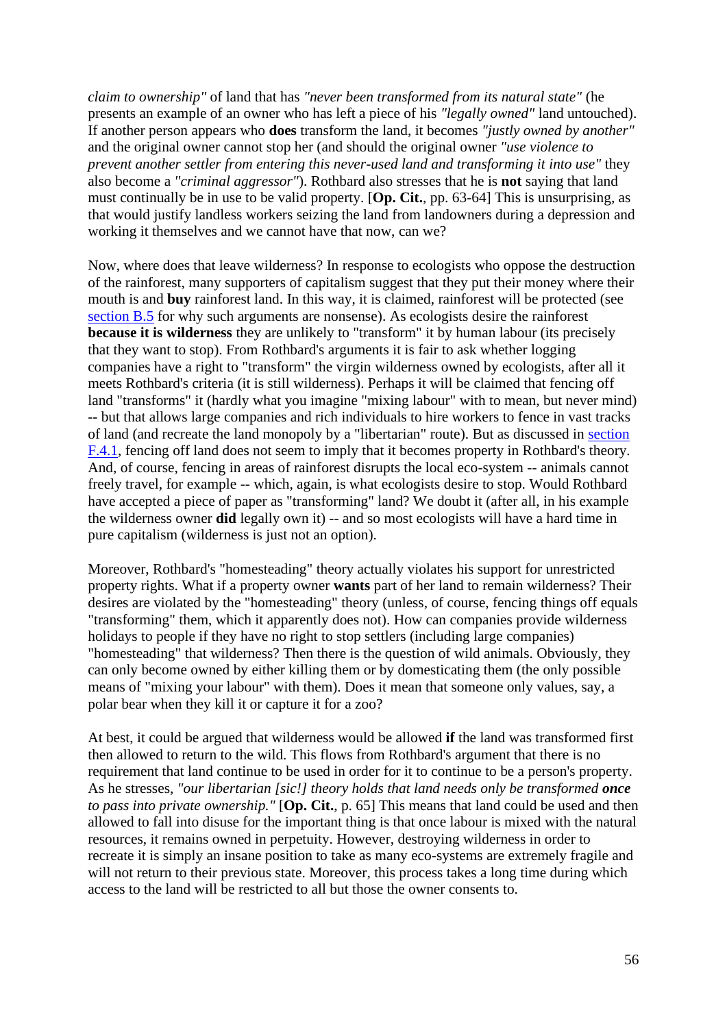*claim to ownership"* of land that has *"never been transformed from its natural state"* (he presents an example of an owner who has left a piece of his *"legally owned"* land untouched). If another person appears who **does** transform the land, it becomes *"justly owned by another"* and the original owner cannot stop her (and should the original owner *"use violence to prevent another settler from entering this never-used land and transforming it into use"* they also become a *"criminal aggressor"*). Rothbard also stresses that he is **not** saying that land must continually be in use to be valid property. [**Op. Cit.**, pp. 63-64] This is unsurprising, as that would justify landless workers seizing the land from landowners during a depression and working it themselves and we cannot have that now, can we?

Now, where does that leave wilderness? In response to ecologists who oppose the destruction of the rainforest, many supporters of capitalism suggest that they put their money where their mouth is and **buy** rainforest land. In this way, it is claimed, rainforest will be protected (see [section B.5](sectionB.html#secb5) for why such arguments are nonsense). As ecologists desire the rainforest **because it is wilderness** they are unlikely to "transform" it by human labour (its precisely that they want to stop). From Rothbard's arguments it is fair to ask whether logging companies have a right to "transform" the virgin wilderness owned by ecologists, after all it meets Rothbard's criteria (it is still wilderness). Perhaps it will be claimed that fencing off land "transforms" it (hardly what you imagine "mixing labour" with to mean, but never mind) -- but that allows large companies and rich individuals to hire workers to fence in vast tracks of land (and recreate the land monopoly by a "libertarian" route). But as discussed in [section](sectionF.html#secf41)  [F.4.1,](sectionF.html#secf41) fencing off land does not seem to imply that it becomes property in Rothbard's theory. And, of course, fencing in areas of rainforest disrupts the local eco-system -- animals cannot freely travel, for example -- which, again, is what ecologists desire to stop. Would Rothbard have accepted a piece of paper as "transforming" land? We doubt it (after all, in his example the wilderness owner **did** legally own it) -- and so most ecologists will have a hard time in pure capitalism (wilderness is just not an option).

Moreover, Rothbard's "homesteading" theory actually violates his support for unrestricted property rights. What if a property owner **wants** part of her land to remain wilderness? Their desires are violated by the "homesteading" theory (unless, of course, fencing things off equals "transforming" them, which it apparently does not). How can companies provide wilderness holidays to people if they have no right to stop settlers (including large companies) "homesteading" that wilderness? Then there is the question of wild animals. Obviously, they can only become owned by either killing them or by domesticating them (the only possible means of "mixing your labour" with them). Does it mean that someone only values, say, a polar bear when they kill it or capture it for a zoo?

At best, it could be argued that wilderness would be allowed **if** the land was transformed first then allowed to return to the wild. This flows from Rothbard's argument that there is no requirement that land continue to be used in order for it to continue to be a person's property. As he stresses, *"our libertarian [sic!] theory holds that land needs only be transformed once to pass into private ownership."* [**Op. Cit.**, p. 65] This means that land could be used and then allowed to fall into disuse for the important thing is that once labour is mixed with the natural resources, it remains owned in perpetuity. However, destroying wilderness in order to recreate it is simply an insane position to take as many eco-systems are extremely fragile and will not return to their previous state. Moreover, this process takes a long time during which access to the land will be restricted to all but those the owner consents to.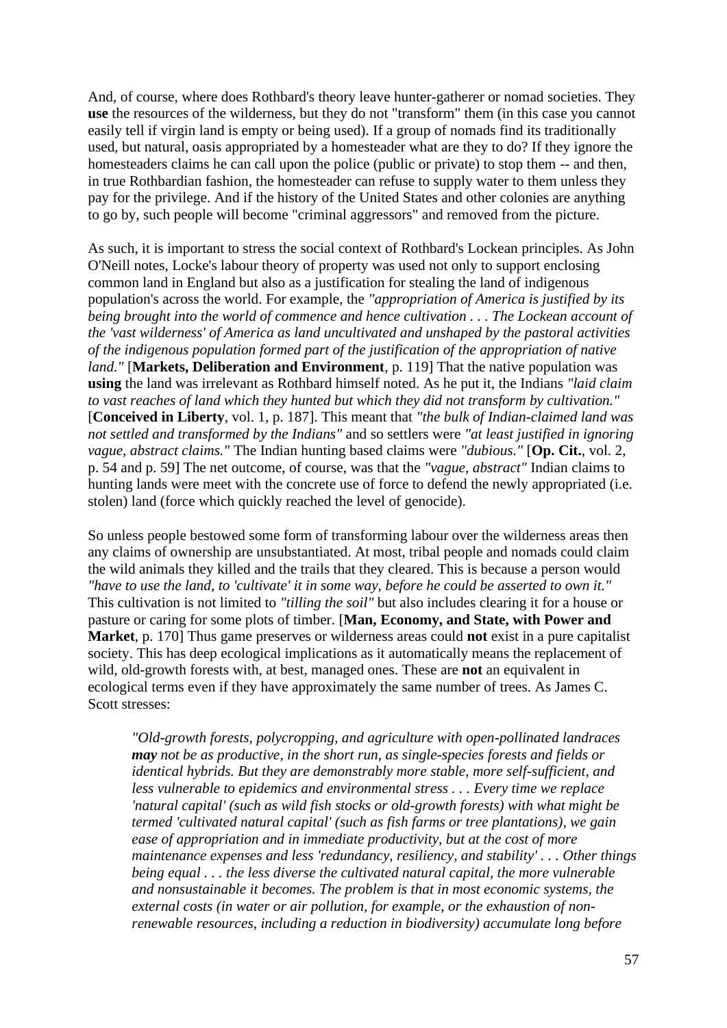And, of course, where does Rothbard's theory leave hunter-gatherer or nomad societies. They **use** the resources of the wilderness, but they do not "transform" them (in this case you cannot easily tell if virgin land is empty or being used). If a group of nomads find its traditionally used, but natural, oasis appropriated by a homesteader what are they to do? If they ignore the homesteaders claims he can call upon the police (public or private) to stop them -- and then, in true Rothbardian fashion, the homesteader can refuse to supply water to them unless they pay for the privilege. And if the history of the United States and other colonies are anything to go by, such people will become "criminal aggressors" and removed from the picture.

As such, it is important to stress the social context of Rothbard's Lockean principles. As John O'Neill notes, Locke's labour theory of property was used not only to support enclosing common land in England but also as a justification for stealing the land of indigenous population's across the world. For example, the *"appropriation of America is justified by its being brought into the world of commence and hence cultivation . . . The Lockean account of the 'vast wilderness' of America as land uncultivated and unshaped by the pastoral activities of the indigenous population formed part of the justification of the appropriation of native land."* [**Markets, Deliberation and Environment**, p. 119] That the native population was **using** the land was irrelevant as Rothbard himself noted. As he put it, the Indians *"laid claim to vast reaches of land which they hunted but which they did not transform by cultivation."* [**Conceived in Liberty**, vol. 1, p. 187]. This meant that *"the bulk of Indian-claimed land was not settled and transformed by the Indians"* and so settlers were *"at least justified in ignoring vague, abstract claims."* The Indian hunting based claims were *"dubious."* [**Op. Cit.**, vol. 2, p. 54 and p. 59] The net outcome, of course, was that the *"vague, abstract"* Indian claims to hunting lands were meet with the concrete use of force to defend the newly appropriated (i.e. stolen) land (force which quickly reached the level of genocide).

So unless people bestowed some form of transforming labour over the wilderness areas then any claims of ownership are unsubstantiated. At most, tribal people and nomads could claim the wild animals they killed and the trails that they cleared. This is because a person would *"have to use the land, to 'cultivate' it in some way, before he could be asserted to own it."* This cultivation is not limited to *"tilling the soil"* but also includes clearing it for a house or pasture or caring for some plots of timber. [**Man, Economy, and State, with Power and Market**, p. 170] Thus game preserves or wilderness areas could **not** exist in a pure capitalist society. This has deep ecological implications as it automatically means the replacement of wild, old-growth forests with, at best, managed ones. These are **not** an equivalent in ecological terms even if they have approximately the same number of trees. As James C. Scott stresses:

*"Old-growth forests, polycropping, and agriculture with open-pollinated landraces may not be as productive, in the short run, as single-species forests and fields or identical hybrids. But they are demonstrably more stable, more self-sufficient, and less vulnerable to epidemics and environmental stress . . . Every time we replace 'natural capital' (such as wild fish stocks or old-growth forests) with what might be termed 'cultivated natural capital' (such as fish farms or tree plantations), we gain ease of appropriation and in immediate productivity, but at the cost of more maintenance expenses and less 'redundancy, resiliency, and stability' . . . Other things being equal . . . the less diverse the cultivated natural capital, the more vulnerable and nonsustainable it becomes. The problem is that in most economic systems, the external costs (in water or air pollution, for example, or the exhaustion of nonrenewable resources, including a reduction in biodiversity) accumulate long before*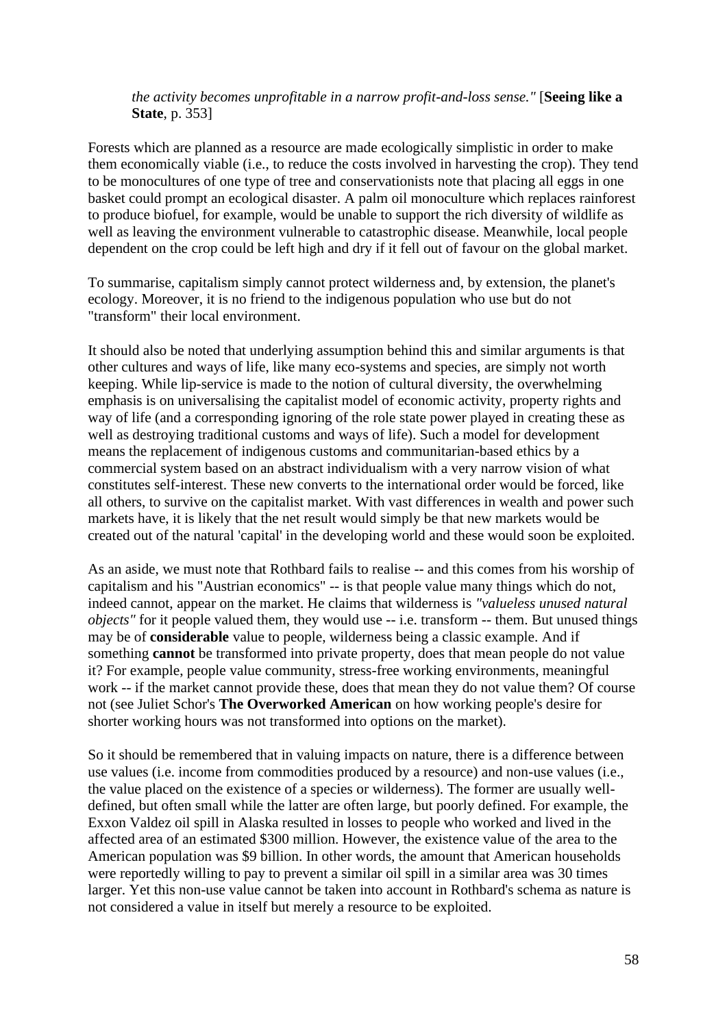#### *the activity becomes unprofitable in a narrow profit-and-loss sense."* [**Seeing like a State**, p. 353]

Forests which are planned as a resource are made ecologically simplistic in order to make them economically viable (i.e., to reduce the costs involved in harvesting the crop). They tend to be monocultures of one type of tree and conservationists note that placing all eggs in one basket could prompt an ecological disaster. A palm oil monoculture which replaces rainforest to produce biofuel, for example, would be unable to support the rich diversity of wildlife as well as leaving the environment vulnerable to catastrophic disease. Meanwhile, local people dependent on the crop could be left high and dry if it fell out of favour on the global market.

To summarise, capitalism simply cannot protect wilderness and, by extension, the planet's ecology. Moreover, it is no friend to the indigenous population who use but do not "transform" their local environment.

It should also be noted that underlying assumption behind this and similar arguments is that other cultures and ways of life, like many eco-systems and species, are simply not worth keeping. While lip-service is made to the notion of cultural diversity, the overwhelming emphasis is on universalising the capitalist model of economic activity, property rights and way of life (and a corresponding ignoring of the role state power played in creating these as well as destroying traditional customs and ways of life). Such a model for development means the replacement of indigenous customs and communitarian-based ethics by a commercial system based on an abstract individualism with a very narrow vision of what constitutes self-interest. These new converts to the international order would be forced, like all others, to survive on the capitalist market. With vast differences in wealth and power such markets have, it is likely that the net result would simply be that new markets would be created out of the natural 'capital' in the developing world and these would soon be exploited.

As an aside, we must note that Rothbard fails to realise -- and this comes from his worship of capitalism and his "Austrian economics" -- is that people value many things which do not, indeed cannot, appear on the market. He claims that wilderness is *"valueless unused natural objects*" for it people valued them, they would use -- i.e. transform -- them. But unused things may be of **considerable** value to people, wilderness being a classic example. And if something **cannot** be transformed into private property, does that mean people do not value it? For example, people value community, stress-free working environments, meaningful work -- if the market cannot provide these, does that mean they do not value them? Of course not (see Juliet Schor's **The Overworked American** on how working people's desire for shorter working hours was not transformed into options on the market).

So it should be remembered that in valuing impacts on nature, there is a difference between use values (i.e. income from commodities produced by a resource) and non-use values (i.e., the value placed on the existence of a species or wilderness). The former are usually welldefined, but often small while the latter are often large, but poorly defined. For example, the Exxon Valdez oil spill in Alaska resulted in losses to people who worked and lived in the affected area of an estimated \$300 million. However, the existence value of the area to the American population was \$9 billion. In other words, the amount that American households were reportedly willing to pay to prevent a similar oil spill in a similar area was 30 times larger. Yet this non-use value cannot be taken into account in Rothbard's schema as nature is not considered a value in itself but merely a resource to be exploited.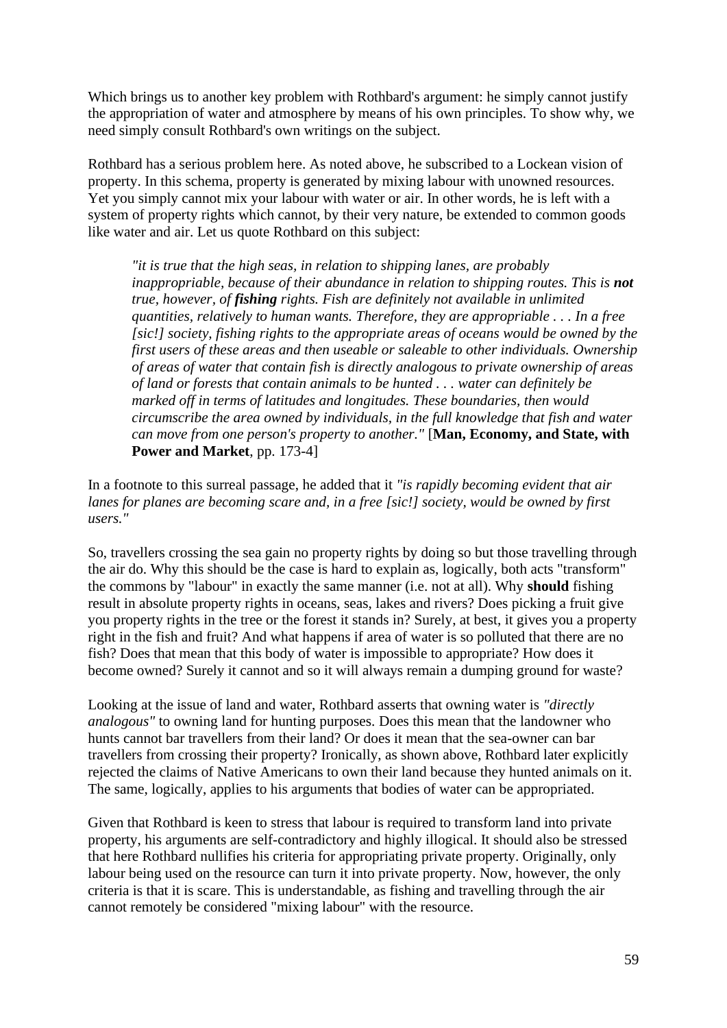Which brings us to another key problem with Rothbard's argument: he simply cannot justify the appropriation of water and atmosphere by means of his own principles. To show why, we need simply consult Rothbard's own writings on the subject.

Rothbard has a serious problem here. As noted above, he subscribed to a Lockean vision of property. In this schema, property is generated by mixing labour with unowned resources. Yet you simply cannot mix your labour with water or air. In other words, he is left with a system of property rights which cannot, by their very nature, be extended to common goods like water and air. Let us quote Rothbard on this subject:

*"it is true that the high seas, in relation to shipping lanes, are probably inappropriable, because of their abundance in relation to shipping routes. This is not true, however, of fishing rights. Fish are definitely not available in unlimited quantities, relatively to human wants. Therefore, they are appropriable . . . In a free [sic!] society, fishing rights to the appropriate areas of oceans would be owned by the first users of these areas and then useable or saleable to other individuals. Ownership of areas of water that contain fish is directly analogous to private ownership of areas of land or forests that contain animals to be hunted . . . water can definitely be marked off in terms of latitudes and longitudes. These boundaries, then would circumscribe the area owned by individuals, in the full knowledge that fish and water can move from one person's property to another."* [**Man, Economy, and State, with Power and Market**, pp. 173-4]

In a footnote to this surreal passage, he added that it *"is rapidly becoming evident that air lanes for planes are becoming scare and, in a free [sic!] society, would be owned by first users."*

So, travellers crossing the sea gain no property rights by doing so but those travelling through the air do. Why this should be the case is hard to explain as, logically, both acts "transform" the commons by "labour" in exactly the same manner (i.e. not at all). Why **should** fishing result in absolute property rights in oceans, seas, lakes and rivers? Does picking a fruit give you property rights in the tree or the forest it stands in? Surely, at best, it gives you a property right in the fish and fruit? And what happens if area of water is so polluted that there are no fish? Does that mean that this body of water is impossible to appropriate? How does it become owned? Surely it cannot and so it will always remain a dumping ground for waste?

Looking at the issue of land and water, Rothbard asserts that owning water is *"directly analogous"* to owning land for hunting purposes. Does this mean that the landowner who hunts cannot bar travellers from their land? Or does it mean that the sea-owner can bar travellers from crossing their property? Ironically, as shown above, Rothbard later explicitly rejected the claims of Native Americans to own their land because they hunted animals on it. The same, logically, applies to his arguments that bodies of water can be appropriated.

Given that Rothbard is keen to stress that labour is required to transform land into private property, his arguments are self-contradictory and highly illogical. It should also be stressed that here Rothbard nullifies his criteria for appropriating private property. Originally, only labour being used on the resource can turn it into private property. Now, however, the only criteria is that it is scare. This is understandable, as fishing and travelling through the air cannot remotely be considered "mixing labour" with the resource.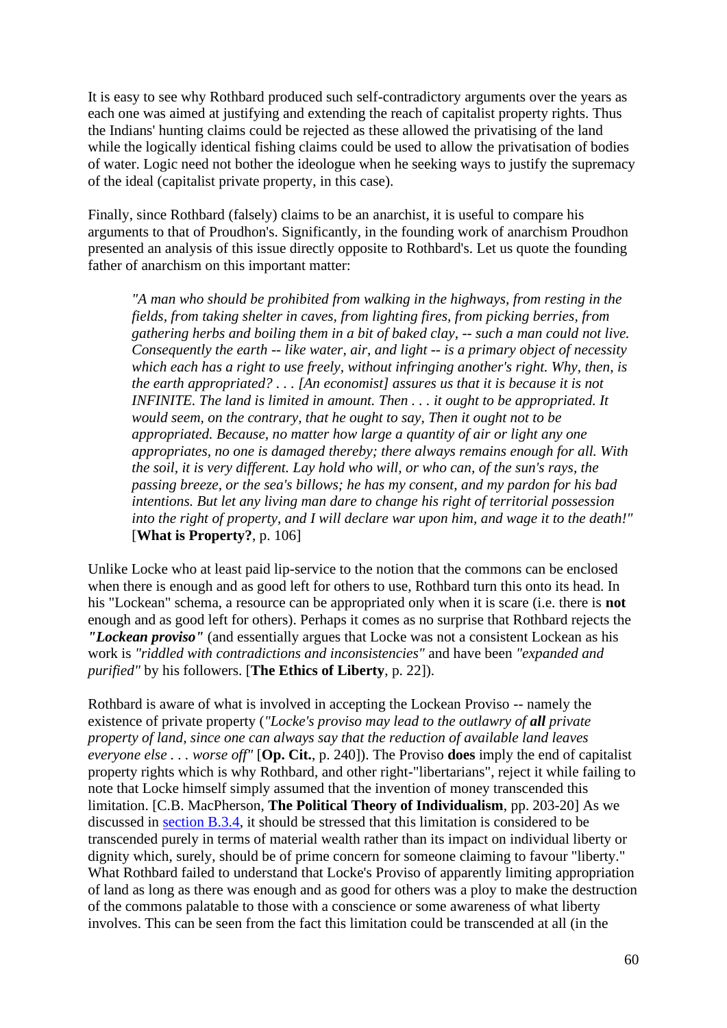It is easy to see why Rothbard produced such self-contradictory arguments over the years as each one was aimed at justifying and extending the reach of capitalist property rights. Thus the Indians' hunting claims could be rejected as these allowed the privatising of the land while the logically identical fishing claims could be used to allow the privatisation of bodies of water. Logic need not bother the ideologue when he seeking ways to justify the supremacy of the ideal (capitalist private property, in this case).

Finally, since Rothbard (falsely) claims to be an anarchist, it is useful to compare his arguments to that of Proudhon's. Significantly, in the founding work of anarchism Proudhon presented an analysis of this issue directly opposite to Rothbard's. Let us quote the founding father of anarchism on this important matter:

*"A man who should be prohibited from walking in the highways, from resting in the fields, from taking shelter in caves, from lighting fires, from picking berries, from gathering herbs and boiling them in a bit of baked clay, -- such a man could not live. Consequently the earth -- like water, air, and light -- is a primary object of necessity which each has a right to use freely, without infringing another's right. Why, then, is the earth appropriated? . . . [An economist] assures us that it is because it is not INFINITE. The land is limited in amount. Then . . . it ought to be appropriated. It would seem, on the contrary, that he ought to say, Then it ought not to be appropriated. Because, no matter how large a quantity of air or light any one appropriates, no one is damaged thereby; there always remains enough for all. With the soil, it is very different. Lay hold who will, or who can, of the sun's rays, the passing breeze, or the sea's billows; he has my consent, and my pardon for his bad intentions. But let any living man dare to change his right of territorial possession into the right of property, and I will declare war upon him, and wage it to the death!"* [**What is Property?**, p. 106]

Unlike Locke who at least paid lip-service to the notion that the commons can be enclosed when there is enough and as good left for others to use, Rothbard turn this onto its head. In his "Lockean" schema, a resource can be appropriated only when it is scare (i.e. there is **not** enough and as good left for others). Perhaps it comes as no surprise that Rothbard rejects the *"Lockean proviso"* (and essentially argues that Locke was not a consistent Lockean as his work is *"riddled with contradictions and inconsistencies"* and have been *"expanded and purified"* by his followers. [**The Ethics of Liberty**, p. 22]).

Rothbard is aware of what is involved in accepting the Lockean Proviso -- namely the existence of private property (*"Locke's proviso may lead to the outlawry of all private property of land, since one can always say that the reduction of available land leaves everyone else . . . worse off"* [**Op. Cit.**, p. 240]). The Proviso **does** imply the end of capitalist property rights which is why Rothbard, and other right-"libertarians", reject it while failing to note that Locke himself simply assumed that the invention of money transcended this limitation. [C.B. MacPherson, **The Political Theory of Individualism**, pp. 203-20] As we discussed in [section B.3.4,](sectionB.html#secb34) it should be stressed that this limitation is considered to be transcended purely in terms of material wealth rather than its impact on individual liberty or dignity which, surely, should be of prime concern for someone claiming to favour "liberty." What Rothbard failed to understand that Locke's Proviso of apparently limiting appropriation of land as long as there was enough and as good for others was a ploy to make the destruction of the commons palatable to those with a conscience or some awareness of what liberty involves. This can be seen from the fact this limitation could be transcended at all (in the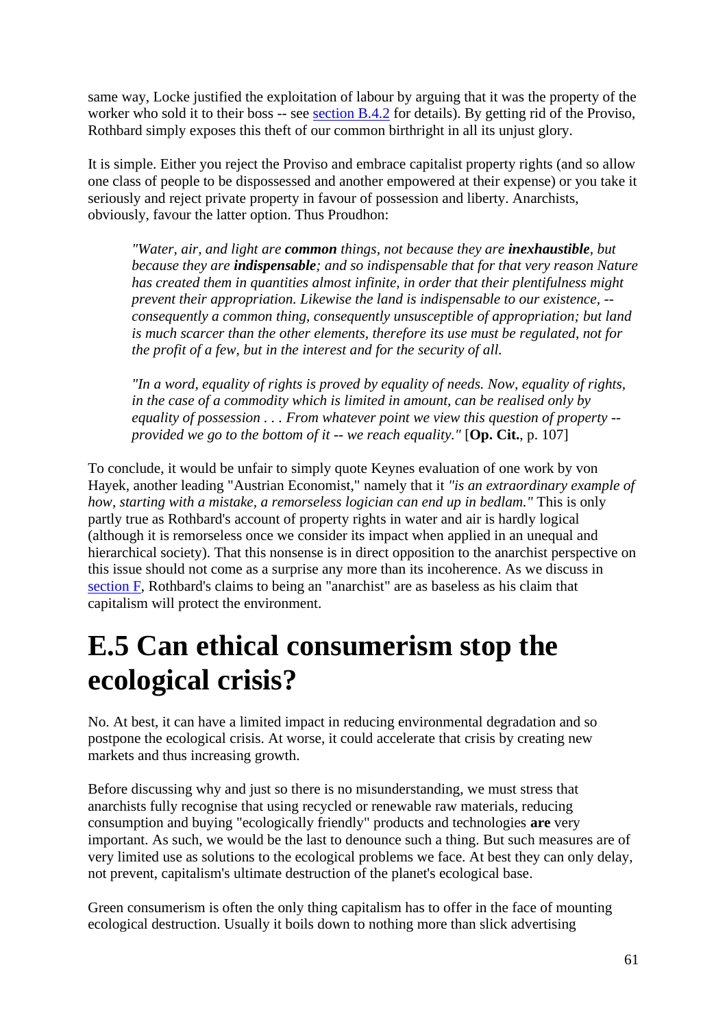same way, Locke justified the exploitation of labour by arguing that it was the property of the worker who sold it to their boss -- see [section B.4.2](sectionB.html#secb42) for details). By getting rid of the Proviso, Rothbard simply exposes this theft of our common birthright in all its unjust glory.

It is simple. Either you reject the Proviso and embrace capitalist property rights (and so allow one class of people to be dispossessed and another empowered at their expense) or you take it seriously and reject private property in favour of possession and liberty. Anarchists, obviously, favour the latter option. Thus Proudhon:

*"Water, air, and light are common things, not because they are inexhaustible, but because they are indispensable; and so indispensable that for that very reason Nature has created them in quantities almost infinite, in order that their plentifulness might prevent their appropriation. Likewise the land is indispensable to our existence, - consequently a common thing, consequently unsusceptible of appropriation; but land is much scarcer than the other elements, therefore its use must be regulated, not for the profit of a few, but in the interest and for the security of all.*

*"In a word, equality of rights is proved by equality of needs. Now, equality of rights, in the case of a commodity which is limited in amount, can be realised only by equality of possession . . . From whatever point we view this question of property - provided we go to the bottom of it -- we reach equality."* [**Op. Cit.**, p. 107]

To conclude, it would be unfair to simply quote Keynes evaluation of one work by von Hayek, another leading "Austrian Economist," namely that it *"is an extraordinary example of how, starting with a mistake, a remorseless logician can end up in bedlam."* This is only partly true as Rothbard's account of property rights in water and air is hardly logical (although it is remorseless once we consider its impact when applied in an unequal and hierarchical society). That this nonsense is in direct opposition to the anarchist perspective on this issue should not come as a surprise any more than its incoherence. As we discuss in [section F,](sectionF.html) Rothbard's claims to being an "anarchist" are as baseless as his claim that capitalism will protect the environment.

## **E.5 Can ethical consumerism stop the ecological crisis?**

No. At best, it can have a limited impact in reducing environmental degradation and so postpone the ecological crisis. At worse, it could accelerate that crisis by creating new markets and thus increasing growth.

Before discussing why and just so there is no misunderstanding, we must stress that anarchists fully recognise that using recycled or renewable raw materials, reducing consumption and buying "ecologically friendly" products and technologies **are** very important. As such, we would be the last to denounce such a thing. But such measures are of very limited use as solutions to the ecological problems we face. At best they can only delay, not prevent, capitalism's ultimate destruction of the planet's ecological base.

Green consumerism is often the only thing capitalism has to offer in the face of mounting ecological destruction. Usually it boils down to nothing more than slick advertising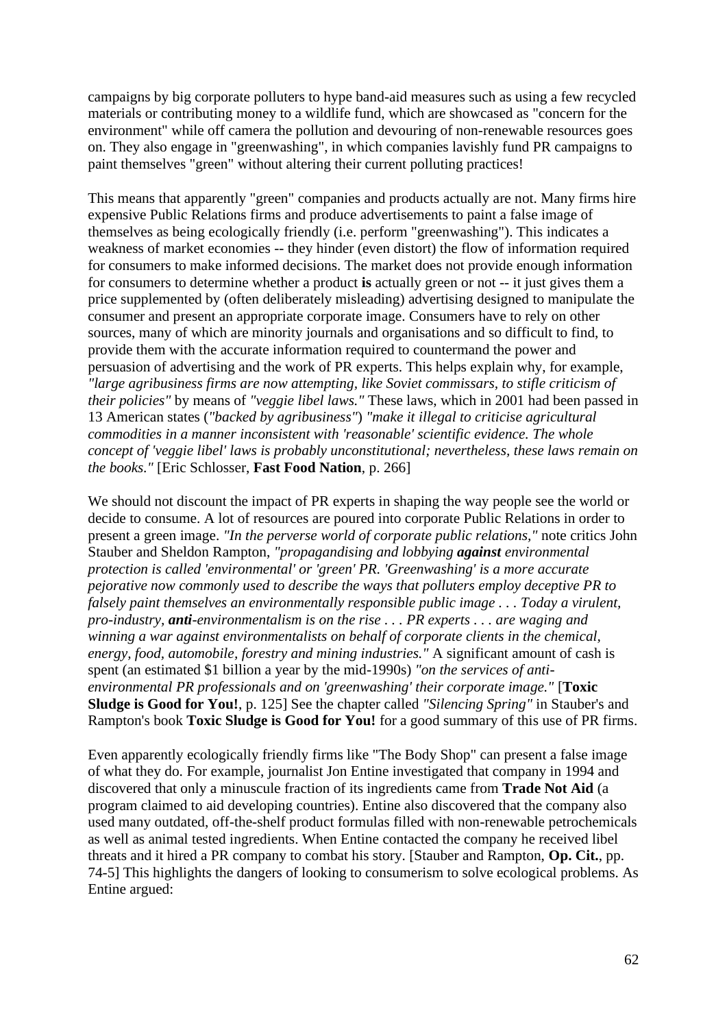campaigns by big corporate polluters to hype band-aid measures such as using a few recycled materials or contributing money to a wildlife fund, which are showcased as "concern for the environment" while off camera the pollution and devouring of non-renewable resources goes on. They also engage in "greenwashing", in which companies lavishly fund PR campaigns to paint themselves "green" without altering their current polluting practices!

This means that apparently "green" companies and products actually are not. Many firms hire expensive Public Relations firms and produce advertisements to paint a false image of themselves as being ecologically friendly (i.e. perform "greenwashing"). This indicates a weakness of market economies -- they hinder (even distort) the flow of information required for consumers to make informed decisions. The market does not provide enough information for consumers to determine whether a product **is** actually green or not -- it just gives them a price supplemented by (often deliberately misleading) advertising designed to manipulate the consumer and present an appropriate corporate image. Consumers have to rely on other sources, many of which are minority journals and organisations and so difficult to find, to provide them with the accurate information required to countermand the power and persuasion of advertising and the work of PR experts. This helps explain why, for example, *"large agribusiness firms are now attempting, like Soviet commissars, to stifle criticism of their policies"* by means of *"veggie libel laws."* These laws, which in 2001 had been passed in 13 American states (*"backed by agribusiness"*) *"make it illegal to criticise agricultural commodities in a manner inconsistent with 'reasonable' scientific evidence. The whole concept of 'veggie libel' laws is probably unconstitutional; nevertheless, these laws remain on the books."* [Eric Schlosser, **Fast Food Nation**, p. 266]

We should not discount the impact of PR experts in shaping the way people see the world or decide to consume. A lot of resources are poured into corporate Public Relations in order to present a green image. *"In the perverse world of corporate public relations,"* note critics John Stauber and Sheldon Rampton, *"propagandising and lobbying against environmental protection is called 'environmental' or 'green' PR. 'Greenwashing' is a more accurate pejorative now commonly used to describe the ways that polluters employ deceptive PR to falsely paint themselves an environmentally responsible public image . . . Today a virulent, pro-industry, anti-environmentalism is on the rise . . . PR experts . . . are waging and winning a war against environmentalists on behalf of corporate clients in the chemical, energy, food, automobile, forestry and mining industries."* A significant amount of cash is spent (an estimated \$1 billion a year by the mid-1990s) *"on the services of antienvironmental PR professionals and on 'greenwashing' their corporate image."* [**Toxic Sludge is Good for You!**, p. 125] See the chapter called *"Silencing Spring"* in Stauber's and Rampton's book **Toxic Sludge is Good for You!** for a good summary of this use of PR firms.

Even apparently ecologically friendly firms like "The Body Shop" can present a false image of what they do. For example, journalist Jon Entine investigated that company in 1994 and discovered that only a minuscule fraction of its ingredients came from **Trade Not Aid** (a program claimed to aid developing countries). Entine also discovered that the company also used many outdated, off-the-shelf product formulas filled with non-renewable petrochemicals as well as animal tested ingredients. When Entine contacted the company he received libel threats and it hired a PR company to combat his story. [Stauber and Rampton, **Op. Cit.**, pp. 74-5] This highlights the dangers of looking to consumerism to solve ecological problems. As Entine argued: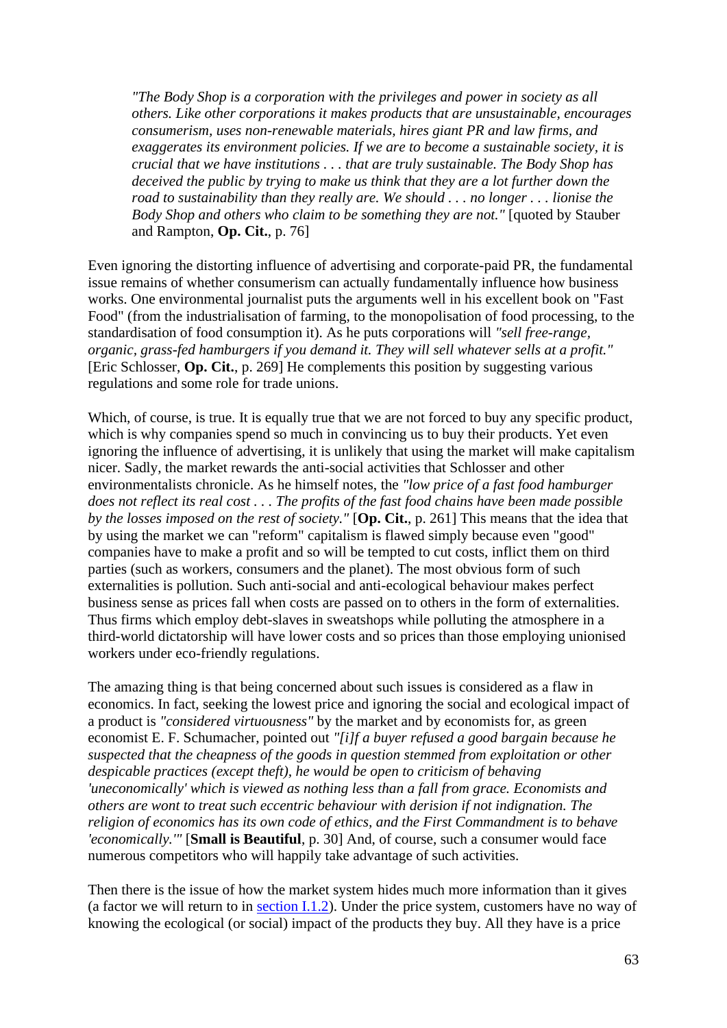*"The Body Shop is a corporation with the privileges and power in society as all others. Like other corporations it makes products that are unsustainable, encourages consumerism, uses non-renewable materials, hires giant PR and law firms, and exaggerates its environment policies. If we are to become a sustainable society, it is crucial that we have institutions . . . that are truly sustainable. The Body Shop has deceived the public by trying to make us think that they are a lot further down the road to sustainability than they really are. We should . . . no longer . . . lionise the Body Shop and others who claim to be something they are not."* [quoted by Stauber and Rampton, **Op. Cit.**, p. 76]

Even ignoring the distorting influence of advertising and corporate-paid PR, the fundamental issue remains of whether consumerism can actually fundamentally influence how business works. One environmental journalist puts the arguments well in his excellent book on "Fast Food" (from the industrialisation of farming, to the monopolisation of food processing, to the standardisation of food consumption it). As he puts corporations will *"sell free-range, organic, grass-fed hamburgers if you demand it. They will sell whatever sells at a profit."* [Eric Schlosser, **Op. Cit.**, p. 269] He complements this position by suggesting various regulations and some role for trade unions.

Which, of course, is true. It is equally true that we are not forced to buy any specific product, which is why companies spend so much in convincing us to buy their products. Yet even ignoring the influence of advertising, it is unlikely that using the market will make capitalism nicer. Sadly, the market rewards the anti-social activities that Schlosser and other environmentalists chronicle. As he himself notes, the *"low price of a fast food hamburger does not reflect its real cost . . . The profits of the fast food chains have been made possible by the losses imposed on the rest of society."* [**Op. Cit.**, p. 261] This means that the idea that by using the market we can "reform" capitalism is flawed simply because even "good" companies have to make a profit and so will be tempted to cut costs, inflict them on third parties (such as workers, consumers and the planet). The most obvious form of such externalities is pollution. Such anti-social and anti-ecological behaviour makes perfect business sense as prices fall when costs are passed on to others in the form of externalities. Thus firms which employ debt-slaves in sweatshops while polluting the atmosphere in a third-world dictatorship will have lower costs and so prices than those employing unionised workers under eco-friendly regulations.

The amazing thing is that being concerned about such issues is considered as a flaw in economics. In fact, seeking the lowest price and ignoring the social and ecological impact of a product is *"considered virtuousness"* by the market and by economists for, as green economist E. F. Schumacher, pointed out *"[i]f a buyer refused a good bargain because he suspected that the cheapness of the goods in question stemmed from exploitation or other despicable practices (except theft), he would be open to criticism of behaving 'uneconomically' which is viewed as nothing less than a fall from grace. Economists and others are wont to treat such eccentric behaviour with derision if not indignation. The religion of economics has its own code of ethics, and the First Commandment is to behave 'economically.'"* [**Small is Beautiful**, p. 30] And, of course, such a consumer would face numerous competitors who will happily take advantage of such activities.

Then there is the issue of how the market system hides much more information than it gives (a factor we will return to in [section I.1.2\)](sectionI.html#seci12). Under the price system, customers have no way of knowing the ecological (or social) impact of the products they buy. All they have is a price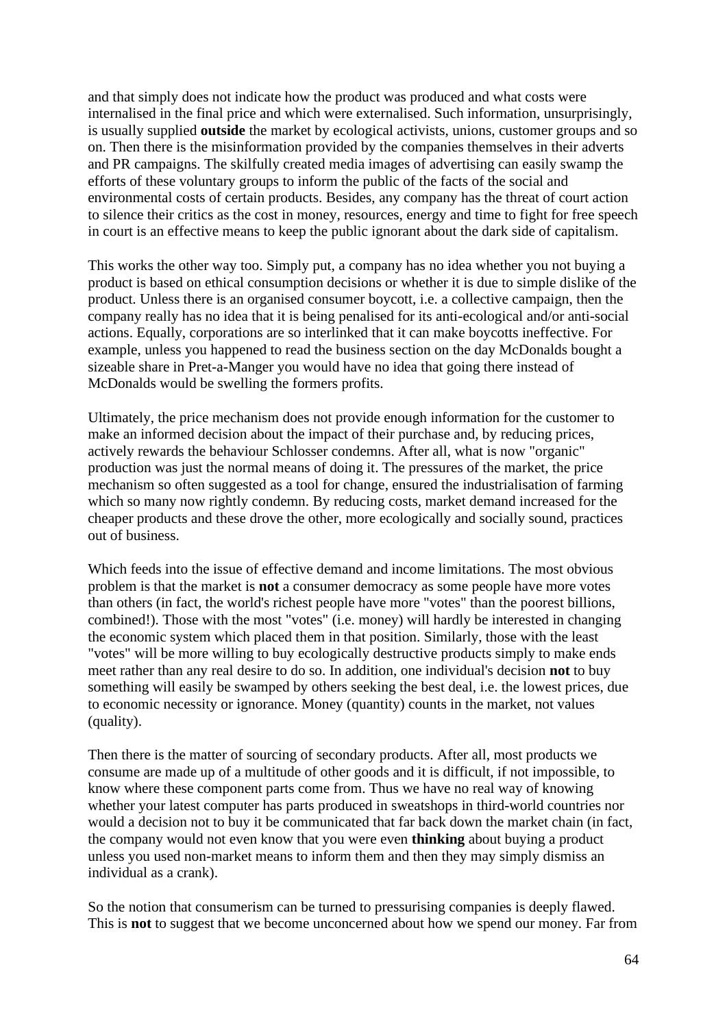and that simply does not indicate how the product was produced and what costs were internalised in the final price and which were externalised. Such information, unsurprisingly, is usually supplied **outside** the market by ecological activists, unions, customer groups and so on. Then there is the misinformation provided by the companies themselves in their adverts and PR campaigns. The skilfully created media images of advertising can easily swamp the efforts of these voluntary groups to inform the public of the facts of the social and environmental costs of certain products. Besides, any company has the threat of court action to silence their critics as the cost in money, resources, energy and time to fight for free speech in court is an effective means to keep the public ignorant about the dark side of capitalism.

This works the other way too. Simply put, a company has no idea whether you not buying a product is based on ethical consumption decisions or whether it is due to simple dislike of the product. Unless there is an organised consumer boycott, i.e. a collective campaign, then the company really has no idea that it is being penalised for its anti-ecological and/or anti-social actions. Equally, corporations are so interlinked that it can make boycotts ineffective. For example, unless you happened to read the business section on the day McDonalds bought a sizeable share in Pret-a-Manger you would have no idea that going there instead of McDonalds would be swelling the formers profits.

Ultimately, the price mechanism does not provide enough information for the customer to make an informed decision about the impact of their purchase and, by reducing prices, actively rewards the behaviour Schlosser condemns. After all, what is now "organic" production was just the normal means of doing it. The pressures of the market, the price mechanism so often suggested as a tool for change, ensured the industrialisation of farming which so many now rightly condemn. By reducing costs, market demand increased for the cheaper products and these drove the other, more ecologically and socially sound, practices out of business.

Which feeds into the issue of effective demand and income limitations. The most obvious problem is that the market is **not** a consumer democracy as some people have more votes than others (in fact, the world's richest people have more "votes" than the poorest billions, combined!). Those with the most "votes" (i.e. money) will hardly be interested in changing the economic system which placed them in that position. Similarly, those with the least "votes" will be more willing to buy ecologically destructive products simply to make ends meet rather than any real desire to do so. In addition, one individual's decision **not** to buy something will easily be swamped by others seeking the best deal, i.e. the lowest prices, due to economic necessity or ignorance. Money (quantity) counts in the market, not values (quality).

Then there is the matter of sourcing of secondary products. After all, most products we consume are made up of a multitude of other goods and it is difficult, if not impossible, to know where these component parts come from. Thus we have no real way of knowing whether your latest computer has parts produced in sweatshops in third-world countries nor would a decision not to buy it be communicated that far back down the market chain (in fact, the company would not even know that you were even **thinking** about buying a product unless you used non-market means to inform them and then they may simply dismiss an individual as a crank).

So the notion that consumerism can be turned to pressurising companies is deeply flawed. This is **not** to suggest that we become unconcerned about how we spend our money. Far from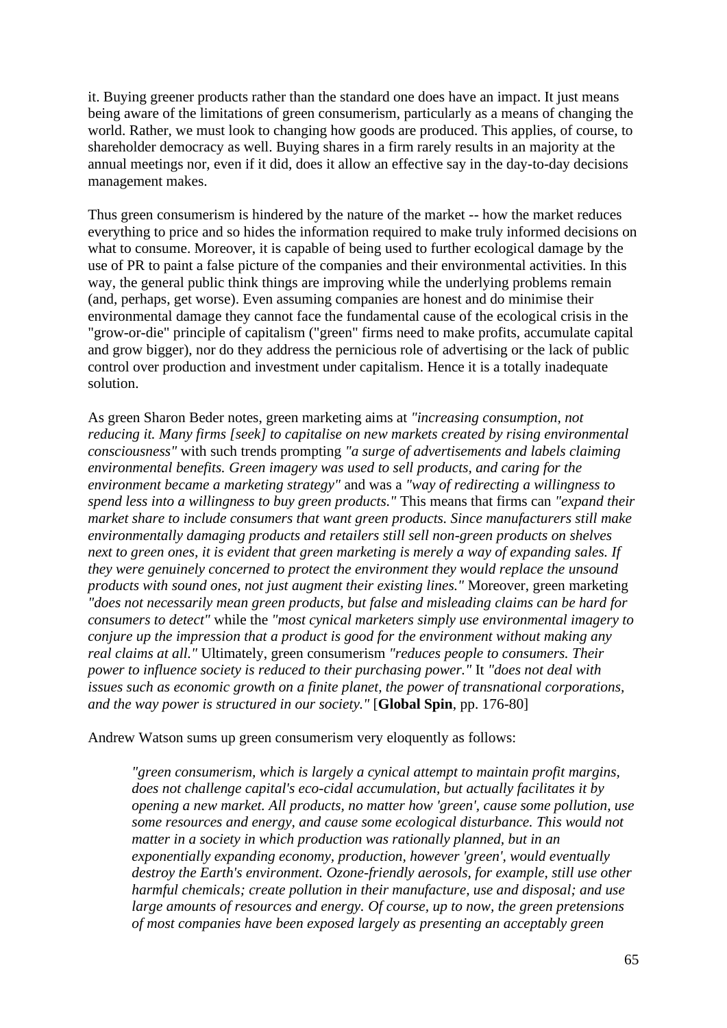it. Buying greener products rather than the standard one does have an impact. It just means being aware of the limitations of green consumerism, particularly as a means of changing the world. Rather, we must look to changing how goods are produced. This applies, of course, to shareholder democracy as well. Buying shares in a firm rarely results in an majority at the annual meetings nor, even if it did, does it allow an effective say in the day-to-day decisions management makes.

Thus green consumerism is hindered by the nature of the market -- how the market reduces everything to price and so hides the information required to make truly informed decisions on what to consume. Moreover, it is capable of being used to further ecological damage by the use of PR to paint a false picture of the companies and their environmental activities. In this way, the general public think things are improving while the underlying problems remain (and, perhaps, get worse). Even assuming companies are honest and do minimise their environmental damage they cannot face the fundamental cause of the ecological crisis in the "grow-or-die" principle of capitalism ("green" firms need to make profits, accumulate capital and grow bigger), nor do they address the pernicious role of advertising or the lack of public control over production and investment under capitalism. Hence it is a totally inadequate solution.

As green Sharon Beder notes, green marketing aims at *"increasing consumption, not reducing it. Many firms [seek] to capitalise on new markets created by rising environmental consciousness"* with such trends prompting *"a surge of advertisements and labels claiming environmental benefits. Green imagery was used to sell products, and caring for the environment became a marketing strategy"* and was a *"way of redirecting a willingness to spend less into a willingness to buy green products."* This means that firms can *"expand their market share to include consumers that want green products. Since manufacturers still make environmentally damaging products and retailers still sell non-green products on shelves next to green ones, it is evident that green marketing is merely a way of expanding sales. If they were genuinely concerned to protect the environment they would replace the unsound products with sound ones, not just augment their existing lines."* Moreover, green marketing *"does not necessarily mean green products, but false and misleading claims can be hard for consumers to detect"* while the *"most cynical marketers simply use environmental imagery to conjure up the impression that a product is good for the environment without making any real claims at all."* Ultimately, green consumerism *"reduces people to consumers. Their power to influence society is reduced to their purchasing power."* It *"does not deal with issues such as economic growth on a finite planet, the power of transnational corporations, and the way power is structured in our society."* [**Global Spin**, pp. 176-80]

Andrew Watson sums up green consumerism very eloquently as follows:

*"green consumerism, which is largely a cynical attempt to maintain profit margins, does not challenge capital's eco-cidal accumulation, but actually facilitates it by opening a new market. All products, no matter how 'green', cause some pollution, use some resources and energy, and cause some ecological disturbance. This would not matter in a society in which production was rationally planned, but in an exponentially expanding economy, production, however 'green', would eventually destroy the Earth's environment. Ozone-friendly aerosols, for example, still use other harmful chemicals; create pollution in their manufacture, use and disposal; and use large amounts of resources and energy. Of course, up to now, the green pretensions of most companies have been exposed largely as presenting an acceptably green*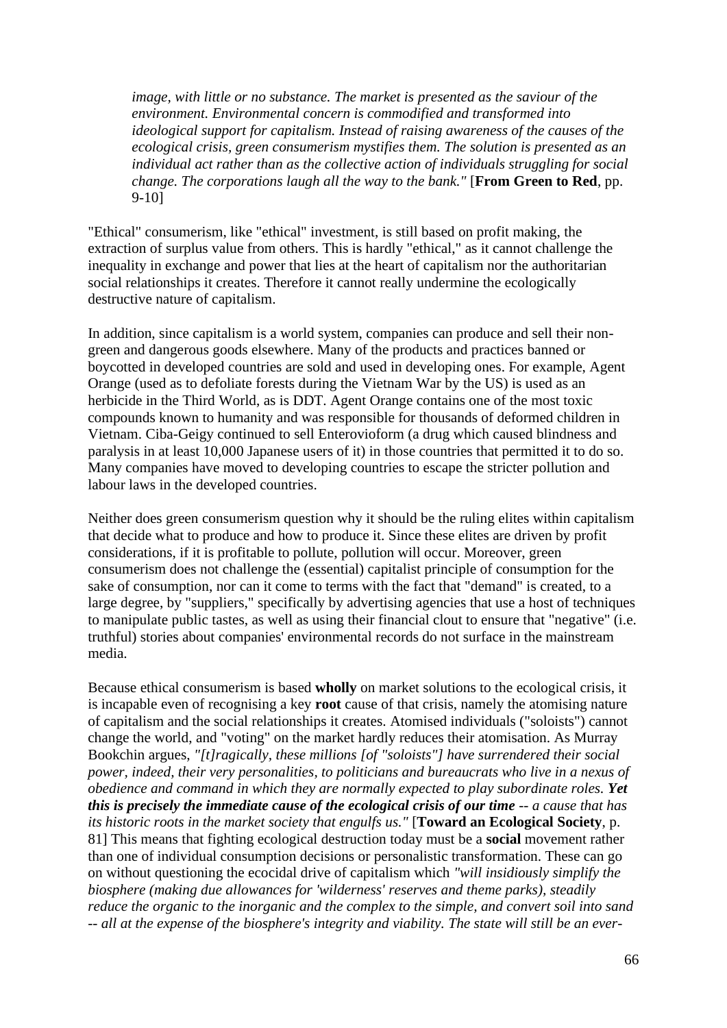*image, with little or no substance. The market is presented as the saviour of the environment. Environmental concern is commodified and transformed into ideological support for capitalism. Instead of raising awareness of the causes of the ecological crisis, green consumerism mystifies them. The solution is presented as an individual act rather than as the collective action of individuals struggling for social change. The corporations laugh all the way to the bank."* [**From Green to Red**, pp. 9-10]

"Ethical" consumerism, like "ethical" investment, is still based on profit making, the extraction of surplus value from others. This is hardly "ethical," as it cannot challenge the inequality in exchange and power that lies at the heart of capitalism nor the authoritarian social relationships it creates. Therefore it cannot really undermine the ecologically destructive nature of capitalism.

In addition, since capitalism is a world system, companies can produce and sell their nongreen and dangerous goods elsewhere. Many of the products and practices banned or boycotted in developed countries are sold and used in developing ones. For example, Agent Orange (used as to defoliate forests during the Vietnam War by the US) is used as an herbicide in the Third World, as is DDT. Agent Orange contains one of the most toxic compounds known to humanity and was responsible for thousands of deformed children in Vietnam. Ciba-Geigy continued to sell Enterovioform (a drug which caused blindness and paralysis in at least 10,000 Japanese users of it) in those countries that permitted it to do so. Many companies have moved to developing countries to escape the stricter pollution and labour laws in the developed countries.

Neither does green consumerism question why it should be the ruling elites within capitalism that decide what to produce and how to produce it. Since these elites are driven by profit considerations, if it is profitable to pollute, pollution will occur. Moreover, green consumerism does not challenge the (essential) capitalist principle of consumption for the sake of consumption, nor can it come to terms with the fact that "demand" is created, to a large degree, by "suppliers," specifically by advertising agencies that use a host of techniques to manipulate public tastes, as well as using their financial clout to ensure that "negative" (i.e. truthful) stories about companies' environmental records do not surface in the mainstream media.

Because ethical consumerism is based **wholly** on market solutions to the ecological crisis, it is incapable even of recognising a key **root** cause of that crisis, namely the atomising nature of capitalism and the social relationships it creates. Atomised individuals ("soloists") cannot change the world, and "voting" on the market hardly reduces their atomisation. As Murray Bookchin argues, *"[t]ragically, these millions [of "soloists"] have surrendered their social power, indeed, their very personalities, to politicians and bureaucrats who live in a nexus of obedience and command in which they are normally expected to play subordinate roles. Yet this is precisely the immediate cause of the ecological crisis of our time -- a cause that has its historic roots in the market society that engulfs us."* [**Toward an Ecological Society**, p. 81] This means that fighting ecological destruction today must be a **social** movement rather than one of individual consumption decisions or personalistic transformation. These can go on without questioning the ecocidal drive of capitalism which *"will insidiously simplify the biosphere (making due allowances for 'wilderness' reserves and theme parks), steadily reduce the organic to the inorganic and the complex to the simple, and convert soil into sand -- all at the expense of the biosphere's integrity and viability. The state will still be an ever-*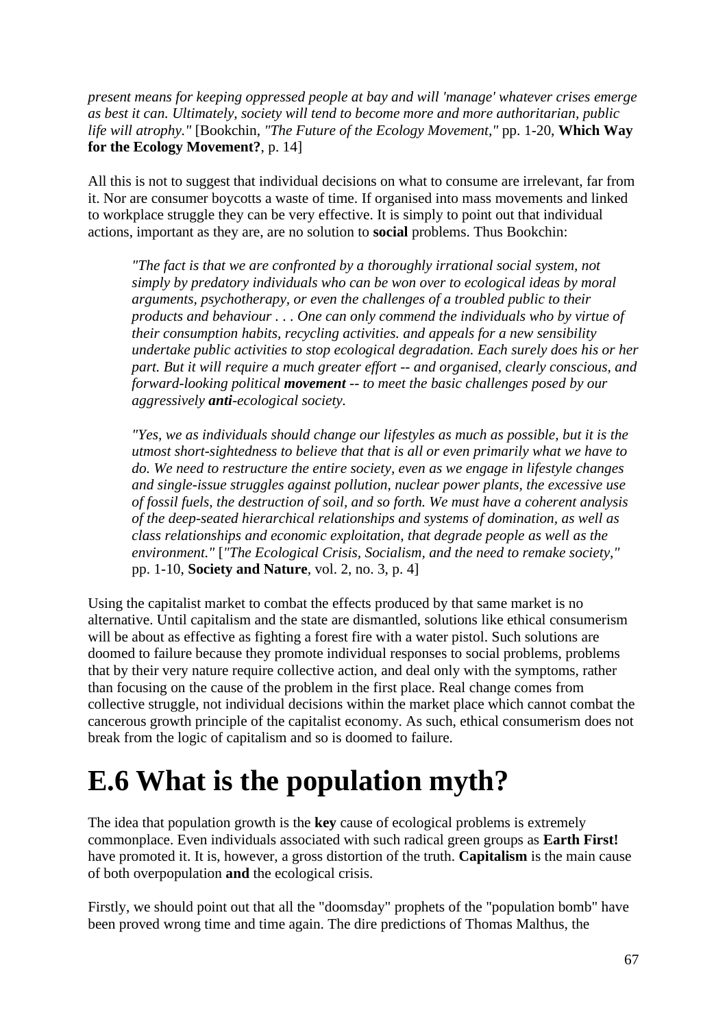*present means for keeping oppressed people at bay and will 'manage' whatever crises emerge as best it can. Ultimately, society will tend to become more and more authoritarian, public life will atrophy."* [Bookchin, *"The Future of the Ecology Movement,"* pp. 1-20, **Which Way for the Ecology Movement?**, p. 14]

All this is not to suggest that individual decisions on what to consume are irrelevant, far from it. Nor are consumer boycotts a waste of time. If organised into mass movements and linked to workplace struggle they can be very effective. It is simply to point out that individual actions, important as they are, are no solution to **social** problems. Thus Bookchin:

*"The fact is that we are confronted by a thoroughly irrational social system, not simply by predatory individuals who can be won over to ecological ideas by moral arguments, psychotherapy, or even the challenges of a troubled public to their products and behaviour . . . One can only commend the individuals who by virtue of their consumption habits, recycling activities. and appeals for a new sensibility undertake public activities to stop ecological degradation. Each surely does his or her part. But it will require a much greater effort -- and organised, clearly conscious, and forward-looking political movement -- to meet the basic challenges posed by our aggressively anti-ecological society.*

*"Yes, we as individuals should change our lifestyles as much as possible, but it is the utmost short-sightedness to believe that that is all or even primarily what we have to do. We need to restructure the entire society, even as we engage in lifestyle changes and single-issue struggles against pollution, nuclear power plants, the excessive use of fossil fuels, the destruction of soil, and so forth. We must have a coherent analysis of the deep-seated hierarchical relationships and systems of domination, as well as class relationships and economic exploitation, that degrade people as well as the environment."* [*"The Ecological Crisis, Socialism, and the need to remake society,"* pp. 1-10, **Society and Nature**, vol. 2, no. 3, p. 4]

Using the capitalist market to combat the effects produced by that same market is no alternative. Until capitalism and the state are dismantled, solutions like ethical consumerism will be about as effective as fighting a forest fire with a water pistol. Such solutions are doomed to failure because they promote individual responses to social problems, problems that by their very nature require collective action, and deal only with the symptoms, rather than focusing on the cause of the problem in the first place. Real change comes from collective struggle, not individual decisions within the market place which cannot combat the cancerous growth principle of the capitalist economy. As such, ethical consumerism does not break from the logic of capitalism and so is doomed to failure.

## **E.6 What is the population myth?**

The idea that population growth is the **key** cause of ecological problems is extremely commonplace. Even individuals associated with such radical green groups as **Earth First!** have promoted it. It is, however, a gross distortion of the truth. **Capitalism** is the main cause of both overpopulation **and** the ecological crisis.

Firstly, we should point out that all the "doomsday" prophets of the "population bomb" have been proved wrong time and time again. The dire predictions of Thomas Malthus, the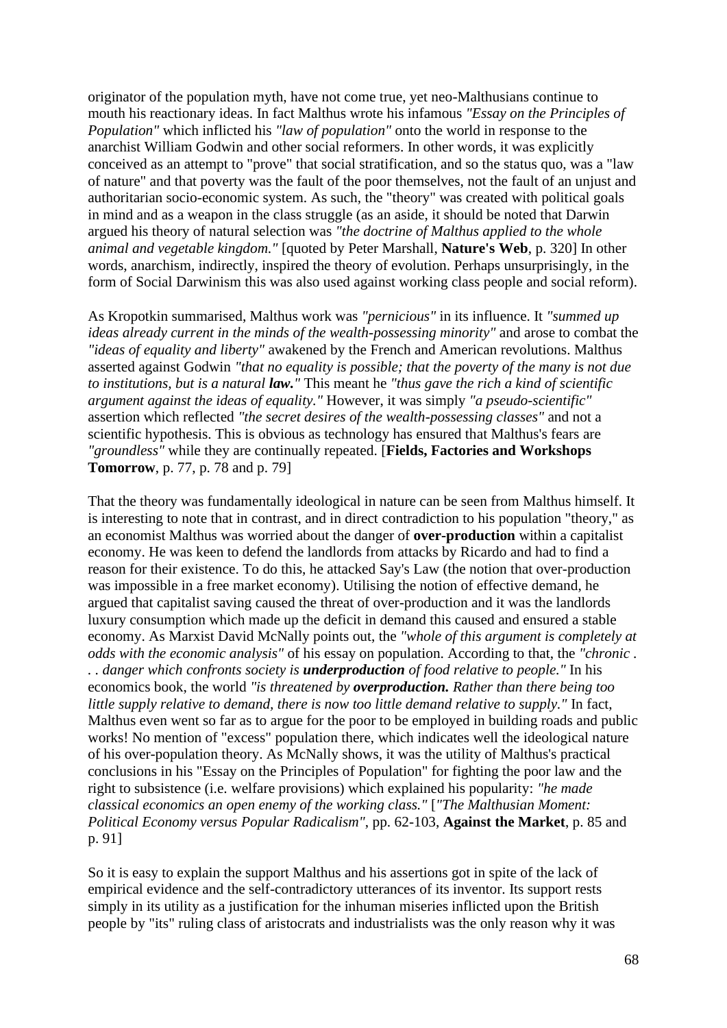originator of the population myth, have not come true, yet neo-Malthusians continue to mouth his reactionary ideas. In fact Malthus wrote his infamous *"Essay on the Principles of Population"* which inflicted his *"law of population"* onto the world in response to the anarchist William Godwin and other social reformers. In other words, it was explicitly conceived as an attempt to "prove" that social stratification, and so the status quo, was a "law of nature" and that poverty was the fault of the poor themselves, not the fault of an unjust and authoritarian socio-economic system. As such, the "theory" was created with political goals in mind and as a weapon in the class struggle (as an aside, it should be noted that Darwin argued his theory of natural selection was *"the doctrine of Malthus applied to the whole animal and vegetable kingdom."* [quoted by Peter Marshall, **Nature's Web**, p. 320] In other words, anarchism, indirectly, inspired the theory of evolution. Perhaps unsurprisingly, in the form of Social Darwinism this was also used against working class people and social reform).

As Kropotkin summarised, Malthus work was *"pernicious"* in its influence. It *"summed up ideas already current in the minds of the wealth-possessing minority"* and arose to combat the *"ideas of equality and liberty"* awakened by the French and American revolutions. Malthus asserted against Godwin *"that no equality is possible; that the poverty of the many is not due to institutions, but is a natural law."* This meant he *"thus gave the rich a kind of scientific argument against the ideas of equality."* However, it was simply *"a pseudo-scientific"* assertion which reflected *"the secret desires of the wealth-possessing classes"* and not a scientific hypothesis. This is obvious as technology has ensured that Malthus's fears are *"groundless"* while they are continually repeated. [**Fields, Factories and Workshops Tomorrow**, p. 77, p. 78 and p. 79]

That the theory was fundamentally ideological in nature can be seen from Malthus himself. It is interesting to note that in contrast, and in direct contradiction to his population "theory," as an economist Malthus was worried about the danger of **over-production** within a capitalist economy. He was keen to defend the landlords from attacks by Ricardo and had to find a reason for their existence. To do this, he attacked Say's Law (the notion that over-production was impossible in a free market economy). Utilising the notion of effective demand, he argued that capitalist saving caused the threat of over-production and it was the landlords luxury consumption which made up the deficit in demand this caused and ensured a stable economy. As Marxist David McNally points out, the *"whole of this argument is completely at odds with the economic analysis"* of his essay on population. According to that, the *"chronic . . . danger which confronts society is underproduction of food relative to people."* In his economics book, the world *"is threatened by overproduction. Rather than there being too little supply relative to demand, there is now too little demand relative to supply."* In fact, Malthus even went so far as to argue for the poor to be employed in building roads and public works! No mention of "excess" population there, which indicates well the ideological nature of his over-population theory. As McNally shows, it was the utility of Malthus's practical conclusions in his "Essay on the Principles of Population" for fighting the poor law and the right to subsistence (i.e. welfare provisions) which explained his popularity: *"he made classical economics an open enemy of the working class."* [*"The Malthusian Moment: Political Economy versus Popular Radicalism"*, pp. 62-103, **Against the Market**, p. 85 and p. 91]

So it is easy to explain the support Malthus and his assertions got in spite of the lack of empirical evidence and the self-contradictory utterances of its inventor. Its support rests simply in its utility as a justification for the inhuman miseries inflicted upon the British people by "its" ruling class of aristocrats and industrialists was the only reason why it was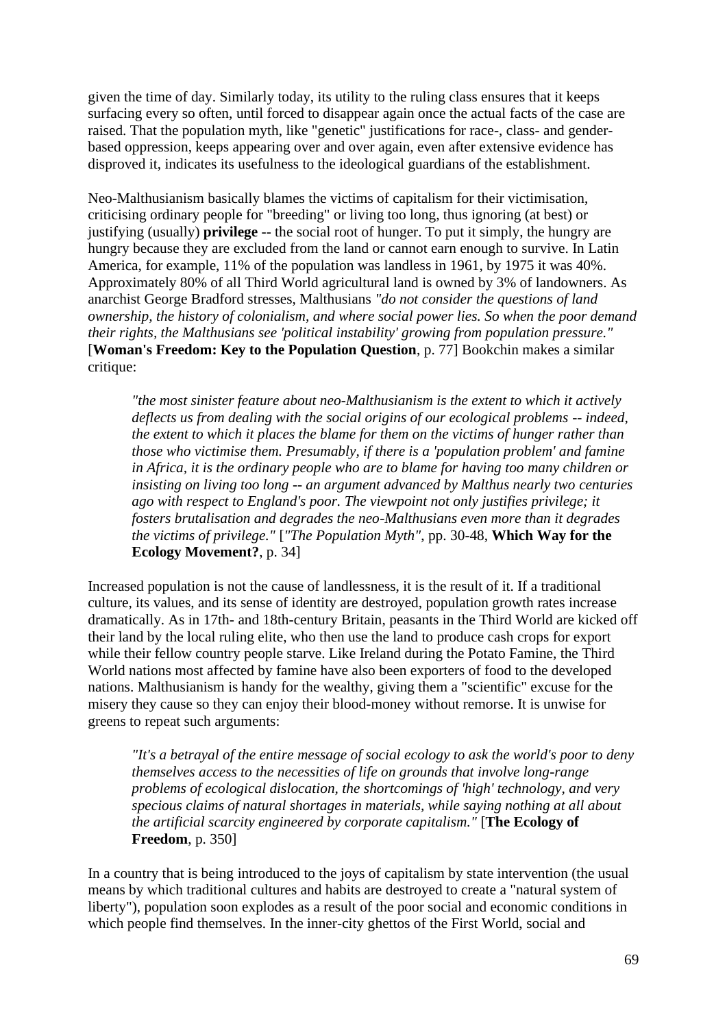given the time of day. Similarly today, its utility to the ruling class ensures that it keeps surfacing every so often, until forced to disappear again once the actual facts of the case are raised. That the population myth, like "genetic" justifications for race-, class- and genderbased oppression, keeps appearing over and over again, even after extensive evidence has disproved it, indicates its usefulness to the ideological guardians of the establishment.

Neo-Malthusianism basically blames the victims of capitalism for their victimisation, criticising ordinary people for "breeding" or living too long, thus ignoring (at best) or justifying (usually) **privilege** -- the social root of hunger. To put it simply, the hungry are hungry because they are excluded from the land or cannot earn enough to survive. In Latin America, for example, 11% of the population was landless in 1961, by 1975 it was 40%. Approximately 80% of all Third World agricultural land is owned by 3% of landowners. As anarchist George Bradford stresses, Malthusians *"do not consider the questions of land ownership, the history of colonialism, and where social power lies. So when the poor demand their rights, the Malthusians see 'political instability' growing from population pressure."* [**Woman's Freedom: Key to the Population Question**, p. 77] Bookchin makes a similar critique:

*"the most sinister feature about neo-Malthusianism is the extent to which it actively deflects us from dealing with the social origins of our ecological problems -- indeed, the extent to which it places the blame for them on the victims of hunger rather than those who victimise them. Presumably, if there is a 'population problem' and famine in Africa, it is the ordinary people who are to blame for having too many children or insisting on living too long -- an argument advanced by Malthus nearly two centuries ago with respect to England's poor. The viewpoint not only justifies privilege; it fosters brutalisation and degrades the neo-Malthusians even more than it degrades the victims of privilege."* [*"The Population Myth"*, pp. 30-48, **Which Way for the Ecology Movement?**, p. 34]

Increased population is not the cause of landlessness, it is the result of it. If a traditional culture, its values, and its sense of identity are destroyed, population growth rates increase dramatically. As in 17th- and 18th-century Britain, peasants in the Third World are kicked off their land by the local ruling elite, who then use the land to produce cash crops for export while their fellow country people starve. Like Ireland during the Potato Famine, the Third World nations most affected by famine have also been exporters of food to the developed nations. Malthusianism is handy for the wealthy, giving them a "scientific" excuse for the misery they cause so they can enjoy their blood-money without remorse. It is unwise for greens to repeat such arguments:

*"It's a betrayal of the entire message of social ecology to ask the world's poor to deny themselves access to the necessities of life on grounds that involve long-range problems of ecological dislocation, the shortcomings of 'high' technology, and very specious claims of natural shortages in materials, while saying nothing at all about the artificial scarcity engineered by corporate capitalism."* [**The Ecology of Freedom**, p. 350]

In a country that is being introduced to the joys of capitalism by state intervention (the usual means by which traditional cultures and habits are destroyed to create a "natural system of liberty"), population soon explodes as a result of the poor social and economic conditions in which people find themselves. In the inner-city ghettos of the First World, social and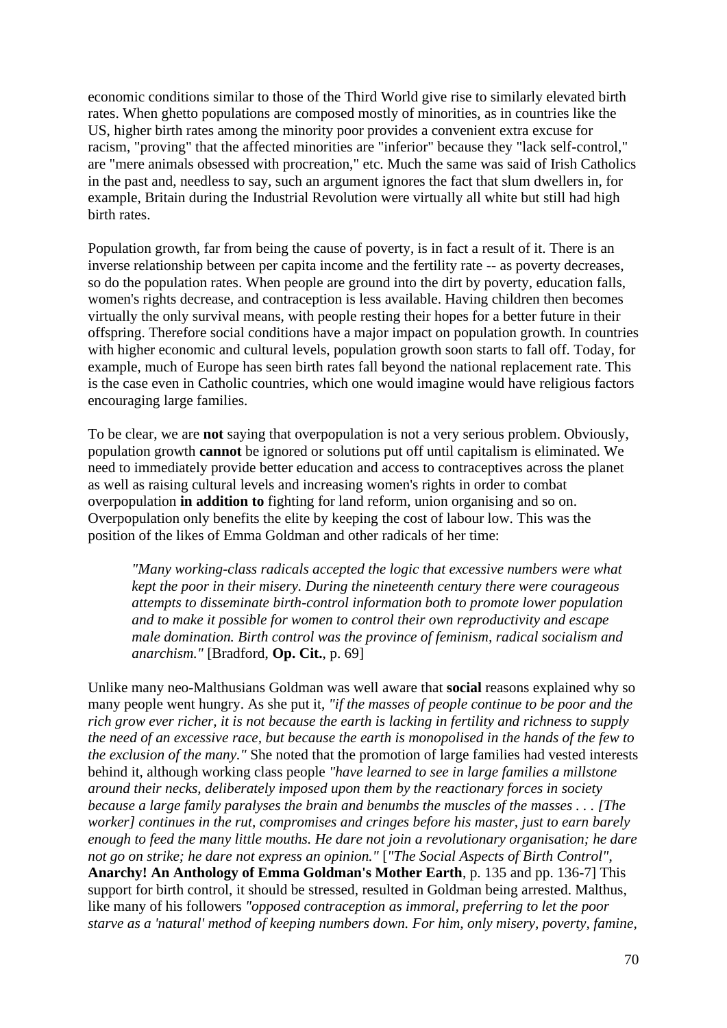economic conditions similar to those of the Third World give rise to similarly elevated birth rates. When ghetto populations are composed mostly of minorities, as in countries like the US, higher birth rates among the minority poor provides a convenient extra excuse for racism, "proving" that the affected minorities are "inferior" because they "lack self-control," are "mere animals obsessed with procreation," etc. Much the same was said of Irish Catholics in the past and, needless to say, such an argument ignores the fact that slum dwellers in, for example, Britain during the Industrial Revolution were virtually all white but still had high birth rates.

Population growth, far from being the cause of poverty, is in fact a result of it. There is an inverse relationship between per capita income and the fertility rate -- as poverty decreases, so do the population rates. When people are ground into the dirt by poverty, education falls, women's rights decrease, and contraception is less available. Having children then becomes virtually the only survival means, with people resting their hopes for a better future in their offspring. Therefore social conditions have a major impact on population growth. In countries with higher economic and cultural levels, population growth soon starts to fall off. Today, for example, much of Europe has seen birth rates fall beyond the national replacement rate. This is the case even in Catholic countries, which one would imagine would have religious factors encouraging large families.

To be clear, we are **not** saying that overpopulation is not a very serious problem. Obviously, population growth **cannot** be ignored or solutions put off until capitalism is eliminated. We need to immediately provide better education and access to contraceptives across the planet as well as raising cultural levels and increasing women's rights in order to combat overpopulation **in addition to** fighting for land reform, union organising and so on. Overpopulation only benefits the elite by keeping the cost of labour low. This was the position of the likes of Emma Goldman and other radicals of her time:

*"Many working-class radicals accepted the logic that excessive numbers were what kept the poor in their misery. During the nineteenth century there were courageous attempts to disseminate birth-control information both to promote lower population and to make it possible for women to control their own reproductivity and escape male domination. Birth control was the province of feminism, radical socialism and anarchism."* [Bradford, **Op. Cit.**, p. 69]

Unlike many neo-Malthusians Goldman was well aware that **social** reasons explained why so many people went hungry. As she put it, *"if the masses of people continue to be poor and the rich grow ever richer, it is not because the earth is lacking in fertility and richness to supply the need of an excessive race, but because the earth is monopolised in the hands of the few to the exclusion of the many."* She noted that the promotion of large families had vested interests behind it, although working class people *"have learned to see in large families a millstone around their necks, deliberately imposed upon them by the reactionary forces in society because a large family paralyses the brain and benumbs the muscles of the masses . . . [The worker] continues in the rut, compromises and cringes before his master, just to earn barely enough to feed the many little mouths. He dare not join a revolutionary organisation; he dare not go on strike; he dare not express an opinion."* [*"The Social Aspects of Birth Control"*, **Anarchy! An Anthology of Emma Goldman's Mother Earth**, p. 135 and pp. 136-7] This support for birth control, it should be stressed, resulted in Goldman being arrested. Malthus, like many of his followers *"opposed contraception as immoral, preferring to let the poor starve as a 'natural' method of keeping numbers down. For him, only misery, poverty, famine,*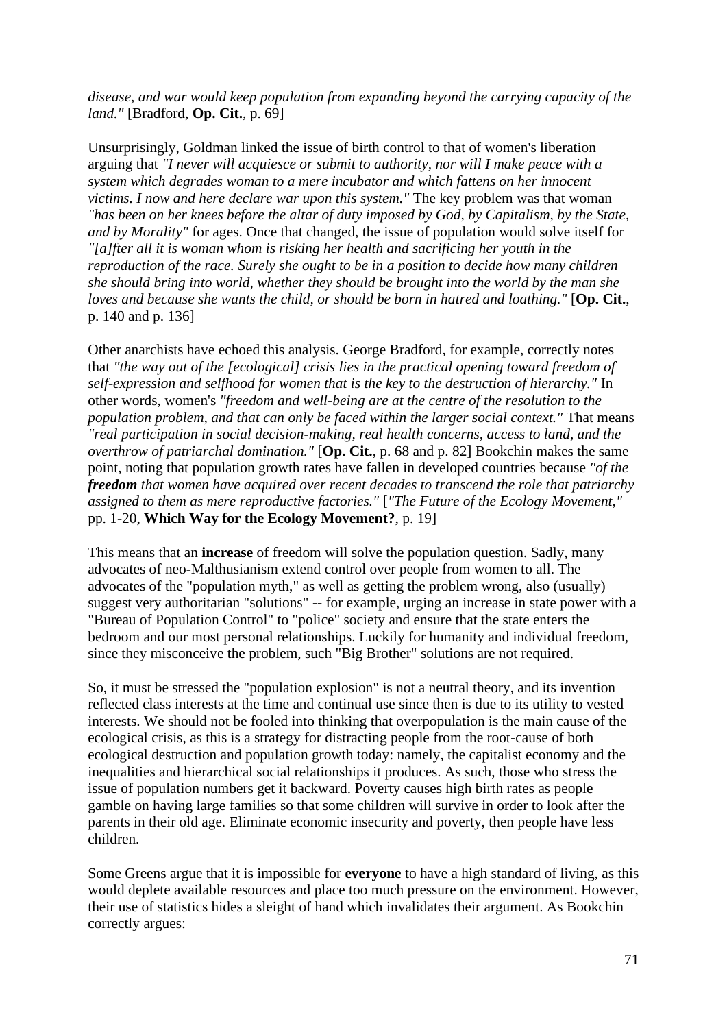*disease, and war would keep population from expanding beyond the carrying capacity of the land."* [Bradford, **Op. Cit.**, p. 69]

Unsurprisingly, Goldman linked the issue of birth control to that of women's liberation arguing that *"I never will acquiesce or submit to authority, nor will I make peace with a system which degrades woman to a mere incubator and which fattens on her innocent victims. I now and here declare war upon this system."* The key problem was that woman *"has been on her knees before the altar of duty imposed by God, by Capitalism, by the State, and by Morality"* for ages. Once that changed, the issue of population would solve itself for *"[a]fter all it is woman whom is risking her health and sacrificing her youth in the reproduction of the race. Surely she ought to be in a position to decide how many children she should bring into world, whether they should be brought into the world by the man she loves and because she wants the child, or should be born in hatred and loathing."* [**Op. Cit.**, p. 140 and p. 136]

Other anarchists have echoed this analysis. George Bradford, for example, correctly notes that *"the way out of the [ecological] crisis lies in the practical opening toward freedom of self-expression and selfhood for women that is the key to the destruction of hierarchy."* In other words, women's *"freedom and well-being are at the centre of the resolution to the population problem, and that can only be faced within the larger social context."* That means *"real participation in social decision-making, real health concerns, access to land, and the overthrow of patriarchal domination."* [**Op. Cit.**, p. 68 and p. 82] Bookchin makes the same point, noting that population growth rates have fallen in developed countries because *"of the freedom that women have acquired over recent decades to transcend the role that patriarchy assigned to them as mere reproductive factories."* [*"The Future of the Ecology Movement,"* pp. 1-20, **Which Way for the Ecology Movement?**, p. 19]

This means that an **increase** of freedom will solve the population question. Sadly, many advocates of neo-Malthusianism extend control over people from women to all. The advocates of the "population myth," as well as getting the problem wrong, also (usually) suggest very authoritarian "solutions" -- for example, urging an increase in state power with a "Bureau of Population Control" to "police" society and ensure that the state enters the bedroom and our most personal relationships. Luckily for humanity and individual freedom, since they misconceive the problem, such "Big Brother" solutions are not required.

So, it must be stressed the "population explosion" is not a neutral theory, and its invention reflected class interests at the time and continual use since then is due to its utility to vested interests. We should not be fooled into thinking that overpopulation is the main cause of the ecological crisis, as this is a strategy for distracting people from the root-cause of both ecological destruction and population growth today: namely, the capitalist economy and the inequalities and hierarchical social relationships it produces. As such, those who stress the issue of population numbers get it backward. Poverty causes high birth rates as people gamble on having large families so that some children will survive in order to look after the parents in their old age. Eliminate economic insecurity and poverty, then people have less children.

Some Greens argue that it is impossible for **everyone** to have a high standard of living, as this would deplete available resources and place too much pressure on the environment. However, their use of statistics hides a sleight of hand which invalidates their argument. As Bookchin correctly argues: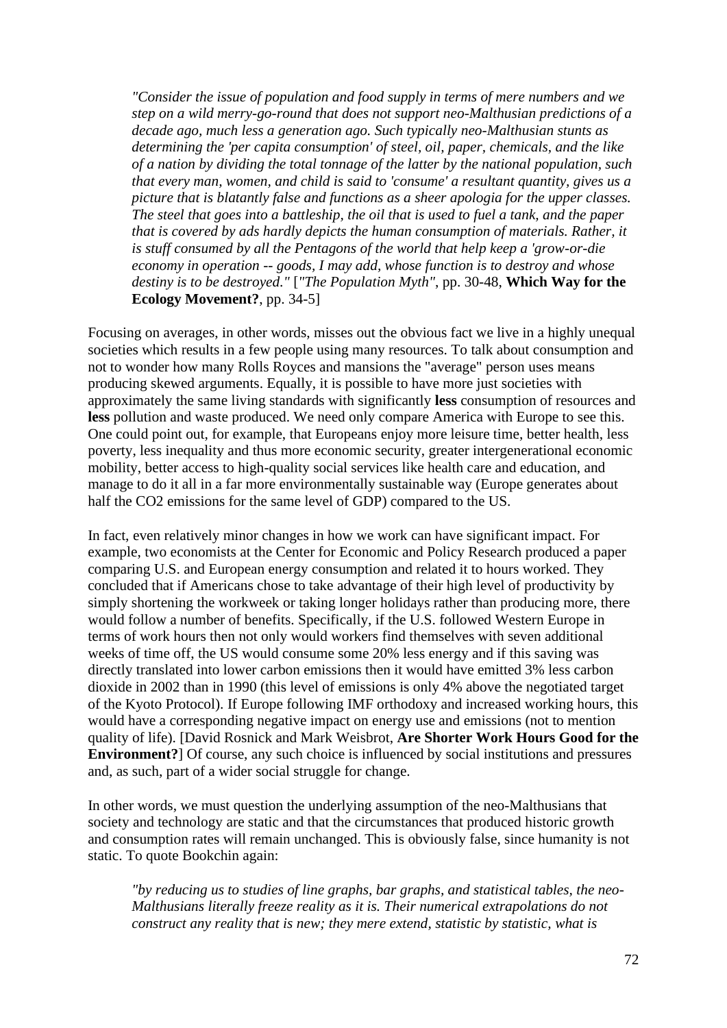*"Consider the issue of population and food supply in terms of mere numbers and we step on a wild merry-go-round that does not support neo-Malthusian predictions of a decade ago, much less a generation ago. Such typically neo-Malthusian stunts as determining the 'per capita consumption' of steel, oil, paper, chemicals, and the like of a nation by dividing the total tonnage of the latter by the national population, such that every man, women, and child is said to 'consume' a resultant quantity, gives us a picture that is blatantly false and functions as a sheer apologia for the upper classes. The steel that goes into a battleship, the oil that is used to fuel a tank, and the paper that is covered by ads hardly depicts the human consumption of materials. Rather, it is stuff consumed by all the Pentagons of the world that help keep a 'grow-or-die economy in operation -- goods, I may add, whose function is to destroy and whose destiny is to be destroyed."* [*"The Population Myth"*, pp. 30-48, **Which Way for the Ecology Movement?**, pp. 34-5]

Focusing on averages, in other words, misses out the obvious fact we live in a highly unequal societies which results in a few people using many resources. To talk about consumption and not to wonder how many Rolls Royces and mansions the "average" person uses means producing skewed arguments. Equally, it is possible to have more just societies with approximately the same living standards with significantly **less** consumption of resources and **less** pollution and waste produced. We need only compare America with Europe to see this. One could point out, for example, that Europeans enjoy more leisure time, better health, less poverty, less inequality and thus more economic security, greater intergenerational economic mobility, better access to high-quality social services like health care and education, and manage to do it all in a far more environmentally sustainable way (Europe generates about half the CO2 emissions for the same level of GDP) compared to the US.

In fact, even relatively minor changes in how we work can have significant impact. For example, two economists at the Center for Economic and Policy Research produced a paper comparing U.S. and European energy consumption and related it to hours worked. They concluded that if Americans chose to take advantage of their high level of productivity by simply shortening the workweek or taking longer holidays rather than producing more, there would follow a number of benefits. Specifically, if the U.S. followed Western Europe in terms of work hours then not only would workers find themselves with seven additional weeks of time off, the US would consume some 20% less energy and if this saving was directly translated into lower carbon emissions then it would have emitted 3% less carbon dioxide in 2002 than in 1990 (this level of emissions is only 4% above the negotiated target of the Kyoto Protocol). If Europe following IMF orthodoxy and increased working hours, this would have a corresponding negative impact on energy use and emissions (not to mention quality of life). [David Rosnick and Mark Weisbrot, **Are Shorter Work Hours Good for the Environment?** Of course, any such choice is influenced by social institutions and pressures and, as such, part of a wider social struggle for change.

In other words, we must question the underlying assumption of the neo-Malthusians that society and technology are static and that the circumstances that produced historic growth and consumption rates will remain unchanged. This is obviously false, since humanity is not static. To quote Bookchin again:

*"by reducing us to studies of line graphs, bar graphs, and statistical tables, the neo-Malthusians literally freeze reality as it is. Their numerical extrapolations do not construct any reality that is new; they mere extend, statistic by statistic, what is*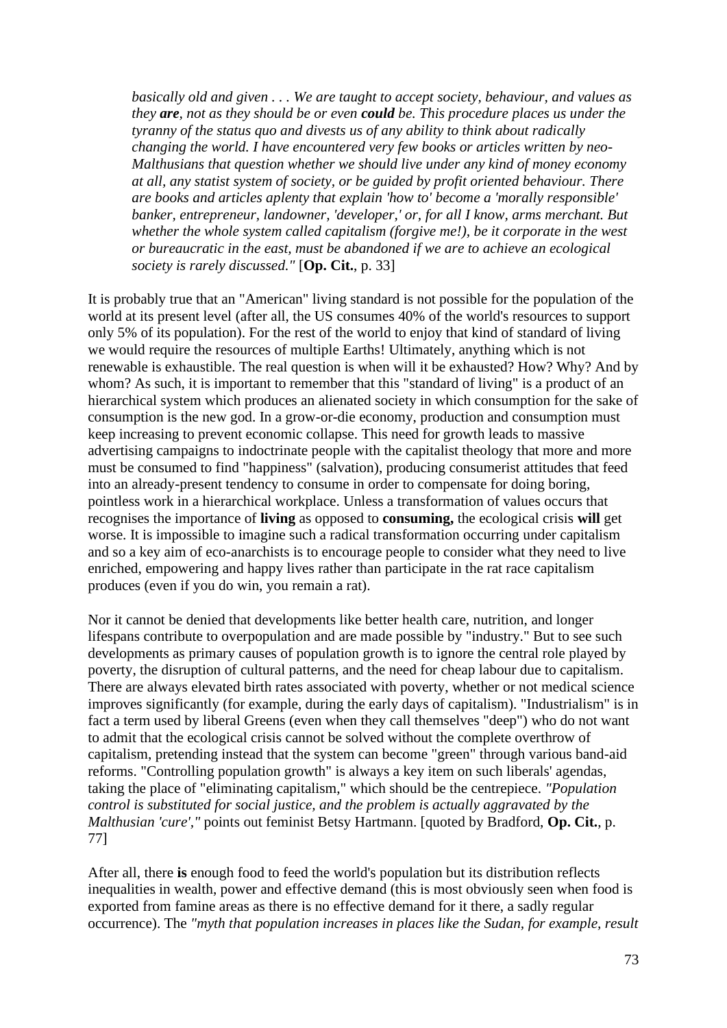*basically old and given . . . We are taught to accept society, behaviour, and values as they are, not as they should be or even could be. This procedure places us under the tyranny of the status quo and divests us of any ability to think about radically changing the world. I have encountered very few books or articles written by neo-Malthusians that question whether we should live under any kind of money economy at all, any statist system of society, or be guided by profit oriented behaviour. There are books and articles aplenty that explain 'how to' become a 'morally responsible' banker, entrepreneur, landowner, 'developer,' or, for all I know, arms merchant. But whether the whole system called capitalism (forgive me!), be it corporate in the west or bureaucratic in the east, must be abandoned if we are to achieve an ecological society is rarely discussed."* [**Op. Cit.**, p. 33]

It is probably true that an "American" living standard is not possible for the population of the world at its present level (after all, the US consumes 40% of the world's resources to support only 5% of its population). For the rest of the world to enjoy that kind of standard of living we would require the resources of multiple Earths! Ultimately, anything which is not renewable is exhaustible. The real question is when will it be exhausted? How? Why? And by whom? As such, it is important to remember that this "standard of living" is a product of an hierarchical system which produces an alienated society in which consumption for the sake of consumption is the new god. In a grow-or-die economy, production and consumption must keep increasing to prevent economic collapse. This need for growth leads to massive advertising campaigns to indoctrinate people with the capitalist theology that more and more must be consumed to find "happiness" (salvation), producing consumerist attitudes that feed into an already-present tendency to consume in order to compensate for doing boring, pointless work in a hierarchical workplace. Unless a transformation of values occurs that recognises the importance of **living** as opposed to **consuming,** the ecological crisis **will** get worse. It is impossible to imagine such a radical transformation occurring under capitalism and so a key aim of eco-anarchists is to encourage people to consider what they need to live enriched, empowering and happy lives rather than participate in the rat race capitalism produces (even if you do win, you remain a rat).

Nor it cannot be denied that developments like better health care, nutrition, and longer lifespans contribute to overpopulation and are made possible by "industry." But to see such developments as primary causes of population growth is to ignore the central role played by poverty, the disruption of cultural patterns, and the need for cheap labour due to capitalism. There are always elevated birth rates associated with poverty, whether or not medical science improves significantly (for example, during the early days of capitalism). "Industrialism" is in fact a term used by liberal Greens (even when they call themselves "deep") who do not want to admit that the ecological crisis cannot be solved without the complete overthrow of capitalism, pretending instead that the system can become "green" through various band-aid reforms. "Controlling population growth" is always a key item on such liberals' agendas, taking the place of "eliminating capitalism," which should be the centrepiece. *"Population control is substituted for social justice, and the problem is actually aggravated by the Malthusian 'cure',"* points out feminist Betsy Hartmann. [quoted by Bradford, **Op. Cit.**, p. 77]

After all, there **is** enough food to feed the world's population but its distribution reflects inequalities in wealth, power and effective demand (this is most obviously seen when food is exported from famine areas as there is no effective demand for it there, a sadly regular occurrence). The *"myth that population increases in places like the Sudan, for example, result*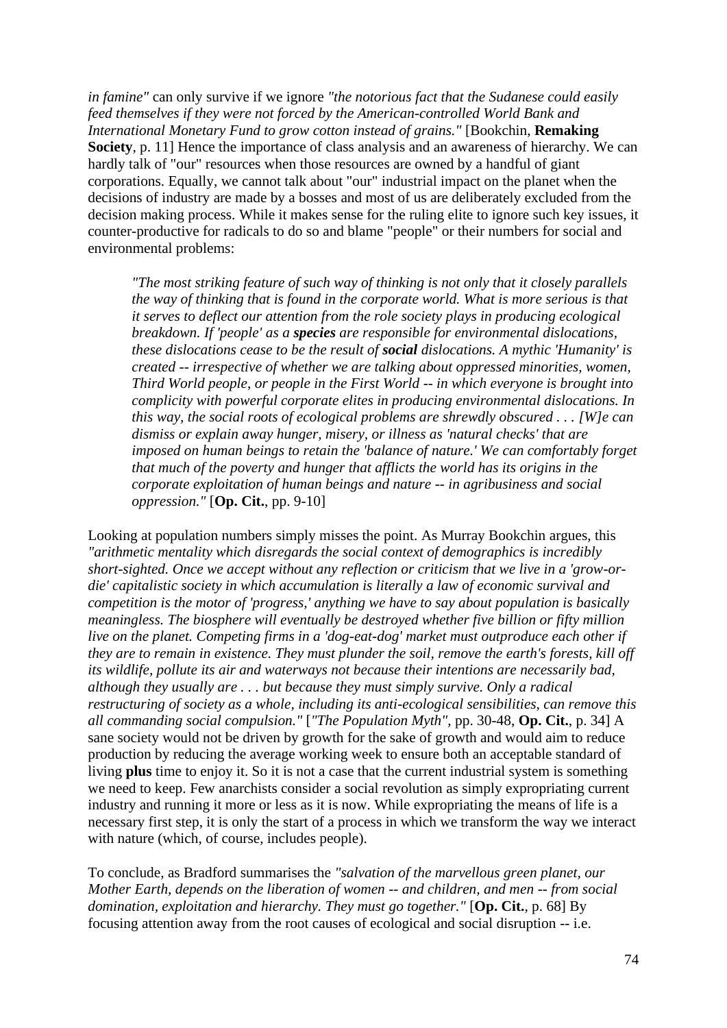*in famine"* can only survive if we ignore *"the notorious fact that the Sudanese could easily feed themselves if they were not forced by the American-controlled World Bank and International Monetary Fund to grow cotton instead of grains."* [Bookchin, **Remaking Society**, p. 11] Hence the importance of class analysis and an awareness of hierarchy. We can hardly talk of "our" resources when those resources are owned by a handful of giant corporations. Equally, we cannot talk about "our" industrial impact on the planet when the decisions of industry are made by a bosses and most of us are deliberately excluded from the decision making process. While it makes sense for the ruling elite to ignore such key issues, it counter-productive for radicals to do so and blame "people" or their numbers for social and environmental problems:

*"The most striking feature of such way of thinking is not only that it closely parallels the way of thinking that is found in the corporate world. What is more serious is that it serves to deflect our attention from the role society plays in producing ecological breakdown. If 'people' as a species are responsible for environmental dislocations, these dislocations cease to be the result of social dislocations. A mythic 'Humanity' is created -- irrespective of whether we are talking about oppressed minorities, women, Third World people, or people in the First World -- in which everyone is brought into complicity with powerful corporate elites in producing environmental dislocations. In this way, the social roots of ecological problems are shrewdly obscured . . . [W]e can dismiss or explain away hunger, misery, or illness as 'natural checks' that are imposed on human beings to retain the 'balance of nature.' We can comfortably forget that much of the poverty and hunger that afflicts the world has its origins in the corporate exploitation of human beings and nature -- in agribusiness and social oppression."* [**Op. Cit.**, pp. 9-10]

Looking at population numbers simply misses the point. As Murray Bookchin argues, this *"arithmetic mentality which disregards the social context of demographics is incredibly short-sighted. Once we accept without any reflection or criticism that we live in a 'grow-ordie' capitalistic society in which accumulation is literally a law of economic survival and competition is the motor of 'progress,' anything we have to say about population is basically meaningless. The biosphere will eventually be destroyed whether five billion or fifty million live on the planet. Competing firms in a 'dog-eat-dog' market must outproduce each other if they are to remain in existence. They must plunder the soil, remove the earth's forests, kill off its wildlife, pollute its air and waterways not because their intentions are necessarily bad, although they usually are . . . but because they must simply survive. Only a radical restructuring of society as a whole, including its anti-ecological sensibilities, can remove this all commanding social compulsion."* [*"The Population Myth"*, pp. 30-48, **Op. Cit.**, p. 34] A sane society would not be driven by growth for the sake of growth and would aim to reduce production by reducing the average working week to ensure both an acceptable standard of living **plus** time to enjoy it. So it is not a case that the current industrial system is something we need to keep. Few anarchists consider a social revolution as simply expropriating current industry and running it more or less as it is now. While expropriating the means of life is a necessary first step, it is only the start of a process in which we transform the way we interact with nature (which, of course, includes people).

To conclude, as Bradford summarises the *"salvation of the marvellous green planet, our Mother Earth, depends on the liberation of women -- and children, and men -- from social domination, exploitation and hierarchy. They must go together."* [**Op. Cit.**, p. 68] By focusing attention away from the root causes of ecological and social disruption -- i.e.